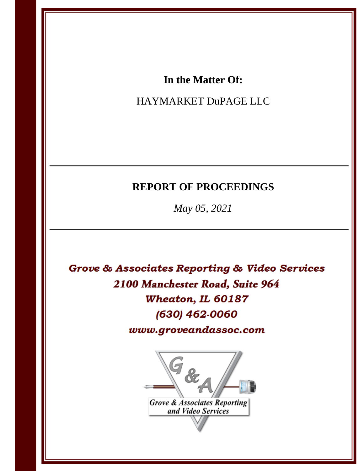## In the Matter Of:

# HAYMARKET DuPAGE LLC

# **REPORT OF PROCEEDINGS**

May 05, 2021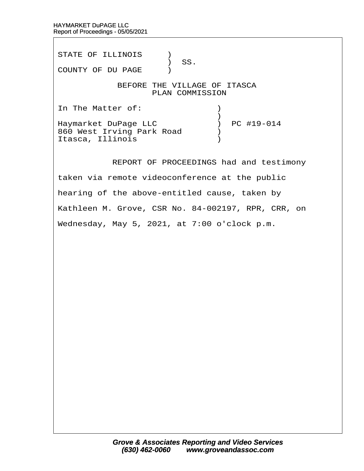STATE OF ILLINOIS )  $\big)$  SS. COUNTY OF DU PAGE )

## BEFORE THE VILLAGE OF ITASCA PLAN COMMISSION

In The Matter of:  $\qquad \qquad$  )  $\hspace{0.5cm}$   $\hspace{0.5cm}$   $\hspace{0.5cm}$   $\hspace{0.5cm}$   $\hspace{0.5cm}$   $\hspace{0.5cm}$   $\hspace{0.5cm}$   $\hspace{0.5cm}$   $\hspace{0.5cm}$   $\hspace{0.5cm}$   $\hspace{0.5cm}$   $\hspace{0.5cm}$   $\hspace{0.5cm}$   $\hspace{0.5cm}$   $\hspace{0.5cm}$   $\hspace{0.5cm}$   $\hspace{0.5cm}$   $\hspace{0.5cm}$   $\hspace{$ Haymarket DuPage LLC ) PC #19-014 860 West Irving Park Road  $\qquad$ Itasca, Illinois (1998)

REPORT OF PROCEEDINGS had and testimony

taken via remote videoconference at the public

hearing of the above-entitled cause, taken by

Kathleen M. Grove, CSR No. 84-002197, RPR, CRR, on

Wednesday, May 5, 2021, at 7:00 o'clock p.m.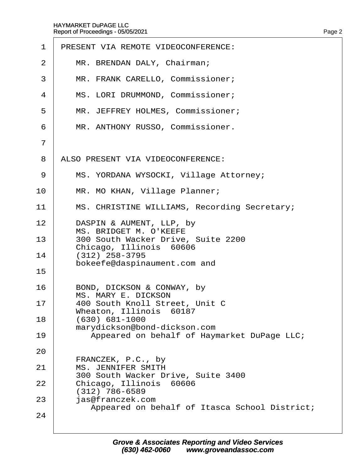| $\mathbf 1$    | PRESENT VIA REMOTE VIDEOCONFERENCE:                                                 |
|----------------|-------------------------------------------------------------------------------------|
| 2              | MR. BRENDAN DALY, Chairman;                                                         |
| 3              | MR. FRANK CARELLO, Commissioner;                                                    |
| 4              | MS. LORI DRUMMOND, Commissioner;                                                    |
| 5              | MR. JEFFREY HOLMES, Commissioner;                                                   |
| 6              | MR. ANTHONY RUSSO, Commissioner.                                                    |
| $\overline{7}$ |                                                                                     |
| 8              | ALSO PRESENT VIA VIDEOCONFERENCE:                                                   |
| 9              | MS. YORDANA WYSOCKI, Village Attorney;                                              |
| 10             | MR. MO KHAN, Village Planner;                                                       |
| 11             | MS. CHRISTINE WILLIAMS, Recording Secretary;                                        |
| 12             | DASPIN & AUMENT, LLP, by<br><b>MS. BRIDGET M. O'KEEFE</b>                           |
| 13             | 300 South Wacker Drive, Suite 2200                                                  |
| 14             | Chicago, Illinois 60606<br>$(312)$ 258-3795                                         |
| 15             | bokeefe@daspinaument.com and                                                        |
| 16             | BOND, DICKSON & CONWAY, by<br><b>MS. MARY E. DICKSON</b>                            |
| 17             | 400 South Knoll Street, Unit C<br>Wheaton, Illinois 60187                           |
| 18             | $(630) 681 - 1000$<br>marydickson@bond-dickson.com                                  |
| 19             | Appeared on behalf of Haymarket DuPage LLC;                                         |
| 20             | FRANCZEK, P.C., by                                                                  |
| 21             | <b>MS. JENNIFER SMITH</b><br>300 South Wacker Drive, Suite 3400                     |
| 22             | Chicago, Illinois 60606                                                             |
| 23             | (312) 786-6589<br>jas@franczek.com<br>Appeared on behalf of Itasca School District; |
| 24             |                                                                                     |
|                |                                                                                     |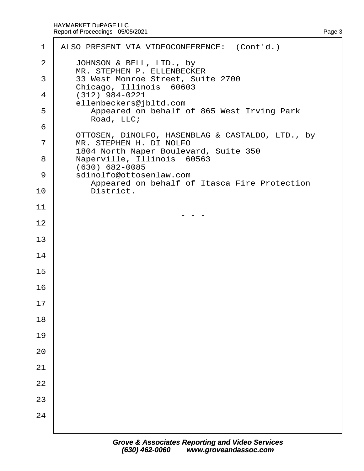| $\mathbf 1$ | ALSO PRESENT VIA VIDEOCONFERENCE: (Cont'd.)                      |
|-------------|------------------------------------------------------------------|
| 2           | JOHNSON & BELL, LTD., by<br>MR. STEPHEN P. ELLENBECKER           |
| 3           | 33 West Monroe Street, Suite 2700<br>Chicago, Illinois 60603     |
| 4           | $(312)$ 984-0221<br>ellenbeckers@jbltd.com                       |
| 5           | Appeared on behalf of 865 West Irving Park<br>Road, LLC;         |
| 6           | OTTOSEN, DINOLFO, HASENBLAG & CASTALDO, LTD., by                 |
| 7           | MR. STEPHEN H. DI NOLFO<br>1804 North Naper Boulevard, Suite 350 |
| 8           | Naperville, Illinois 60563<br>(630) 682-0085                     |
| 9           | sdinolfo@ottosenlaw.com                                          |
| 10          | Appeared on behalf of Itasca Fire Protection<br>District.        |
| 11          |                                                                  |
| 12          |                                                                  |
| 13          |                                                                  |
| 14          |                                                                  |
| 15          |                                                                  |
| 16          |                                                                  |
| 17          |                                                                  |
| 18          |                                                                  |
| 19          |                                                                  |
| 20          |                                                                  |
| 21          |                                                                  |
| 22          |                                                                  |
| 23          |                                                                  |
| 24          |                                                                  |
|             |                                                                  |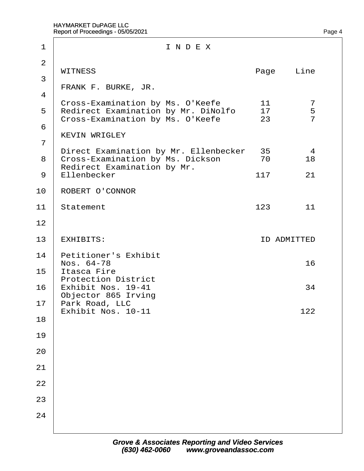| 1                   | INDEX                                                                                                              |      |     |                    |                          |  |
|---------------------|--------------------------------------------------------------------------------------------------------------------|------|-----|--------------------|--------------------------|--|
| 2                   | <b>WITNESS</b>                                                                                                     | Page |     | Line               |                          |  |
| 3                   | FRANK F. BURKE, JR.                                                                                                |      |     |                    |                          |  |
| $\overline{4}$<br>5 | Cross-Examination by Ms. O'Keefe<br><b>Redirect Examination by Mr. DiNolfo</b><br>Cross-Examination by Ms. O'Keefe |      |     | 11<br>17<br>23     | 7<br>5<br>$\overline{7}$ |  |
| 6<br>7              | <b>KEVIN WRIGLEY</b>                                                                                               |      |     |                    |                          |  |
| 8                   | Direct Examination by Mr. Ellenbecker 35<br>Cross-Examination by Ms. Dickson<br><b>Redirect Examination by Mr.</b> |      |     | 70                 | 4<br>18                  |  |
|                     | 9 <b>Ellenbecker</b>                                                                                               | 117  | 21  |                    |                          |  |
| 10                  | <b>ROBERT O'CONNOR</b>                                                                                             |      |     |                    |                          |  |
| 11                  | Statement                                                                                                          | 123  | 11  |                    |                          |  |
| 12                  |                                                                                                                    |      |     |                    |                          |  |
| 13                  | <b>EXHIBITS:</b>                                                                                                   |      |     | <b>ID ADMITTED</b> |                          |  |
| 14<br>15            | <b>Petitioner's Exhibit</b><br>Nos. 64-78<br>Itasca Fire                                                           | 16   |     |                    |                          |  |
| 16                  | <b>Protection District</b><br>Exhibit Nos. 19-41<br>Objector 865 Irving                                            |      |     | 34                 |                          |  |
| 17<br>18            | Park Road, LLC<br>Exhibit Nos. 10-11                                                                               |      | 122 |                    |                          |  |
| 19                  |                                                                                                                    |      |     |                    |                          |  |
| 20                  |                                                                                                                    |      |     |                    |                          |  |
| 21                  |                                                                                                                    |      |     |                    |                          |  |
| 22                  |                                                                                                                    |      |     |                    |                          |  |
| 23                  |                                                                                                                    |      |     |                    |                          |  |
| 24                  |                                                                                                                    |      |     |                    |                          |  |
|                     |                                                                                                                    |      |     |                    |                          |  |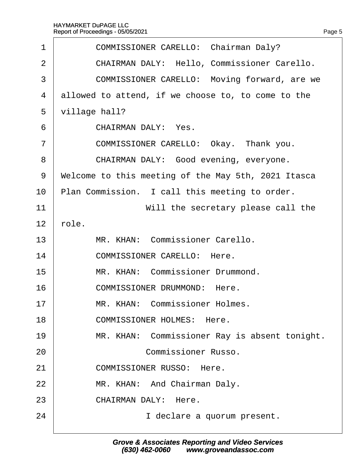| 1              | <b>COMMISSIONER CARELLO: Chairman Daly?</b>         |  |  |  |  |  |
|----------------|-----------------------------------------------------|--|--|--|--|--|
| 2              | <b>CHAIRMAN DALY: Hello, Commissioner Carello.</b>  |  |  |  |  |  |
| 3              | COMMISSIONER CARELLO: Moving forward, are we        |  |  |  |  |  |
| 4              | allowed to attend, if we choose to, to come to the  |  |  |  |  |  |
| 5              | village hall?                                       |  |  |  |  |  |
| 6              | <b>CHAIRMAN DALY: Yes.</b>                          |  |  |  |  |  |
| $\overline{7}$ | COMMISSIONER CARELLO: Okay. Thank you.              |  |  |  |  |  |
| 8              | CHAIRMAN DALY: Good evening, everyone.              |  |  |  |  |  |
| 9              | Welcome to this meeting of the May 5th, 2021 Itasca |  |  |  |  |  |
| 10             | Plan Commission. I call this meeting to order.      |  |  |  |  |  |
| 11             | Will the secretary please call the                  |  |  |  |  |  |
| 12             | ∤ole.                                               |  |  |  |  |  |
| 13             | MR. KHAN: Commissioner Carello.                     |  |  |  |  |  |
| 14             | <b>COMMISSIONER CARELLO: Here.</b>                  |  |  |  |  |  |
| 15             | MR. KHAN: Commissioner Drummond.                    |  |  |  |  |  |
| 16             | <b>COMMISSIONER DRUMMOND: Here.</b>                 |  |  |  |  |  |
| 17             | <b>MR. KHAN: Commissioner Holmes</b>                |  |  |  |  |  |
| 18             | <b>COMMISSIONER HOLMES: Here.</b>                   |  |  |  |  |  |
| 19             | MR. KHAN: Commissioner Ray is absent tonight.       |  |  |  |  |  |
| 20             | <b>Commissioner Russo.</b>                          |  |  |  |  |  |
| 21             | <b>COMMISSIONER RUSSO: Here.</b>                    |  |  |  |  |  |
| 22             | MR. KHAN: And Chairman Daly.                        |  |  |  |  |  |
| 23             | <b>CHAIRMAN DALY: Here.</b>                         |  |  |  |  |  |
| 24             | I declare a quorum present.                         |  |  |  |  |  |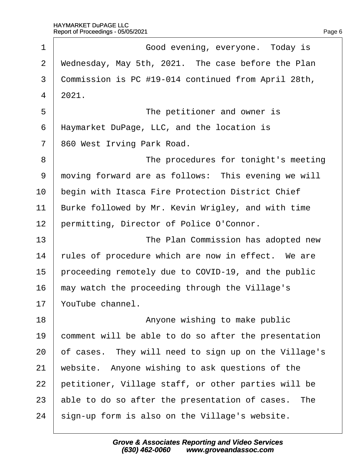| 1              | Good evening, everyone. Today is                     |
|----------------|------------------------------------------------------|
| $\overline{2}$ | Wednesday, May 5th, 2021. The case before the Plan   |
| 3              | Commission is PC #19-014 continued from April 28th,  |
| 4              | 2021.                                                |
| 5              | The petitioner and owner is                          |
| 6              | Haymarket DuPage, LLC, and the location is           |
| $\overline{7}$ | 860 West Irving Park Road.                           |
| 8              | The procedures for tonight's meeting                 |
| 9              | moving forward are as follows: This evening we will  |
| 10             | begin with Itasca Fire Protection District Chief     |
| 11             | Burke followed by Mr. Kevin Wrigley, and with time   |
| 12             | permitting, Director of Police O'Connor.             |
| 13             | The Plan Commission has adopted new                  |
| 14             | tules of procedure which are now in effect. We are   |
| 15             | proceeding remotely due to COVID-19, and the public  |
| 16             | may watch the proceeding through the Village's       |
| 17             | YouTube channel.                                     |
| 18             | Anyone wishing to make public                        |
| 19             | comment will be able to do so after the presentation |
| 20             | of cases. They will need to sign up on the Village's |
| 21             | website. Anyone wishing to ask questions of the      |
| 22             | petitioner, Village staff, or other parties will be  |
| 23             | able to do so after the presentation of cases. The   |
| 24             | sign-up form is also on the Village's website.       |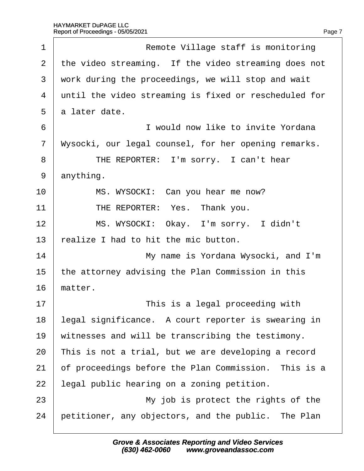| 1              | Remote Village staff is monitoring                    |
|----------------|-------------------------------------------------------|
| 2              | the video streaming. If the video streaming does not  |
| 3              | work during the proceedings, we will stop and wait    |
| $\overline{4}$ | until the video streaming is fixed or rescheduled for |
| 5              | a later date.                                         |
| 6              | I would now like to invite Yordana                    |
| 7              | Wysocki, our legal counsel, for her opening remarks.  |
| 8              | THE REPORTER: I'm sorry. I can't hear                 |
| 9              | anything.                                             |
| 10             | MS. WYSOCKI: Can you hear me now?                     |
| 11             | THE REPORTER: Yes. Thank you.                         |
| 12             | MS. WYSOCKI: Okay. I'm sorry. I didn't                |
| 13             | ealize I had to hit the mic button.                   |
| 14             | My name is Yordana Wysocki, and I'm                   |
| 15             | the attorney advising the Plan Commission in this     |
| 16             | matter.                                               |
| 17             | This is a legal proceeding with                       |
| 18             | legal significance. A court reporter is swearing in   |
| 19             | witnesses and will be transcribing the testimony.     |
| 20             | This is not a trial, but we are developing a record   |
| 21             | of proceedings before the Plan Commission. This is a  |
| 22             | legal public hearing on a zoning petition.            |
| 23             | My job is protect the rights of the                   |
| 24             | petitioner, any objectors, and the public. The Plan   |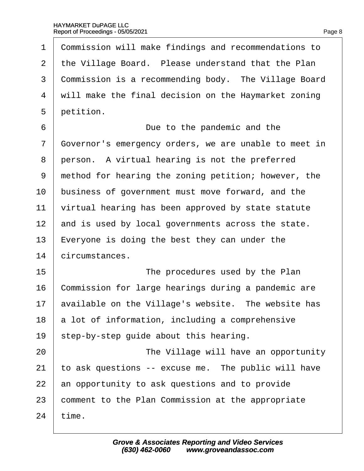| 1  | Commission will make findings and recommendations to  |
|----|-------------------------------------------------------|
| 2  | the Village Board. Please understand that the Plan    |
| 3  | Commission is a recommending body. The Village Board  |
| 4  | will make the final decision on the Haymarket zoning  |
| 5  | petition.                                             |
| 6  | Due to the pandemic and the                           |
| 7  | Governor's emergency orders, we are unable to meet in |
| 8  | person. A virtual hearing is not the preferred        |
| 9  | method for hearing the zoning petition; however, the  |
| 10 | business of government must move forward, and the     |
| 11 | virtual hearing has been approved by state statute    |
| 12 | and is used by local governments across the state.    |
| 13 | Everyone is doing the best they can under the         |
| 14 | circumstances.                                        |
| 15 | The procedures used by the Plan                       |
| 16 | Commission for large hearings during a pandemic are   |
| 17 | available on the Village's website. The website has   |
| 18 | a lot of information, including a comprehensive       |
| 19 | step-by-step guide about this hearing.                |
| 20 | The Village will have an opportunity                  |
| 21 | to ask questions -- excuse me. The public will have   |
| 22 | an opportunity to ask questions and to provide        |
| 23 | comment to the Plan Commission at the appropriate     |
| 24 | time.                                                 |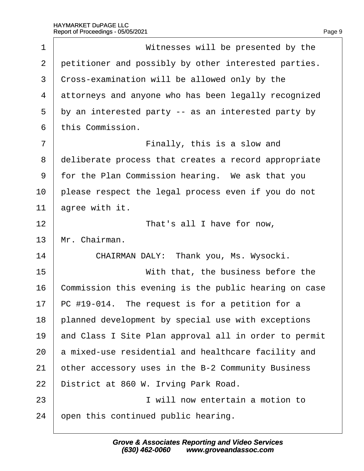| 1              | Witnesses will be presented by the                    |
|----------------|-------------------------------------------------------|
| $\overline{2}$ | petitioner and possibly by other interested parties.  |
| 3              | Cross-examination will be allowed only by the         |
| 4              | attorneys and anyone who has been legally recognized  |
| 5              | by an interested party -- as an interested party by   |
| 6              | this Commission.                                      |
| $\overline{7}$ | Finally, this is a slow and                           |
| 8              | deliberate process that creates a record appropriate  |
| 9              | for the Plan Commission hearing. We ask that you      |
| 10             | please respect the legal process even if you do not   |
| 11             | agree with it.                                        |
| 12             | That's all I have for now,                            |
| 13             | Mr. Chairman.                                         |
| 14             | CHAIRMAN DALY: Thank you, Ms. Wysocki.                |
| 15             | With that, the business before the                    |
| 16             | Commission this evening is the public hearing on case |
| 17             | PC #19-014. The request is for a petition for a       |
| 18             | planned development by special use with exceptions    |
| 19             | and Class I Site Plan approval all in order to permit |
| 20             | a mixed-use residential and healthcare facility and   |
| 21             | other accessory uses in the B-2 Community Business    |
| 22             | District at 860 W. Irving Park Road.                  |
| 23             | I will now entertain a motion to                      |
| 24             | open this continued public hearing.                   |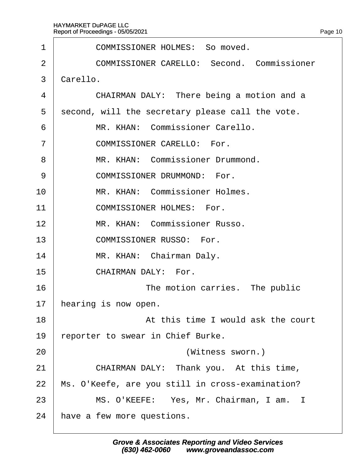| 1              | <b>COMMISSIONER HOLMES: So moved.</b>             |  |  |  |  |  |
|----------------|---------------------------------------------------|--|--|--|--|--|
| $\overline{2}$ | <b>COMMISSIONER CARELLO: Second. Commissioner</b> |  |  |  |  |  |
| 3              | Carello.                                          |  |  |  |  |  |
| 4              | CHAIRMAN DALY: There being a motion and a         |  |  |  |  |  |
| 5              | second, will the secretary please call the vote.  |  |  |  |  |  |
| 6              | MR. KHAN: Commissioner Carello.                   |  |  |  |  |  |
| $\overline{7}$ | <b>COMMISSIONER CARELLO: For.</b>                 |  |  |  |  |  |
| 8              | MR. KHAN: Commissioner Drummond.                  |  |  |  |  |  |
| 9              | <b>COMMISSIONER DRUMMOND: For.</b>                |  |  |  |  |  |
| 10             | MR. KHAN: Commissioner Holmes.                    |  |  |  |  |  |
| 11             | <b>COMMISSIONER HOLMES: For.</b>                  |  |  |  |  |  |
| 12             | MR. KHAN: Commissioner Russo.                     |  |  |  |  |  |
| 13             | <b>COMMISSIONER RUSSO: For.</b>                   |  |  |  |  |  |
| 14             | MR. KHAN: Chairman Daly.                          |  |  |  |  |  |
| 15             | CHAIRMAN DALY: For.                               |  |  |  |  |  |
| 16             | The motion carries. The public                    |  |  |  |  |  |
| 17             | hearing is now open.                              |  |  |  |  |  |
| 18             | At this time I would ask the court                |  |  |  |  |  |
| 19             | reporter to swear in Chief Burke.                 |  |  |  |  |  |
| 20             | (Witness sworn.)                                  |  |  |  |  |  |
| 21             | CHAIRMAN DALY: Thank you. At this time,           |  |  |  |  |  |
| 22             | Ms. O'Keefe, are you still in cross-examination?  |  |  |  |  |  |
| 23             | MS. O'KEEFE: Yes, Mr. Chairman, I am. I           |  |  |  |  |  |
| 24             | have a few more questions.                        |  |  |  |  |  |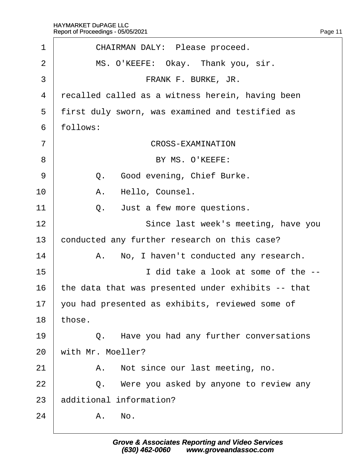| 1              | CHAIRMAN DALY: Please proceed.                     |
|----------------|----------------------------------------------------|
| $\overline{2}$ | MS. O'KEEFE: Okay. Thank you, sir.                 |
| 3              | FRANK F. BURKE, JR.                                |
| 4              | recalled called as a witness herein, having been   |
| 5              | first duly sworn, was examined and testified as    |
| 6              | follows:                                           |
| $\overline{7}$ | <b>CROSS-EXAMINATION</b>                           |
| 8              | BY MS. O'KEEFE:                                    |
| 9              | Q. Good evening, Chief Burke.                      |
| 10             | A. Hello, Counsel.                                 |
| 11             | Just a few more questions.<br>Q.                   |
| 12             | Since last week's meeting, have you                |
| 13             | conducted any further research on this case?       |
| 14             | A. No, I haven't conducted any research.           |
| 15             | I did take a look at some of the --                |
| 16             | the data that was presented under exhibits -- that |
|                | 17 you had presented as exhibits, reviewed some of |
| 18             | those.                                             |
| 19             | Q. Have you had any further conversations          |
| 20             | with Mr. Moeller?                                  |
| 21             | A. Not since our last meeting, no.                 |
| 22             | Q. Were you asked by anyone to review any          |
| 23             | additional information?                            |
| 24             | A. No.                                             |
|                |                                                    |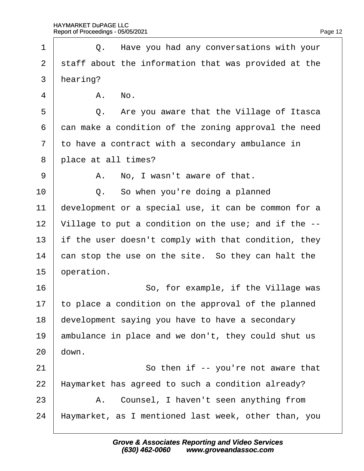| 1              |                                                      | Q. Have you had any conversations with your          |  |  |
|----------------|------------------------------------------------------|------------------------------------------------------|--|--|
| $\overline{2}$ | staff about the information that was provided at the |                                                      |  |  |
| 3              | hearing?                                             |                                                      |  |  |
| 4              |                                                      | A. No.                                               |  |  |
| 5              |                                                      | Q. Are you aware that the Village of Itasca          |  |  |
| 6              |                                                      | dan make a condition of the zoning approval the need |  |  |
| $\overline{7}$ |                                                      | to have a contract with a secondary ambulance in     |  |  |
| 8              |                                                      | place at all times?                                  |  |  |
| 9              |                                                      | A. No, I wasn't aware of that.                       |  |  |
| 10             |                                                      | Q. So when you're doing a planned                    |  |  |
| 11             |                                                      | development or a special use, it can be common for a |  |  |
| 12             |                                                      | Village to put a condition on the use; and if the -- |  |  |
| 13             |                                                      | if the user doesn't comply with that condition, they |  |  |
| 14             | can stop the use on the site. So they can halt the   |                                                      |  |  |
| 15             | operation.                                           |                                                      |  |  |
| 16             |                                                      | So, for example, if the Village was                  |  |  |
| 17             |                                                      | to place a condition on the approval of the planned  |  |  |
| 18             |                                                      | development saying you have to have a secondary      |  |  |
| 19             |                                                      | ambulance in place and we don't, they could shut us  |  |  |
| 20             | down.                                                |                                                      |  |  |
| 21             |                                                      | So then if -- you're not aware that                  |  |  |
| 22             |                                                      | Haymarket has agreed to such a condition already?    |  |  |
| 23             |                                                      | A. Counsel, I haven't seen anything from             |  |  |
| 24             |                                                      | Haymarket, as I mentioned last week, other than, you |  |  |
|                |                                                      |                                                      |  |  |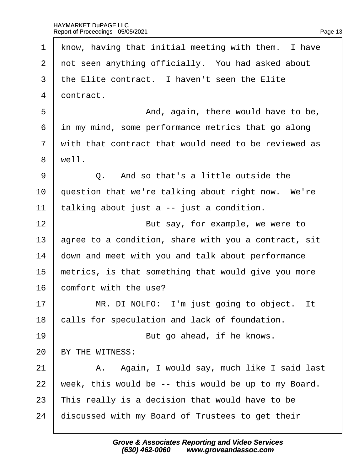1 know, having that initial meeting with them. I have 2 not seen anything officially. You had asked about 3 the Elite contract. I haven't seen the Elite 4 dontract. 5 **b And, again, there would have to be,** 6 in my mind, some performance metrics that go along 7 with that contract that would need to be reviewed as 8 well.  $9 \mid Q$ . And so that's a little outside the 10 question that we're talking about right now. We're 11  $\frac{1}{2}$  talking about just a -- just a condition. 12 **But say, for example, we were to** 13 agree to a condition, share with you a contract, sit 14 down and meet with you and talk about performance 15 metrics, is that something that would give you more 16 **comfort with the use?**  $17$  | MR. DI NOLFO: I'm just going to object. It 18 calls for speculation and lack of foundation.  $19$   $\parallel$  But go ahead, if he knows. 20 BY THE WITNESS: 21 | A. Again, I would say, much like I said last 22 week, this would be -- this would be up to my Board. 23 This really is a decision that would have to be 24 discussed with my Board of Trustees to get their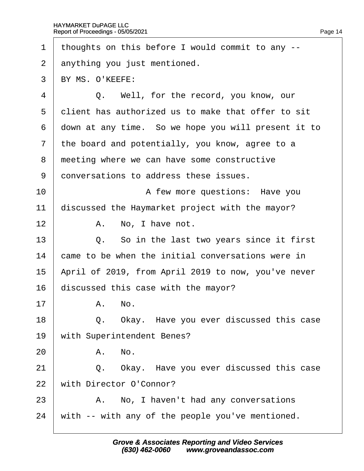| 1              |                                                 | thoughts on this before I would commit to any --    |  |
|----------------|-------------------------------------------------|-----------------------------------------------------|--|
| 2              | anything you just mentioned.                    |                                                     |  |
| 3              | BY MS. O'KEEFE:                                 |                                                     |  |
| 4              |                                                 | Q. Well, for the record, you know, our              |  |
| 5              |                                                 | dient has authorized us to make that offer to sit   |  |
| 6              |                                                 | down at any time. So we hope you will present it to |  |
| $\overline{7}$ |                                                 | the board and potentially, you know, agree to a     |  |
| 8              | meeting where we can have some constructive     |                                                     |  |
| 9              | donversations to address these issues.          |                                                     |  |
| 10             |                                                 | A few more questions: Have you                      |  |
| 11             | discussed the Haymarket project with the mayor? |                                                     |  |
| 12             |                                                 | A. No, I have not.                                  |  |
| 13             |                                                 | Q. So in the last two years since it first          |  |
| 14             |                                                 | came to be when the initial conversations were in   |  |
| 15             |                                                 | April of 2019, from April 2019 to now, you've never |  |
| 16             | discussed this case with the mayor?             |                                                     |  |
| 17             |                                                 | A. No.                                              |  |
| 18             |                                                 | Q. Okay. Have you ever discussed this case          |  |
| 19             |                                                 | with Superintendent Benes?                          |  |
| 20             |                                                 | A. No.                                              |  |
| 21             |                                                 | Q. Okay. Have you ever discussed this case          |  |
| 22             |                                                 | with Director O'Connor?                             |  |
| 23             |                                                 | A. No, I haven't had any conversations              |  |
| 24             |                                                 | with -- with any of the people you've mentioned.    |  |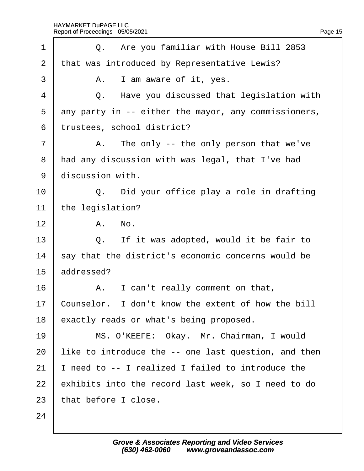| 1              |            | Q. Are you familiar with House Bill 2853             |
|----------------|------------|------------------------------------------------------|
| 2              |            | that was introduced by Representative Lewis?         |
| 3              |            | A. I am aware of it, yes.                            |
| 4              |            | Q. Have you discussed that legislation with          |
| 5              |            | any party in -- either the mayor, any commissioners, |
| 6              |            | trustees, school district?                           |
| $\overline{7}$ |            | A. The only -- the only person that we've            |
| 8              |            | had any discussion with was legal, that I've had     |
| 9              |            | discussion with.                                     |
| 10             |            | Q. Did your office play a role in drafting           |
| 11             |            | the legislation?                                     |
| 12             |            | A. No.                                               |
| 13             |            | Q. If it was adopted, would it be fair to            |
| 14             |            | say that the district's economic concerns would be   |
| 15             | addressed? |                                                      |
| 16             |            | A. I can't really comment on that,                   |
| 17             |            | Counselor. I don't know the extent of how the bill   |
| 18             |            | exactly reads or what's being proposed.              |
| 19             |            | MS. O'KEEFE: Okay. Mr. Chairman, I would             |
| 20             |            | like to introduce the -- one last question, and then |
| 21             |            | need to -- I realized I failed to introduce the      |
| 22             |            | exhibits into the record last week, so I need to do  |
| 23             |            | that before I close.                                 |
| 24             |            |                                                      |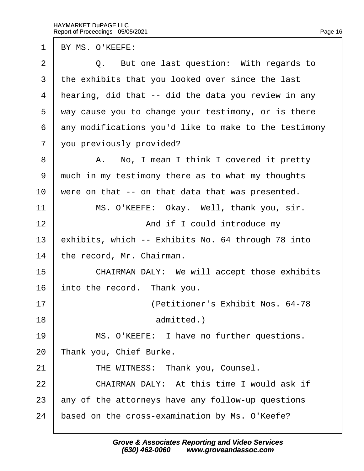1 BY MS. O'KEEFE: 2  $\vert$  Q. But one last question: With regards to 3 the exhibits that you looked over since the last 4 hearing, did that -- did the data you review in any 5 way cause you to change your testimony, or is there 6 dny modifications you'd like to make to the testimony 7 you previously provided? 8 | A. No, I mean I think I covered it pretty 9 much in my testimony there as to what my thoughts 10 were on that -- on that data that was presented. 11 | MS. O'KEEFE: Okay. Well, thank you, sir. 12 **And if I could introduce my** 13 exhibits, which -- Exhibits No. 64 through 78 into 14 the record, Mr. Chairman. 15 **CHAIRMAN DALY:** We will accept those exhibits 16 into the record. Thank you. 17· · · · · · · · · · ·(Petitioner's Exhibit Nos. 64-78 18 **admitted.**) 19 | MS. O'KEEFE: I have no further questions. 20 Thank you, Chief Burke. 21 | THE WITNESS: Thank you, Counsel.  $22$   $\pm$  CHAIRMAN DALY: At this time I would ask if 23 any of the attorneys have any follow-up questions 24 based on the cross-examination by Ms. O'Keefe?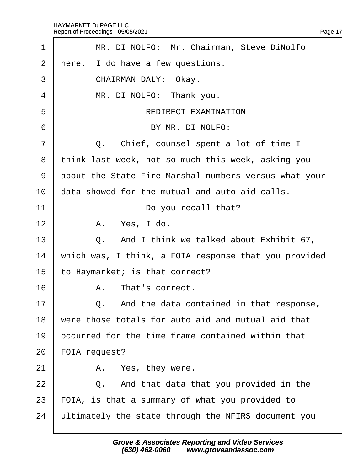| 1              | MR. DI NOLFO: Mr. Chairman, Steve DiNolfo             |
|----------------|-------------------------------------------------------|
| 2              | Here. I do have a few questions.                      |
| 3              | CHAIRMAN DALY: Okay.                                  |
| 4              | MR. DI NOLFO: Thank you.                              |
| 5              | <b>REDIRECT EXAMINATION</b>                           |
| 6              | BY MR. DI NOLFO:                                      |
| $\overline{7}$ | Q. Chief, counsel spent a lot of time I               |
| 8              | think last week, not so much this week, asking you    |
| 9              | about the State Fire Marshal numbers versus what your |
| 10             | data showed for the mutual and auto aid calls.        |
| 11             | Do you recall that?                                   |
| 12             | A. Yes, I do.                                         |
| 13             | Q. And I think we talked about Exhibit 67,            |
| 14             | which was, I think, a FOIA response that you provided |
| 15             | to Haymarket; is that correct?                        |
| 16             | A. That's correct.                                    |
| 17             | Q. And the data contained in that response,           |
| 18             | were those totals for auto aid and mutual aid that    |
| 19             | occurred for the time frame contained within that     |
| 20             | FOIA request?                                         |
| 21             | A. Yes, they were.                                    |
| 22             | And that data that you provided in the<br>Q.          |
| 23             | FOIA, is that a summary of what you provided to       |
| 24             | ultimately the state through the NFIRS document you   |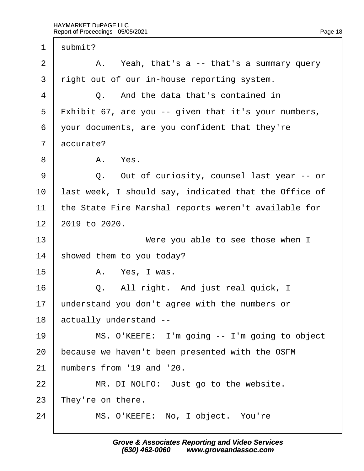| $\mathbf 1$    | submit?                                               |
|----------------|-------------------------------------------------------|
| $\overline{2}$ | A. Yeah, that's a -- that's a summary query           |
| 3              | right out of our in-house reporting system.           |
| 4              | Q. And the data that's contained in                   |
| 5              | Exhibit 67, are you -- given that it's your numbers,  |
| 6              | your documents, are you confident that they're        |
| $\overline{7}$ | accurate?                                             |
| 8              | A. Yes.                                               |
| 9              | Q. Out of curiosity, counsel last year -- or          |
| 10             | last week, I should say, indicated that the Office of |
| 11             | the State Fire Marshal reports weren't available for  |
| 12             | 2019 to 2020.                                         |
| 13             | Were you able to see those when I                     |
| 14             | showed them to you today?                             |
| 15             | A. Yes, I was.                                        |
| 16             | Q. All right. And just real quick, I                  |
| 17             | understand you don't agree with the numbers or        |
| 18             | actually understand --                                |
| 19             | MS. O'KEEFE: I'm going -- I'm going to object         |
| 20             | because we haven't been presented with the OSFM       |
| 21             | humbers from '19 and '20.                             |
| 22             | MR. DI NOLFO: Just go to the website.                 |
| 23             | They're on there.                                     |
| 24             | MS. O'KEEFE: No, I object. You're                     |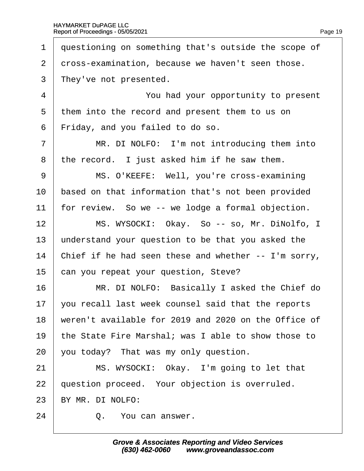| 1              | questioning on something that's outside the scope of |
|----------------|------------------------------------------------------|
| $\overline{2}$ | dross-examination, because we haven't seen those.    |
| 3              | They've not presented.                               |
| $\overline{4}$ | You had your opportunity to present                  |
| 5              | them into the record and present them to us on       |
| 6              | Friday, and you failed to do so.                     |
| $\overline{7}$ | MR. DI NOLFO: I'm not introducing them into          |
| 8              | the record. I just asked him if he saw them.         |
| 9              | MS. O'KEEFE: Well, you're cross-examining            |
| 10             | based on that information that's not been provided   |
| 11             | for review. So we -- we lodge a formal objection.    |
| 12             | MS. WYSOCKI: Okay. So -- so, Mr. DiNolfo, I          |
| 13             | understand your question to be that you asked the    |
| 14             | Chief if he had seen these and whether -- I'm sorry, |
| 15             | can you repeat your question, Steve?                 |
| 16             | MR. DI NOLFO: Basically I asked the Chief do         |
| 17             | you recall last week counsel said that the reports   |
| 18             | weren't available for 2019 and 2020 on the Office of |
| 19             | the State Fire Marshal; was I able to show those to  |
| 20             | you today? That was my only question.                |
| 21             | MS. WYSOCKI: Okay. I'm going to let that             |
| 22             | question proceed. Your objection is overruled.       |
| 23             | BY MR. DI NOLFO:                                     |
| 24             | Q. You can answer.                                   |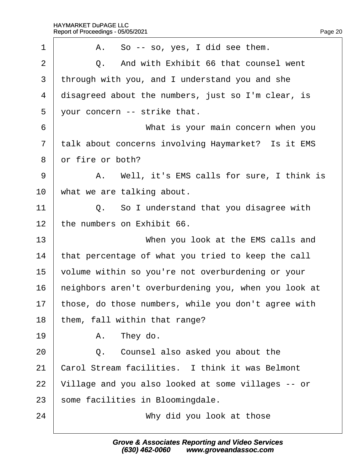| 1              | A. So -- so, yes, I did see them.                    |
|----------------|------------------------------------------------------|
| $\overline{2}$ | Q. And with Exhibit 66 that counsel went             |
| 3              | through with you, and I understand you and she       |
| 4              | disagreed about the numbers, just so I'm clear, is   |
| 5              | your concern -- strike that.                         |
| 6              | What is your main concern when you                   |
| $\overline{7}$ | talk about concerns involving Haymarket? Is it EMS   |
| 8              | or fire or both?                                     |
| 9              | A. Well, it's EMS calls for sure, I think is         |
| 10             | what we are talking about.                           |
| 11             | Q. So I understand that you disagree with            |
| 12             | the numbers on Exhibit 66.                           |
| 13             | When you look at the EMS calls and                   |
| 14             | that percentage of what you tried to keep the call   |
| 15             | volume within so you're not overburdening or your    |
| 16             | heighbors aren't overburdening you, when you look at |
| 17             | those, do those numbers, while you don't agree with  |
| 18             | them, fall within that range?                        |
| 19             | A. They do.                                          |
| 20             | Counsel also asked you about the<br>Q.               |
| 21             | Carol Stream facilities. I think it was Belmont      |
| 22             | Village and you also looked at some villages -- or   |
| 23             | some facilities in Bloomingdale.                     |
| 24             | Why did you look at those                            |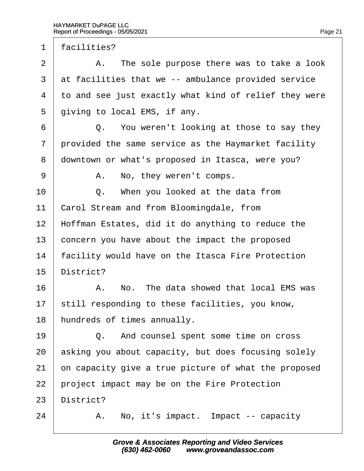1 facilities?

 $2 \mid$  A. The sole purpose there was to take a look 3 at facilities that we -- ambulance provided service 4 to and see just exactly what kind of relief they were 5 diving to local EMS, if any.  $6 \mid Q$ . You weren't looking at those to say they 7 provided the same service as the Haymarket facility 8 downtown or what's proposed in Itasca, were you? 9 | A. No, they weren't comps.  $10$   $\Box$  Q. When you looked at the data from 11 Carol Stream and from Bloomingdale, from 12 Hoffman Estates, did it do anything to reduce the 13 concern you have about the impact the proposed 14 facility would have on the Itasca Fire Protection 15 District? 16 A. No. The data showed that local EMS was 17 still responding to these facilities, you know, 18 hundreds of times annually. 19 **Q.** And counsel spent some time on cross 20 asking you about capacity, but does focusing solely 21 on capacity give a true picture of what the proposed 22 project impact may be on the Fire Protection 23 District?  $24$  | A. No, it's impact. Impact -- capacity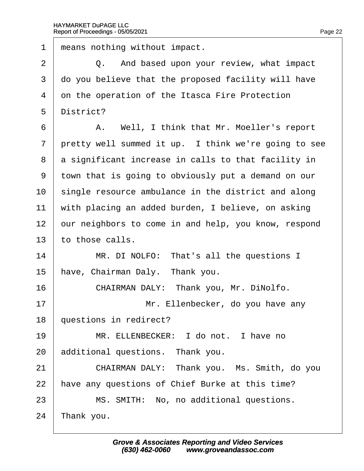| $\mathbf 1$ | means nothing without impact.                        |
|-------------|------------------------------------------------------|
| 2           | Q. And based upon your review, what impact           |
| 3           | do you believe that the proposed facility will have  |
| 4           | on the operation of the Itasca Fire Protection       |
| 5           | District?                                            |
| 6           | A. Well, I think that Mr. Moeller's report           |
| 7           | pretty well summed it up. I think we're going to see |
| 8           | a significant increase in calls to that facility in  |
| 9           | town that is going to obviously put a demand on our  |
| 10          | single resource ambulance in the district and along  |
| 11          | with placing an added burden, I believe, on asking   |
| 12          | our neighbors to come in and help, you know, respond |
| 13          | to those calls.                                      |
| 14          | MR. DI NOLFO: That's all the questions I             |
| 15          | have, Chairman Daly. Thank you.                      |
| 16          | CHAIRMAN DALY: Thank you, Mr. DiNolfo.               |
| 17          | Mr. Ellenbecker, do you have any                     |
| 18          | questions in redirect?                               |
| 19          | MR. ELLENBECKER: I do not. I have no                 |
| 20          | additional questions. Thank you.                     |
| 21          | CHAIRMAN DALY: Thank you. Ms. Smith, do you          |
| 22          | have any questions of Chief Burke at this time?      |
| 23          | MS. SMITH: No, no additional questions.              |
| 24          | Thank you.                                           |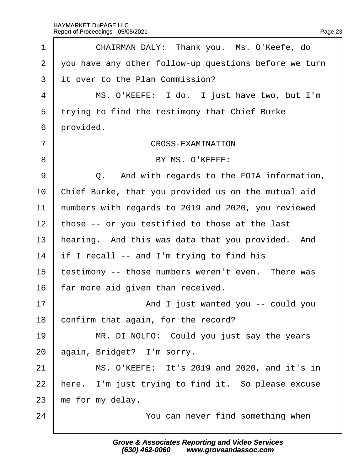| 1              | CHAIRMAN DALY: Thank you. Ms. O'Keefe, do             |
|----------------|-------------------------------------------------------|
| 2              | you have any other follow-up questions before we turn |
| 3              | it over to the Plan Commission?                       |
| 4              | MS. O'KEEFE: I do. I just have two, but I'm           |
| 5              | trying to find the testimony that Chief Burke         |
| 6              | provided.                                             |
| $\overline{7}$ | <b>CROSS-EXAMINATION</b>                              |
| 8              | BY MS. O'KEEFE:                                       |
| 9              | Q. And with regards to the FOIA information,          |
| 10             | Chief Burke, that you provided us on the mutual aid   |
| 11             | humbers with regards to 2019 and 2020, you reviewed   |
| 12             | those -- or you testified to those at the last        |
| 13             | hearing. And this was data that you provided. And     |
| 14             | if I recall -- and I'm trying to find his             |
| 15             | testimony -- those numbers weren't even. There was    |
| 16             | far more aid given than received.                     |
| 17             | And I just wanted you -- could you                    |
| 18             | confirm that again, for the record?                   |
| 19             | MR. DI NOLFO: Could you just say the years            |
| 20             | again, Bridget? I'm sorry.                            |
| 21             | MS. O'KEEFE: It's 2019 and 2020, and it's in          |
| 22             | here. I'm just trying to find it. So please excuse    |
| 23             | me for my delay.                                      |
| 24             | You can never find something when                     |
|                |                                                       |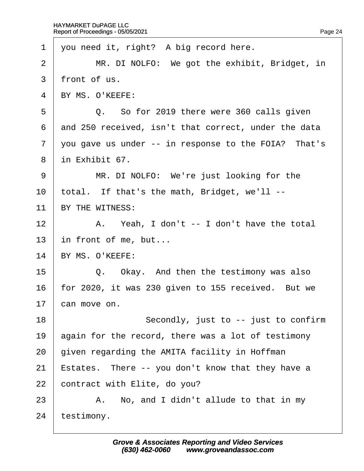| 1              | you need it, right? A big record here.               |
|----------------|------------------------------------------------------|
| 2              | MR. DI NOLFO: We got the exhibit, Bridget, in        |
| 3              | front of us.                                         |
| 4              | BY MS. O'KEEFE:                                      |
| 5              | Q. So for 2019 there were 360 calls given            |
| 6              | and 250 received, isn't that correct, under the data |
| $\overline{7}$ | you gave us under -- in response to the FOIA? That's |
| 8              | in Exhibit 67.                                       |
| 9              | MR. DI NOLFO: We're just looking for the             |
| 10             | total. If that's the math, Bridget, we'll --         |
| 11             | BY THE WITNESS:                                      |
| 12             | A. Yeah, I don't -- I don't have the total           |
| 13             | in front of me, but                                  |
| 14             | BY MS. O'KEEFE:                                      |
| 15             | Q. Okay. And then the testimony was also             |
| 16             | for 2020, it was 230 given to 155 received. But we   |
| 17             | can move on.                                         |
| 18             | Secondly, just to -- just to confirm                 |
| 19             | again for the record, there was a lot of testimony   |
| 20             | given regarding the AMITA facility in Hoffman        |
| 21             | Estates. There -- you don't know that they have a    |
| 22             | contract with Elite, do you?                         |
| 23             | A. No, and I didn't allude to that in my             |
| 24             | testimony.                                           |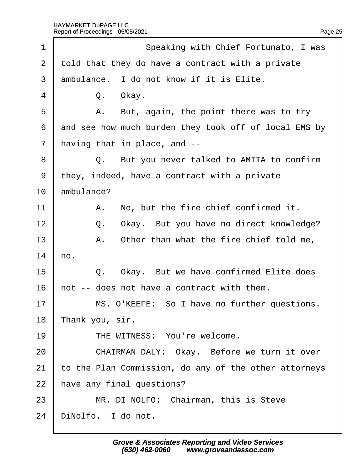| 1  | Speaking with Chief Fortunato, I was                  |
|----|-------------------------------------------------------|
| 2  | told that they do have a contract with a private      |
| 3  | ambulance. I do not know if it is Elite.              |
| 4  | Q. Okay.                                              |
| 5  | A. But, again, the point there was to try             |
| 6  | and see how much burden they took off of local EMS by |
| 7  | having that in place, and --                          |
| 8  | Q. But you never talked to AMITA to confirm           |
| 9  | they, indeed, have a contract with a private          |
| 10 | ambulance?                                            |
| 11 | A. No, but the fire chief confirmed it.               |
| 12 | Okay. But you have no direct knowledge?<br>Q.         |
| 13 | A. Other than what the fire chief told me,            |
| 14 | ho.                                                   |
| 15 | Q. Okay. But we have confirmed Elite does             |
| 16 | hot -- does not have a contract with them.            |
| 17 | MS. O'KEEFE: So I have no further questions.          |
| 18 | Thank you, sir.                                       |
| 19 | THE WITNESS: You're welcome.                          |
| 20 | CHAIRMAN DALY: Okay. Before we turn it over           |
| 21 | to the Plan Commission, do any of the other attorneys |
| 22 | have any final questions?                             |
| 23 | MR. DI NOLFO: Chairman, this is Steve                 |
| 24 | DiNolfo. I do not.                                    |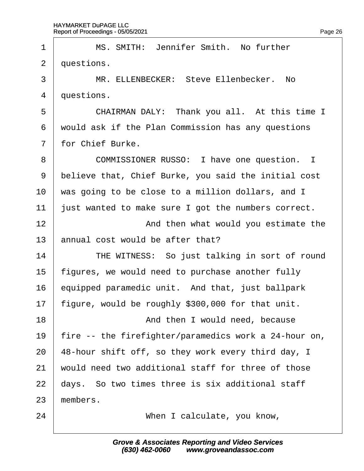| 1              | MS. SMITH: Jennifer Smith. No further                 |
|----------------|-------------------------------------------------------|
| 2              | duestions.                                            |
| 3              | MR. ELLENBECKER: Steve Ellenbecker. No                |
| 4              | duestions.                                            |
| 5              | CHAIRMAN DALY: Thank you all. At this time I          |
| 6              | would ask if the Plan Commission has any questions    |
| $\overline{7}$ | for Chief Burke.                                      |
| 8              | COMMISSIONER RUSSO: I have one question. I            |
| 9              | believe that, Chief Burke, you said the initial cost  |
| 10             | was going to be close to a million dollars, and I     |
| 11             | just wanted to make sure I got the numbers correct.   |
| 12             | And then what would you estimate the                  |
| 13             | annual cost would be after that?                      |
| 14             | THE WITNESS: So just talking in sort of round         |
| 15             | figures, we would need to purchase another fully      |
| 16             | equipped paramedic unit. And that, just ballpark      |
| 17             | figure, would be roughly \$300,000 for that unit.     |
| 18             | And then I would need, because                        |
| 19             | fire -- the firefighter/paramedics work a 24-hour on, |
| 20             | 48-hour shift off, so they work every third day, I    |
| 21             | would need two additional staff for three of those    |
| 22             | days. So two times three is six additional staff      |
| 23             | members.                                              |
| 24             | When I calculate, you know,                           |
|                |                                                       |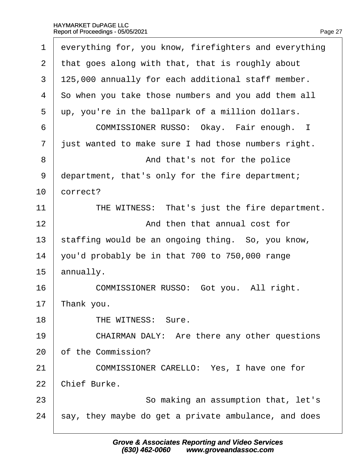| 1              | everything for, you know, firefighters and everything |
|----------------|-------------------------------------------------------|
| 2              | that goes along with that, that is roughly about      |
| 3              | 125,000 annually for each additional staff member.    |
| 4              | So when you take those numbers and you add them all   |
| 5              | up, you're in the ballpark of a million dollars.      |
| 6              | COMMISSIONER RUSSO: Okay. Fair enough. I              |
| $\overline{7}$ | just wanted to make sure I had those numbers right.   |
| 8              | And that's not for the police                         |
| 9              | department, that's only for the fire department;      |
| 10             | correct?                                              |
| 11             | THE WITNESS: That's just the fire department.         |
| 12             | And then that annual cost for                         |
| 13             | staffing would be an ongoing thing. So, you know,     |
| 14             | you'd probably be in that 700 to 750,000 range        |
| 15             | annually.                                             |
| 16             | COMMISSIONER RUSSO: Got you. All right.               |
| 17             | Thank you.                                            |
| 18             | THE WITNESS: Sure.                                    |
| 19             | CHAIRMAN DALY: Are there any other questions          |
| 20             | of the Commission?                                    |
| 21             | COMMISSIONER CARELLO: Yes, I have one for             |
| 22             | Chief Burke.                                          |
| 23             | So making an assumption that, let's                   |
| 24             | say, they maybe do get a private ambulance, and does  |
|                |                                                       |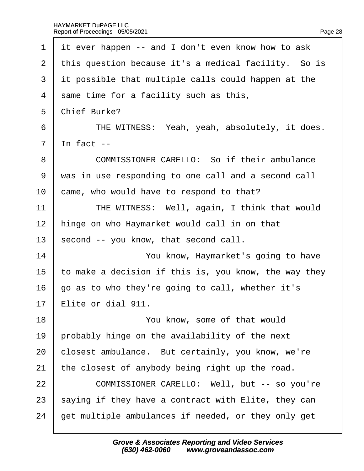| 1              | it ever happen -- and I don't even know how to ask    |
|----------------|-------------------------------------------------------|
| $\overline{2}$ | this question because it's a medical facility. So is  |
| 3              | it possible that multiple calls could happen at the   |
| 4              | same time for a facility such as this,                |
| 5              | <b>Chief Burke?</b>                                   |
| 6              | THE WITNESS: Yeah, yeah, absolutely, it does.         |
| $\overline{7}$ | In fact $-$                                           |
| 8              | COMMISSIONER CARELLO: So if their ambulance           |
| 9              | was in use responding to one call and a second call   |
| 10             | came, who would have to respond to that?              |
| 11             | THE WITNESS: Well, again, I think that would          |
| 12             | hinge on who Haymarket would call in on that          |
| 13             | second -- you know, that second call.                 |
| 14             | You know, Haymarket's going to have                   |
| 15             | to make a decision if this is, you know, the way they |
| 16             | go as to who they're going to call, whether it's      |
| 17             | Elite or dial 911.                                    |
| 18             | You know, some of that would                          |
| 19             | probably hinge on the availability of the next        |
| 20             | closest ambulance. But certainly, you know, we're     |
| 21             | the closest of anybody being right up the road.       |
| 22             | COMMISSIONER CARELLO: Well, but -- so you're          |
| 23             | saying if they have a contract with Elite, they can   |
| 24             | get multiple ambulances if needed, or they only get   |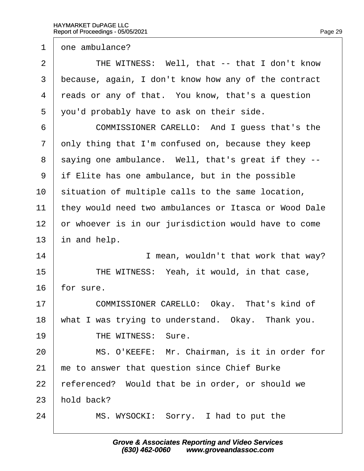1 dne ambulance?

2 | THE WITNESS: Well, that -- that I don't know 3 because, again, I don't know how any of the contract 4 reads or any of that. You know, that's a question 5 you'd probably have to ask on their side. 6 COMMISSIONER CARELLO: And I quess that's the 7 only thing that I'm confused on, because they keep 8 saying one ambulance. Well, that's great if they --9 if Elite has one ambulance, but in the possible 10 situation of multiple calls to the same location, 11 they would need two ambulances or Itasca or Wood Dale 12 or whoever is in our jurisdiction would have to come 13 in and help. 14 **I** mean, wouldn't that work that way? 15 **THE WITNESS: Yeah, it would, in that case,** 16 for sure. 17 | COMMISSIONER CARELLO: Okay. That's kind of 18 what I was trying to understand. Okay. Thank you. 19 | THE WITNESS: Sure. 20 | MS. O'KEEFE: Mr. Chairman, is it in order for 21 he to answer that question since Chief Burke 22 referenced? Would that be in order, or should we 23 hold back? 24 | MS. WYSOCKI: Sorry. I had to put the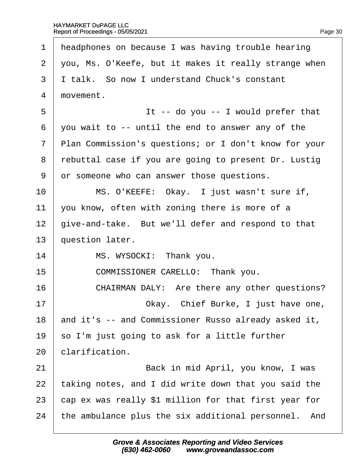| 1              | headphones on because I was having trouble hearing    |
|----------------|-------------------------------------------------------|
| 2              | you, Ms. O'Keefe, but it makes it really strange when |
| 3              | I talk. So now I understand Chuck's constant          |
| $\overline{4}$ | movement.                                             |
| 5              | It -- do you -- I would prefer that                   |
| 6              | you wait to -- until the end to answer any of the     |
| $\overline{7}$ | Plan Commission's questions; or I don't know for your |
| 8              | rebuttal case if you are going to present Dr. Lustig  |
| 9              | or someone who can answer those questions.            |
| 10             | MS. O'KEEFE: Okay. I just wasn't sure if,             |
| 11             | you know, often with zoning there is more of a        |
| 12             | give-and-take. But we'll defer and respond to that    |
| 13             | question later.                                       |
| 14             | MS. WYSOCKI: Thank you.                               |
| 15             | COMMISSIONER CARELLO: Thank you.                      |
| 16             | CHAIRMAN DALY: Are there any other questions?         |
| 17             | Okay. Chief Burke, I just have one,                   |
| 18             | and it's -- and Commissioner Russo already asked it,  |
| 19             | so I'm just going to ask for a little further         |
| 20             | clarification.                                        |
| 21             | Back in mid April, you know, I was                    |
| 22             | taking notes, and I did write down that you said the  |
| 23             | cap ex was really \$1 million for that first year for |
| 24             | the ambulance plus the six additional personnel. And  |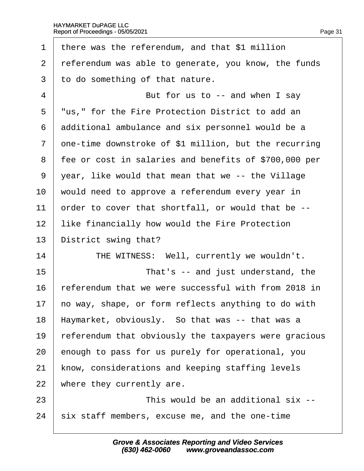| 1              | there was the referendum, and that \$1 million        |
|----------------|-------------------------------------------------------|
| 2              | referendum was able to generate, you know, the funds  |
| 3              | to do something of that nature.                       |
| 4              | But for us to -- and when I say                       |
| 5              | "us," for the Fire Protection District to add an      |
| 6              | additional ambulance and six personnel would be a     |
| $\overline{7}$ | ghe-time downstroke of \$1 million, but the recurring |
| 8              | fee or cost in salaries and benefits of \$700,000 per |
| 9              | year, like would that mean that we -- the Village     |
| 10             | would need to approve a referendum every year in      |
| 11             | order to cover that shortfall, or would that be --    |
| 12             | like financially how would the Fire Protection        |
| 13             | District swing that?                                  |
| 14             | THE WITNESS: Well, currently we wouldn't.             |
| 15             | That's -- and just understand, the                    |
| 16             | referendum that we were successful with from 2018 in  |
| 17             | ho way, shape, or form reflects anything to do with   |
| 18             | Haymarket, obviously. So that was -- that was a       |
| 19             | referendum that obviously the taxpayers were gracious |
| 20             | enough to pass for us purely for operational, you     |
| 21             | know, considerations and keeping staffing levels      |
| 22             | where they currently are.                             |
| 23             | This would be an additional six --                    |
| 24             | six staff members, excuse me, and the one-time        |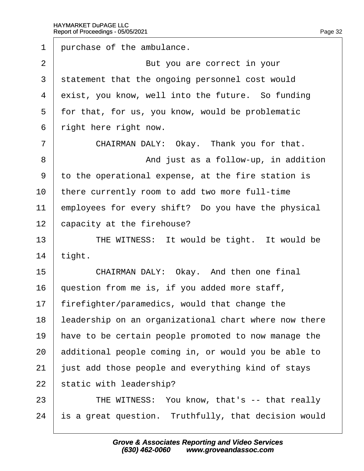1 purchase of the ambulance. 2 **But you are correct in your** 3 statement that the ongoing personnel cost would 4 exist, you know, well into the future. So funding 5 for that, for us, you know, would be problematic 6 right here right now.  $7$   $\blacksquare$  CHAIRMAN DALY: Okay. Thank you for that. 8 **8** And just as a follow-up, in addition ·9· ·to the operational expense, at the fire station is 10 there currently room to add two more full-time 11 employees for every shift? Do you have the physical 12 capacity at the firehouse? 13 | THE WITNESS: It would be tight. It would be 14  $tight.$ 15 **CHAIRMAN DALY: Okay. And then one final** 16 duestion from me is, if you added more staff, 17 firefighter/paramedics, would that change the 18 leadership on an organizational chart where now there 19 have to be certain people promoted to now manage the 20 additional people coming in, or would you be able to 21 just add those people and everything kind of stays 22 static with leadership? 23 **THE WITNESS: You know, that's -- that really** 24 is a great question. Truthfully, that decision would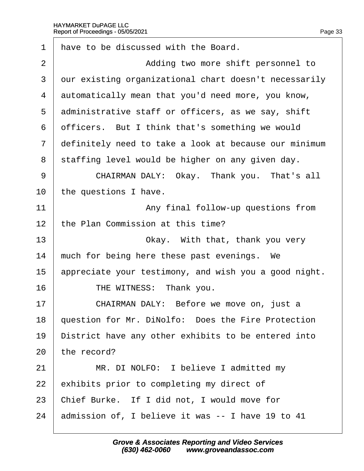| 1              | have to be discussed with the Board.                  |
|----------------|-------------------------------------------------------|
| $\overline{2}$ | Adding two more shift personnel to                    |
| 3              | dur existing organizational chart doesn't necessarily |
| 4              | automatically mean that you'd need more, you know,    |
| 5              | administrative staff or officers, as we say, shift    |
| 6              | officers. But I think that's something we would       |
| $\overline{7}$ | definitely need to take a look at because our minimum |
| 8              | staffing level would be higher on any given day.      |
| 9              | CHAIRMAN DALY: Okay. Thank you. That's all            |
| 10             | the questions I have.                                 |
| 11             | Any final follow-up questions from                    |
| 12             | the Plan Commission at this time?                     |
| 13             | Okay. With that, thank you very                       |
| 14             | much for being here these past evenings. We           |
| 15             | appreciate your testimony, and wish you a good night. |
| 16             | THE WITNESS: Thank you.                               |
| 17             | CHAIRMAN DALY: Before we move on, just a              |
| 18             | question for Mr. DiNolfo: Does the Fire Protection    |
| 19             | District have any other exhibits to be entered into   |
| 20             | the record?                                           |
| 21             | MR. DI NOLFO: I believe I admitted my                 |
| 22             | exhibits prior to completing my direct of             |
| 23             | Chief Burke. If I did not, I would move for           |
| 24             | admission of, I believe it was -- I have 19 to 41     |
|                |                                                       |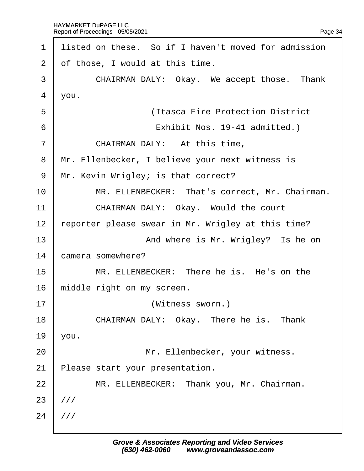| 1              | listed on these. So if I haven't moved for admission |
|----------------|------------------------------------------------------|
| 2              | of those, I would at this time.                      |
| 3              | CHAIRMAN DALY: Okay. We accept those. Thank          |
| 4              | you.                                                 |
| 5              | (Itasca Fire Protection District)                    |
| 6              | Exhibit Nos. 19-41 admitted.)                        |
| $\overline{7}$ | CHAIRMAN DALY: At this time,                         |
| 8              | Mr. Ellenbecker, I believe your next witness is      |
| 9              | Mr. Kevin Wrigley; is that correct?                  |
| 10             | MR. ELLENBECKER: That's correct, Mr. Chairman.       |
| 11             | CHAIRMAN DALY: Okay. Would the court                 |
| 12             | reporter please swear in Mr. Wrigley at this time?   |
| 13             | And where is Mr. Wrigley? Is he on                   |
| 14             | camera somewhere?                                    |
| 15             | MR. ELLENBECKER: There he is. He's on the            |
| 16             | middle right on my screen.                           |
| 17             | (Witness sworn.)                                     |
| 18             | CHAIRMAN DALY: Okay. There he is. Thank              |
| 19             | you.                                                 |
| 20             | Mr. Ellenbecker, your witness.                       |
| 21             | Please start your presentation.                      |
| 22             | MR. ELLENBECKER: Thank you, Mr. Chairman.            |
| 23             | ///                                                  |
| 24             | 1//                                                  |
|                |                                                      |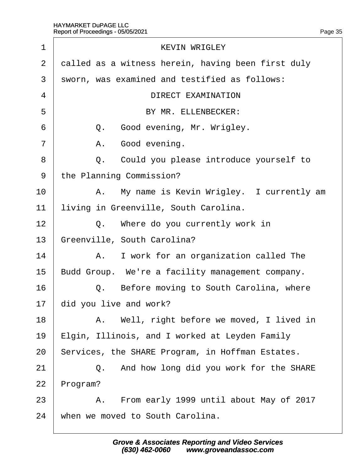| 1              | <b>KEVIN WRIGLEY</b>                               |
|----------------|----------------------------------------------------|
| $\overline{2}$ | dalled as a witness herein, having been first duly |
| 3              | sworn, was examined and testified as follows:      |
| 4              | <b>DIRECT EXAMINATION</b>                          |
| 5              | BY MR. ELLENBECKER:                                |
| 6              | Q. Good evening, Mr. Wrigley.                      |
| 7              | Good evening.<br>А.                                |
| 8              | Q. Could you please introduce yourself to          |
| 9              | the Planning Commission?                           |
| 10             | A. My name is Kevin Wrigley. I currently am        |
| 11             | living in Greenville, South Carolina.              |
| 12             | Q. Where do you currently work in                  |
| 13             | Greenville, South Carolina?                        |
| 14             | A. I work for an organization called The           |
| 15             | Budd Group. We're a facility management company.   |
| 16             | Q. Before moving to South Carolina, where          |
| 17             | did you live and work?                             |
| 18             | A. Well, right before we moved, I lived in         |
| 19             | Elgin, Illinois, and I worked at Leyden Family     |
| 20             | Services, the SHARE Program, in Hoffman Estates.   |
| 21             | Q. And how long did you work for the SHARE         |
| 22             | Program?                                           |
| 23             | A. From early 1999 until about May of 2017         |
| 24             | when we moved to South Carolina.                   |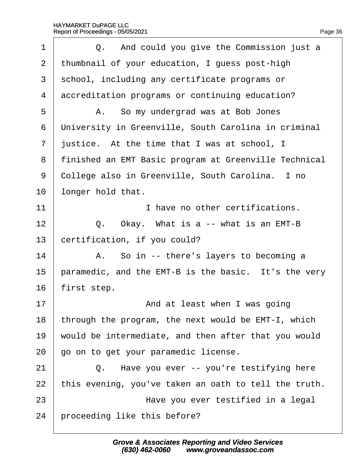| 1              | Q. And could you give the Commission just a           |
|----------------|-------------------------------------------------------|
| 2              | thumbnail of your education, I guess post-high        |
| 3              | school, including any certificate programs or         |
| 4              | accreditation programs or continuing education?       |
| 5              | A. So my undergrad was at Bob Jones                   |
| 6              | University in Greenville, South Carolina in criminal  |
| $\overline{7}$ | justice. At the time that I was at school, I          |
| 8              | finished an EMT Basic program at Greenville Technical |
| 9              | College also in Greenville, South Carolina. I no      |
| 10             | longer hold that.                                     |
| 11             | I have no other certifications.                       |
| 12             | Q. Okay. What is a -- what is an EMT-B                |
| 13             | certification, if you could?                          |
| 14             | A. So in -- there's layers to becoming a              |
| 15             | paramedic, and the EMT-B is the basic. It's the very  |
| 16             | first step.                                           |
| 17             | And at least when I was going                         |
| 18             | through the program, the next would be EMT-I, which   |
| 19             | would be intermediate, and then after that you would  |
| 20             | go on to get your paramedic license.                  |
| 21             | Q. Have you ever -- you're testifying here            |
| 22             | this evening, you've taken an oath to tell the truth. |
| 23             | Have you ever testified in a legal                    |
| 24             | proceeding like this before?                          |
|                |                                                       |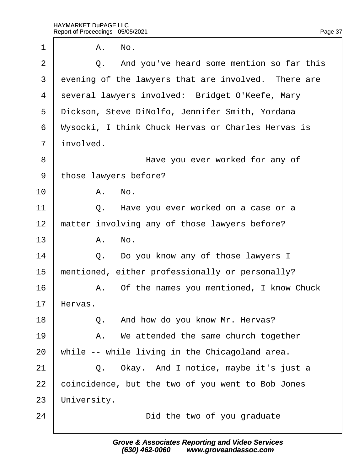$1 \parallel A. \parallel$  No. 2  $\vert$  Q. And you've heard some mention so far this 3 evening of the lawyers that are involved. There are 4 several lawyers involved: Bridget O'Keefe, Mary 5 Dickson, Steve DiNolfo, Jennifer Smith, Yordana ·6· ·Wysocki, I think Chuck Hervas or Charles Hervas is 7 involved. 8 **B Have you ever worked for any of** 9 those lawyers before?  $10$   $A$   $No$ . 11  $\vert$  Q. Have you ever worked on a case or a 12 matter involving any of those lawyers before?  $13$   $A.$  No.  $14$   $\Box$  Q. Do you know any of those lawyers I 15 mentioned, either professionally or personally? 16 A. Of the names you mentioned, I know Chuck 17 Hervas. 18 **Q.** And how do you know Mr. Hervas?  $19$  | A. We attended the same church together 20 while -- while living in the Chicagoland area. 21  $\vert$  Q. Okay. And I notice, maybe it's just a 22 coincidence, but the two of you went to Bob Jones 23 University. 24 **Did the two of you graduate**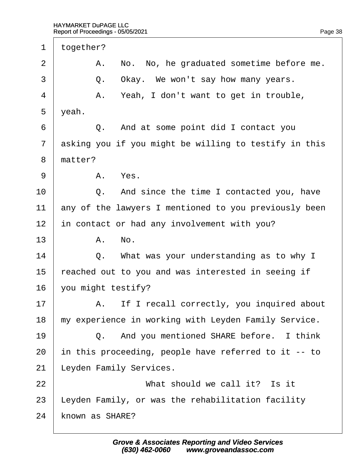| 1              | together? |                                                       |
|----------------|-----------|-------------------------------------------------------|
| 2              |           | A. No. No, he graduated sometime before me.           |
| 3              |           | Q. Okay. We won't say how many years.                 |
| 4              |           | A. Yeah, I don't want to get in trouble,              |
| 5              | yeah.     |                                                       |
| 6              |           | Q. And at some point did I contact you                |
| $\overline{7}$ |           | asking you if you might be willing to testify in this |
| 8              | matter?   |                                                       |
| 9              |           | A. Yes.                                               |
| 10             |           | Q. And since the time I contacted you, have           |
| 11             |           | any of the lawyers I mentioned to you previously been |
| 12             |           | in contact or had any involvement with you?           |
| 13             |           | A. No.                                                |
| 14             |           | Q. What was your understanding as to why I            |
| 15             |           | reached out to you and was interested in seeing if    |
| 16             |           | you might testify?                                    |
| 17             |           | A. If I recall correctly, you inquired about          |
| 18             |           | my experience in working with Leyden Family Service.  |
| 19             |           | Q. And you mentioned SHARE before. I think            |
| 20             |           | in this proceeding, people have referred to it -- to  |
| 21             |           | eyden Family Services.                                |
| 22             |           | What should we call it? Is it                         |
| 23             |           | eyden Family, or was the rehabilitation facility.     |
| 24             |           | known as SHARE?                                       |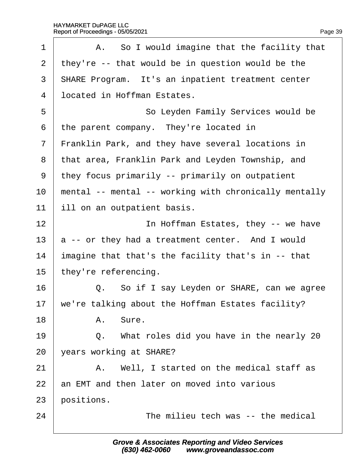| 1              | A. So I would imagine that the facility that             |
|----------------|----------------------------------------------------------|
| $\overline{2}$ | they're -- that would be in question would be the        |
| 3              | <b>SHARE Program.</b> It's an inpatient treatment center |
| $\overline{4}$ | Iocated in Hoffman Estates.                              |
| 5              | So Leyden Family Services would be                       |
| 6              | the parent company. They're located in                   |
| 7              | Franklin Park, and they have several locations in        |
| 8              | that area, Franklin Park and Leyden Township, and        |
| 9              | they focus primarily -- primarily on outpatient          |
| 10             | mental -- mental -- working with chronically mentally    |
| 11             | ill on an outpatient basis.                              |
| 12             | In Hoffman Estates, they -- we have                      |
| 13             | a -- or they had a treatment center. And I would         |
| 14             | Imagine that that's the facility that's in -- that       |
| 15             | they're referencing.                                     |
| 16             | Q. So if I say Leyden or SHARE, can we agree             |
| 17             | we're talking about the Hoffman Estates facility?        |
| 18             | A. Sure.                                                 |
| 19             | Q. What roles did you have in the nearly 20              |
| 20             | years working at SHARE?                                  |
| 21             | A. Well, I started on the medical staff as               |
| 22             | an EMT and then later on moved into various              |
| 23             | positions.                                               |
| 24             | The milieu tech was -- the medical                       |
|                |                                                          |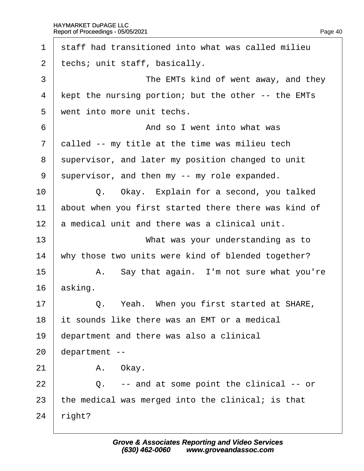| 1              | staff had transitioned into what was called milieu   |
|----------------|------------------------------------------------------|
| 2              | techs; unit staff, basically.                        |
| 3              | The EMTs kind of went away, and they                 |
| 4              | Kept the nursing portion; but the other -- the EMTs  |
| 5              | went into more unit techs.                           |
| 6              | And so I went into what was                          |
| $\overline{7}$ | dalled -- my title at the time was milieu tech       |
| 8              | supervisor, and later my position changed to unit    |
| 9              | supervisor, and then my -- my role expanded.         |
| 10             | Q. Okay. Explain for a second, you talked            |
| 11             | about when you first started there there was kind of |
| 12             | a medical unit and there was a clinical unit.        |
| 13             | What was your understanding as to                    |
| 14             | why those two units were kind of blended together?   |
| 15             | A. Say that again. I'm not sure what you're          |
| 16             | asking.                                              |
| 17             | Q. Yeah. When you first started at SHARE,            |
| 18             | It sounds like there was an EMT or a medical         |
| 19             | department and there was also a clinical             |
| 20             | department --                                        |
| 21             | A. Okay.                                             |
| 22             | -- and at some point the clinical -- or<br>Q.        |
| 23             | the medical was merged into the clinical; is that    |
| 24             | right?                                               |
|                |                                                      |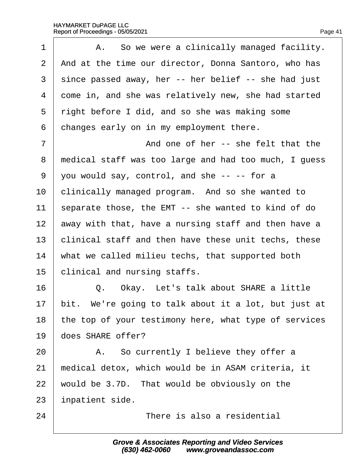| 1              | A. So we were a clinically managed facility.          |
|----------------|-------------------------------------------------------|
| $\overline{2}$ | And at the time our director, Donna Santoro, who has  |
| 3              | since passed away, her -- her belief -- she had just  |
| 4              | dome in, and she was relatively new, she had started  |
| 5              | right before I did, and so she was making some        |
| 6              | changes early on in my employment there.              |
| 7              | And one of her -- she felt that the                   |
| 8              | medical staff was too large and had too much, I guess |
| 9              | you would say, control, and she -- -- for a           |
| 10             | clinically managed program. And so she wanted to      |
| 11             | separate those, the EMT -- she wanted to kind of do   |
| 12             | away with that, have a nursing staff and then have a  |
| 13             | clinical staff and then have these unit techs, these  |
| 14             | what we called milieu techs, that supported both      |
| 15             | clinical and nursing staffs.                          |
| 16             | Q. Okay. Let's talk about SHARE a little              |
| 17             | bit. We're going to talk about it a lot, but just at  |
| 18             | the top of your testimony here, what type of services |
| 19             | does SHARE offer?                                     |
| 20             | A. So currently I believe they offer a                |
| 21             | medical detox, which would be in ASAM criteria, it    |
| 22             | would be 3.7D. That would be obviously on the         |
| 23             | inpatient side.                                       |
| 24             | There is also a residential                           |
|                |                                                       |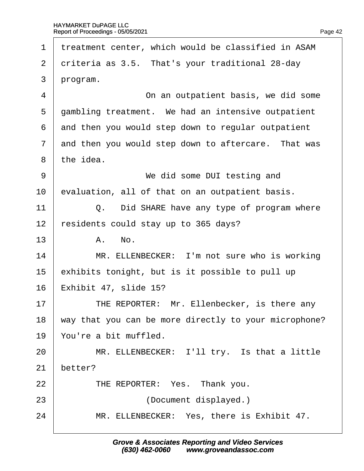| 1              | treatment center, which would be classified in ASAM   |
|----------------|-------------------------------------------------------|
| 2              | driteria as 3.5. That's your traditional 28-day       |
| 3              | program.                                              |
| 4              | On an outpatient basis, we did some                   |
| 5              | gambling treatment. We had an intensive outpatient    |
| 6              | and then you would step down to regular outpatient    |
| $\overline{7}$ | and then you would step down to aftercare. That was   |
| 8              | the idea.                                             |
| 9              | We did some DUI testing and                           |
| 10             | evaluation, all of that on an outpatient basis.       |
| 11             | Q. Did SHARE have any type of program where           |
| 12             | esidents could stay up to 365 days?                   |
| 13             | A. No.                                                |
| 14             | MR. ELLENBECKER: I'm not sure who is working          |
| 15             | exhibits tonight, but is it possible to pull up       |
| 16             | Exhibit 47, slide 15?                                 |
| 17             | THE REPORTER: Mr. Ellenbecker, is there any           |
| 18             | way that you can be more directly to your microphone? |
| 19             | You're a bit muffled.                                 |
| 20             | MR. ELLENBECKER: I'll try. Is that a little           |
| 21             | better?                                               |
| 22             | THE REPORTER: Yes. Thank you.                         |
| 23             | (Document displayed.)                                 |
| 24             | MR. ELLENBECKER: Yes, there is Exhibit 47.            |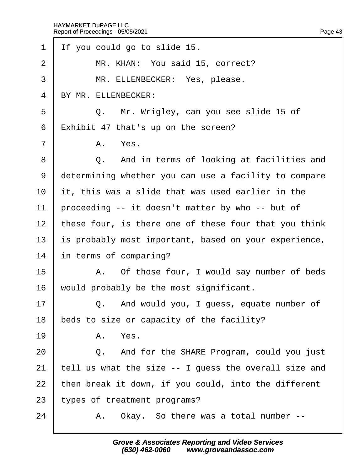| 1              | If you could go to slide 15.                          |
|----------------|-------------------------------------------------------|
| $\overline{2}$ | MR. KHAN: You said 15, correct?                       |
| 3              | MR. ELLENBECKER: Yes, please.                         |
| 4              | BY MR. ELLENBECKER:                                   |
| 5              | Q. Mr. Wrigley, can you see slide 15 of               |
| 6              | Exhibit 47 that's up on the screen?                   |
| $\overline{7}$ | A. Yes.                                               |
| 8              | Q. And in terms of looking at facilities and          |
| 9              | determining whether you can use a facility to compare |
| 10             | it, this was a slide that was used earlier in the     |
| 11             | proceeding -- it doesn't matter by who -- but of      |
| 12             | these four, is there one of these four that you think |
| 13             | is probably most important, based on your experience, |
| 14             | in terms of comparing?                                |
| 15             | A. Of those four, I would say number of beds          |
| 16             | would probably be the most significant.               |
| 17             | Q. And would you, I guess, equate number of           |
| 18             | beds to size or capacity of the facility?             |
| 19             | A. Yes.                                               |
| 20             | Q. And for the SHARE Program, could you just          |
| 21             | tell us what the size -- I guess the overall size and |
| 22             | then break it down, if you could, into the different  |
| 23             | types of treatment programs?                          |
| 24             | Okay. So there was a total number --<br>А.            |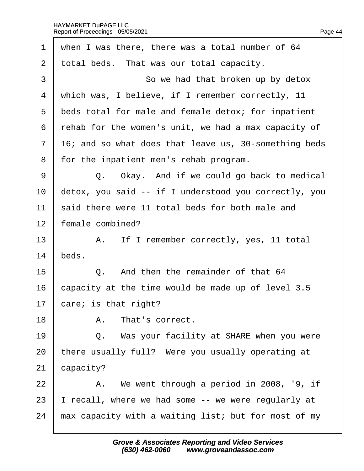| when I was there, there was a total number of 64      |
|-------------------------------------------------------|
| total beds. That was our total capacity.              |
| So we had that broken up by detox                     |
| which was, I believe, if I remember correctly, 11     |
| beds total for male and female detox; for inpatient   |
| rehab for the women's unit, we had a max capacity of  |
| 16; and so what does that leave us, 30-something beds |
| for the inpatient men's rehab program.                |
| Q. Okay. And if we could go back to medical           |
| detox, you said -- if I understood you correctly, you |
| said there were 11 total beds for both male and       |
| female combined?                                      |
| A. If I remember correctly, yes, 11 total             |
| beds.                                                 |
| Q. And then the remainder of that 64                  |
| capacity at the time would be made up of level 3.5    |
| care; is that right?                                  |
| That's correct.<br>А.                                 |
| Q. Was your facility at SHARE when you were           |
| there usually full? Were you usually operating at     |
| capacity?                                             |
| A. We went through a period in 2008, '9, if           |
| recall, where we had some -- we were regularly at     |
| max capacity with a waiting list; but for most of my  |
|                                                       |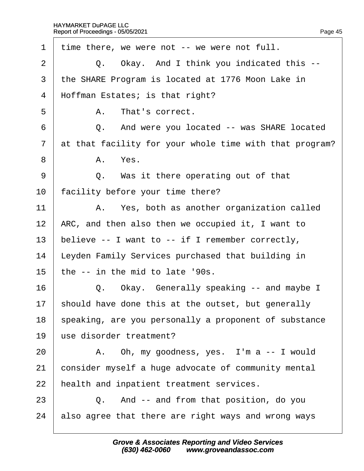| $\mathbf 1$    | time there, we were not -- we were not full.            |
|----------------|---------------------------------------------------------|
| 2              | Q. Okay. And I think you indicated this --              |
| 3              | the SHARE Program is located at 1776 Moon Lake in       |
| $\overline{4}$ | Hoffman Estates; is that right?                         |
| 5              | A. That's correct.                                      |
| 6              | Q. And were you located -- was SHARE located            |
| $\overline{7}$ | at that facility for your whole time with that program? |
| 8              | A. Yes.                                                 |
| 9              | Q. Was it there operating out of that                   |
| 10             | facility before your time there?                        |
| 11             | A. Yes, both as another organization called             |
| 12             | ARC, and then also then we occupied it, I want to       |
| 13             | believe -- I want to -- if I remember correctly,        |
| 14             | Leyden Family Services purchased that building in       |
| 15             | the -- in the mid to late '90s.                         |
| 16             | Q. Okay. Generally speaking -- and maybe I              |
| 17             | should have done this at the outset, but generally      |
| 18             | speaking, are you personally a proponent of substance   |
| 19             | use disorder treatment?                                 |
| 20             | A. Oh, my goodness, yes. I'm a -- I would               |
| 21             | consider myself a huge advocate of community mental     |
| 22             | health and inpatient treatment services.                |
| 23             | Q. And -- and from that position, do you                |
| 24             | also agree that there are right ways and wrong ways     |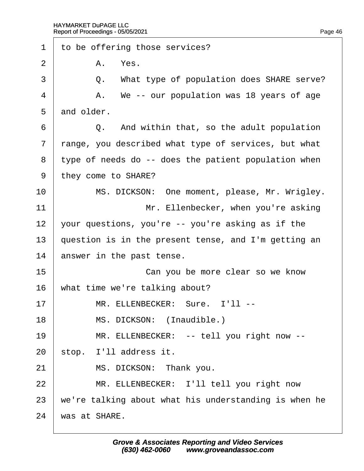| 1              | to be offering those services?                        |
|----------------|-------------------------------------------------------|
| $\overline{2}$ | A. Yes.                                               |
| 3              | Q. What type of population does SHARE serve?          |
| 4              | A. We -- our population was 18 years of age           |
| 5              | and older.                                            |
| 6              | Q. And within that, so the adult population           |
| $\overline{7}$ | range, you described what type of services, but what  |
| 8              | type of needs do -- does the patient population when  |
| 9              | they come to SHARE?                                   |
| 10             | MS. DICKSON: One moment, please, Mr. Wrigley.         |
| 11             | Mr. Ellenbecker, when you're asking                   |
| 12             | your questions, you're -- you're asking as if the     |
| 13             | question is in the present tense, and I'm getting an  |
| 14             | answer in the past tense.                             |
| 15             | Can you be more clear so we know                      |
| 16             | what time we're talking about?                        |
| 17             | MR. ELLENBECKER: Sure. I'll --                        |
| 18             | MS. DICKSON: (Inaudible.)                             |
| 19             | MR. ELLENBECKER: -- tell you right now --             |
| 20             | stop. I'll address it.                                |
| 21             | MS. DICKSON: Thank you.                               |
| 22             | MR. ELLENBECKER: I'll tell you right now              |
| 23             | we're talking about what his understanding is when he |
| 24             | was at SHARE.                                         |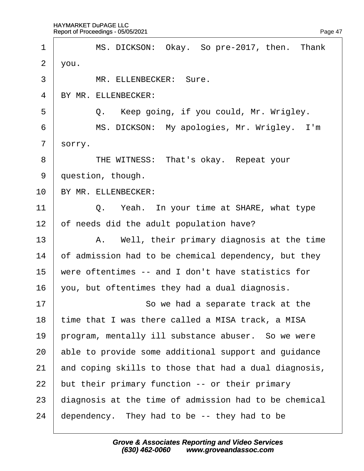| 1              | MS. DICKSON: Okay. So pre-2017, then. Thank           |
|----------------|-------------------------------------------------------|
| $\overline{2}$ | you.                                                  |
| 3              | MR. ELLENBECKER: Sure.                                |
| $\overline{4}$ | BY MR. ELLENBECKER:                                   |
| 5              | Q. Keep going, if you could, Mr. Wrigley.             |
| 6              | MS. DICKSON: My apologies, Mr. Wrigley. I'm           |
| $\overline{7}$ | sorry.                                                |
| 8              | THE WITNESS: That's okay. Repeat your                 |
| 9              | question, though.                                     |
| 10             | BY MR. ELLENBECKER:                                   |
| 11             | Q. Yeah. In your time at SHARE, what type             |
| 12             | of needs did the adult population have?               |
| 13             | A. Well, their primary diagnosis at the time          |
| 14             | of admission had to be chemical dependency, but they  |
| 15             | were oftentimes -- and I don't have statistics for    |
| 16             | you, but oftentimes they had a dual diagnosis.        |
| 17             | So we had a separate track at the                     |
| 18             | time that I was there called a MISA track, a MISA     |
| 19             | program, mentally ill substance abuser. So we were    |
| 20             | able to provide some additional support and guidance  |
| 21             | and coping skills to those that had a dual diagnosis, |
| 22             | but their primary function -- or their primary        |
| 23             | diagnosis at the time of admission had to be chemical |
| 24             | dependency. They had to be -- they had to be          |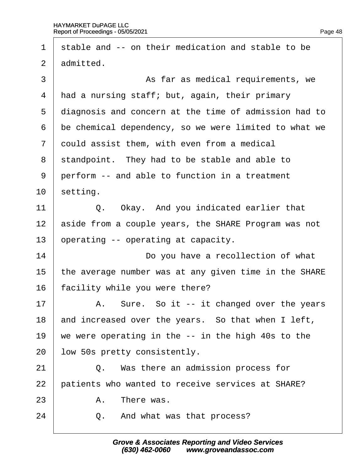| 1              | stable and -- on their medication and stable to be    |
|----------------|-------------------------------------------------------|
| 2              | admitted.                                             |
| 3              | As far as medical requirements, we                    |
| 4              | had a nursing staff; but, again, their primary        |
| 5              | diagnosis and concern at the time of admission had to |
| 6              | be chemical dependency, so we were limited to what we |
| $\overline{7}$ | dould assist them, with even from a medical           |
| 8              | standpoint. They had to be stable and able to         |
| 9              | perform -- and able to function in a treatment        |
| 10             | setting.                                              |
| 11             | Q. Okay. And you indicated earlier that               |
| 12             | aside from a couple years, the SHARE Program was not  |
| 13             | operating -- operating at capacity.                   |
| 14             | Do you have a recollection of what                    |
| 15             | the average number was at any given time in the SHARE |
| 16             | acility while you were there?                         |
| 17             | A. Sure. So it -- it changed over the years           |
| 18             | and increased over the years. So that when I left,    |
| 19             | we were operating in the -- in the high 40s to the    |
| 20             | low 50s pretty consistently.                          |
| 21             | Q. Was there an admission process for                 |
| 22             | patients who wanted to receive services at SHARE?     |
| 23             | There was.<br>A.                                      |
| 24             | And what was that process?<br>Q.                      |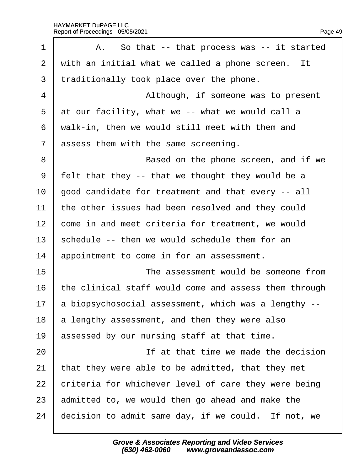| $\mathbf 1$    | A. So that -- that process was -- it started          |
|----------------|-------------------------------------------------------|
| $\overline{2}$ | with an initial what we called a phone screen. It     |
| 3              | traditionally took place over the phone.              |
| $\overline{4}$ | Although, if someone was to present                   |
| 5              | at our facility, what we -- what we would call a      |
| 6              | walk-in, then we would still meet with them and       |
| $\overline{7}$ | assess them with the same screening.                  |
| 8              | Based on the phone screen, and if we                  |
| 9              | felt that they -- that we thought they would be a     |
| 10             | good candidate for treatment and that every -- all    |
| 11             | the other issues had been resolved and they could     |
| 12             | come in and meet criteria for treatment, we would     |
| 13             | schedule -- then we would schedule them for an        |
| 14             | appointment to come in for an assessment.             |
| 15             | The assessment would be someone from                  |
| 16             | the clinical staff would come and assess them through |
| 17             | a biopsychosocial assessment, which was a lengthy --  |
| 18             | a lengthy assessment, and then they were also         |
| 19             | assessed by our nursing staff at that time.           |
| 20             | If at that time we made the decision                  |
| 21             | that they were able to be admitted, that they met     |
| 22             | criteria for whichever level of care they were being  |
| 23             | admitted to, we would then go ahead and make the      |
| 24             | decision to admit same day, if we could. If not, we   |
|                |                                                       |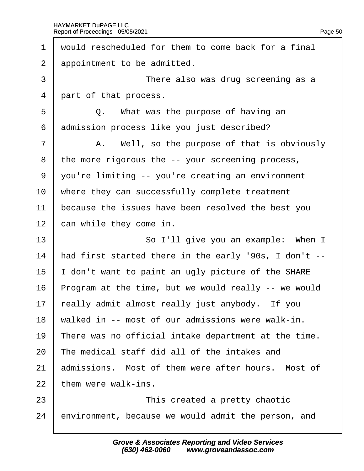$\Gamma$ 

| 1              | would rescheduled for them to come back for a final   |
|----------------|-------------------------------------------------------|
| 2              | appointment to be admitted.                           |
| 3              | There also was drug screening as a                    |
| $\overline{4}$ | part of that process.                                 |
| 5              | Q. What was the purpose of having an                  |
| 6              | admission process like you just described?            |
| 7              | A. Well, so the purpose of that is obviously          |
| 8              | the more rigorous the -- your screening process,      |
| 9              | you're limiting -- you're creating an environment     |
| 10             | where they can successfully complete treatment        |
| 11             | because the issues have been resolved the best you    |
| 12             | can while they come in.                               |
| 13             | So I'll give you an example: When I                   |
| 14             | had first started there in the early '90s, I don't -- |
| 15             | don't want to paint an ugly picture of the SHARE      |
| 16             | Program at the time, but we would really -- we would  |
| 17             | really admit almost really just anybody. If you       |
| 18             | walked in -- most of our admissions were walk-in.     |
| 19             | There was no official intake department at the time.  |
| 20             | The medical staff did all of the intakes and          |
| 21             | admissions. Most of them were after hours. Most of    |
| 22             | them were walk-ins.                                   |
| 23             | This created a pretty chaotic                         |
|                |                                                       |

24 environment, because we would admit the person, and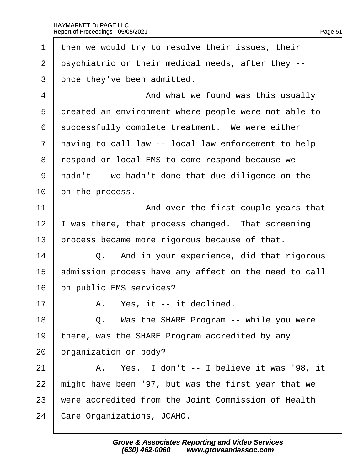1 then we would try to resolve their issues, their 2 psychiatric or their medical needs, after they --3 dnce they've been admitted. 4 **4** • And what we found was this usually 5 dreated an environment where people were not able to 6 successfully complete treatment. We were either 7 having to call law -- local law enforcement to help 8 respond or local EMS to come respond because we ·9· ·hadn't -- we hadn't done that due diligence on the -- 10 bn the process. 11 **And over the first couple years that** 12 I was there, that process changed. That screening 13 process became more rigorous because of that.  $14$   $\Box$  Q. And in your experience, did that rigorous 15 admission process have any affect on the need to call 16 bn public EMS services?  $17$   $\parallel$  A. Yes, it -- it declined. 18  $\vert$  Q. Was the SHARE Program -- while you were 19 there, was the SHARE Program accredited by any 20 brganization or body?  $21$  | A. Yes. I don't -- I believe it was '98, it 22 might have been '97, but was the first year that we 23 were accredited from the Joint Commission of Health 24 Care Organizations, JCAHO.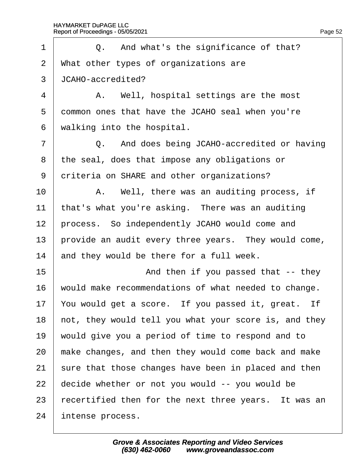| 1              | Q. And what's the significance of that?               |
|----------------|-------------------------------------------------------|
| 2              | What other types of organizations are                 |
| 3              | JCAHO-accredited?                                     |
| 4              | A. Well, hospital settings are the most               |
| 5              | dommon ones that have the JCAHO seal when you're      |
| 6              | walking into the hospital.                            |
| $\overline{7}$ | Q. And does being JCAHO-accredited or having          |
| 8              | the seal, does that impose any obligations or         |
| 9              | driteria on SHARE and other organizations?            |
| 10             | A. Well, there was an auditing process, if            |
| 11             | that's what you're asking. There was an auditing      |
| 12             | process. So independently JCAHO would come and        |
| 13             | provide an audit every three years. They would come,  |
| 14             | and they would be there for a full week.              |
| 15             | And then if you passed that -- they                   |
| 16             | would make recommendations of what needed to change.  |
| 17             | You would get a score. If you passed it, great. If    |
| 18             | hot, they would tell you what your score is, and they |
| 19             | would give you a period of time to respond and to     |
| 20             | make changes, and then they would come back and make  |
| 21             | sure that those changes have been in placed and then  |
| 22             | decide whether or not you would -- you would be       |
| 23             | recertified then for the next three years. It was an  |
| 24             | intense process.                                      |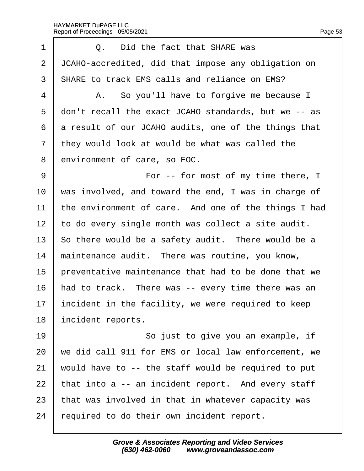| 1              | Q. Did the fact that SHARE was                       |
|----------------|------------------------------------------------------|
| $\overline{2}$ | JCAHO-accredited, did that impose any obligation on  |
| 3              | <b>SHARE to track EMS calls and reliance on EMS?</b> |
| 4              | A. So you'll have to forgive me because I            |
| 5              | don't recall the exact JCAHO standards, but we -- as |
| 6              | a result of our JCAHO audits, one of the things that |
| 7              | they would look at would be what was called the      |
| 8              | environment of care, so EOC.                         |
| 9              | For -- for most of my time there, I                  |
| 10             | was involved, and toward the end, I was in charge of |
| 11             | the environment of care. And one of the things I had |
| 12             | to do every single month was collect a site audit.   |
| 13             | So there would be a safety audit. There would be a   |
| 14             | maintenance audit. There was routine, you know,      |
| 15             | preventative maintenance that had to be done that we |
| 16             | had to track. There was -- every time there was an   |
| 17             | incident in the facility, we were required to keep   |
| 18             | incident reports.                                    |
| 19             | So just to give you an example, if                   |
| 20             | we did call 911 for EMS or local law enforcement, we |
| 21             | would have to -- the staff would be required to put  |
| 22             | that into a -- an incident report. And every staff   |
| 23             | that was involved in that in whatever capacity was   |
| 24             | equired to do their own incident report.             |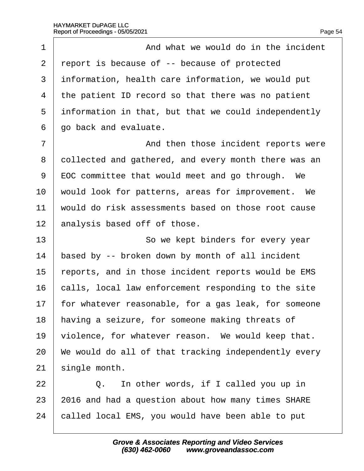| 1              | And what we would do in the incident                    |
|----------------|---------------------------------------------------------|
| 2              | report is because of -- because of protected            |
| 3              | information, health care information, we would put      |
| 4              | the patient ID record so that there was no patient      |
| 5              | information in that, but that we could independently    |
| 6              | go back and evaluate.                                   |
| $\overline{7}$ | And then those incident reports were                    |
| 8              | dollected and gathered, and every month there was an    |
| 9              | <b>EOC</b> committee that would meet and go through. We |
| 10             | would look for patterns, areas for improvement. We      |
| 11             | would do risk assessments based on those root cause     |
| 12             | analysis based off of those.                            |
| 13             | So we kept binders for every year                       |
| 14             | based by -- broken down by month of all incident        |
| 15             | reports, and in those incident reports would be EMS     |
| 16             | calls, local law enforcement responding to the site     |
| 17             | for whatever reasonable, for a gas leak, for someone    |
| 18             | having a seizure, for someone making threats of         |
| 19             | violence, for whatever reason. We would keep that.      |
| 20             | We would do all of that tracking independently every    |
| 21             | single month.                                           |
| 22             | Q. In other words, if I called you up in                |
| 23             | 2016 and had a question about how many times SHARE      |
| 24             | called local EMS, you would have been able to put       |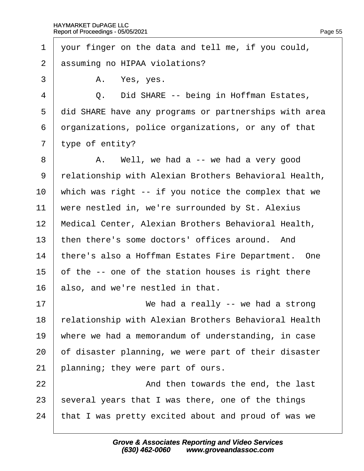·1· ·your finger on the data and tell me, if you could, 2 assuming no HIPAA violations?  $3 \mid$  A. Yes, yes. 4 | Q. Did SHARE -- being in Hoffman Estates. 5 did SHARE have any programs or partnerships with area 6 drganizations, police organizations, or any of that 7 type of entity?  $8 \mid$  A. Well, we had a -- we had a very good 9 relationship with Alexian Brothers Behavioral Health, 10 which was right -- if you notice the complex that we 11 were nestled in, we're surrounded by St. Alexius 12 Medical Center, Alexian Brothers Behavioral Health, 13 then there's some doctors' offices around. And 14 there's also a Hoffman Estates Fire Department. One 15 b of the -- one of the station houses is right there 16 also, and we're nestled in that. 17  $\parallel$  We had a really -- we had a strong 18 relationship with Alexian Brothers Behavioral Health 19 where we had a memorandum of understanding, in case 20 bf disaster planning, we were part of their disaster 21 blanning; they were part of ours. 22 **And then towards the end, the last** 23 several years that I was there, one of the things 24 that I was pretty excited about and proud of was we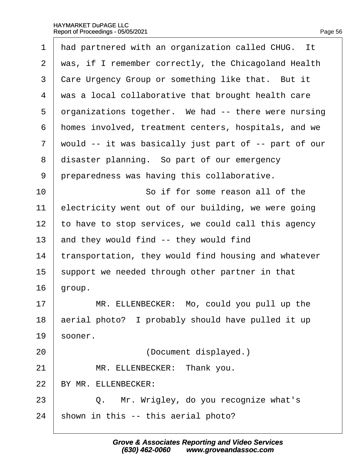| $\mathbf 1$ | had partnered with an organization called CHUG. It    |
|-------------|-------------------------------------------------------|
| 2           | was, if I remember correctly, the Chicagoland Health  |
| 3           | Care Urgency Group or something like that. But it     |
| 4           | was a local collaborative that brought health care    |
| 5           | drganizations together. We had -- there were nursing  |
| 6           | homes involved, treatment centers, hospitals, and we  |
| 7           | would -- it was basically just part of -- part of our |
| 8           | disaster planning. So part of our emergency           |
| 9           | preparedness was having this collaborative.           |
| 10          | So if for some reason all of the                      |
| 11          | electricity went out of our building, we were going   |
| 12          | to have to stop services, we could call this agency   |
| 13          | and they would find -- they would find                |
| 14          | transportation, they would find housing and whatever  |
| 15          | support we needed through other partner in that       |
| 16          | group.                                                |
| 17          | MR. ELLENBECKER: Mo, could you pull up the            |
| 18          | aerial photo? I probably should have pulled it up     |
| 19          | sooner.                                               |
| 20          | (Document displayed.)                                 |
| 21          | MR. ELLENBECKER: Thank you.                           |
| 22          | BY MR. ELLENBECKER:                                   |
| 23          | Q. Mr. Wrigley, do you recognize what's               |
| 24          | shown in this -- this aerial photo?                   |
|             |                                                       |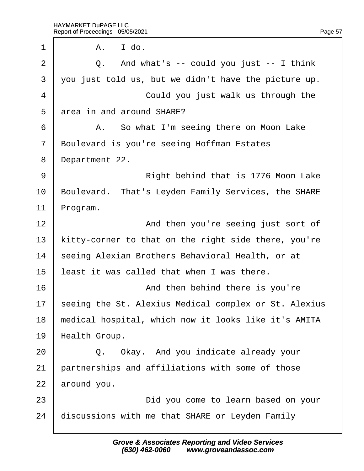| $\mathbf 1$    | I do.<br>А.                                           |
|----------------|-------------------------------------------------------|
| $\overline{2}$ | Q. And what's -- could you just -- I think            |
| 3              | you just told us, but we didn't have the picture up.  |
| 4              | Could you just walk us through the                    |
| 5              | area in and around SHARE?                             |
| 6              | A. So what I'm seeing there on Moon Lake              |
| $\overline{7}$ | Boulevard is you're seeing Hoffman Estates            |
| 8              | Department 22.                                        |
| 9              | Right behind that is 1776 Moon Lake                   |
| 10             | Boulevard. That's Leyden Family Services, the SHARE   |
| 11             | Program.                                              |
| 12             | And then you're seeing just sort of                   |
| 13             | kitty-corner to that on the right side there, you're  |
| 14             | seeing Alexian Brothers Behavioral Health, or at      |
| 15             | least it was called that when I was there.            |
| 16             | And then behind there is you're                       |
| 17             | seeing the St. Alexius Medical complex or St. Alexius |
| 18             | medical hospital, which now it looks like it's AMITA  |
| 19             | Health Group.                                         |
| 20             | Q. Okay. And you indicate already your                |
| 21             | partnerships and affiliations with some of those      |
| 22             | around you.                                           |
| 23             | Did you come to learn based on your                   |
| 24             | discussions with me that SHARE or Leyden Family       |
|                |                                                       |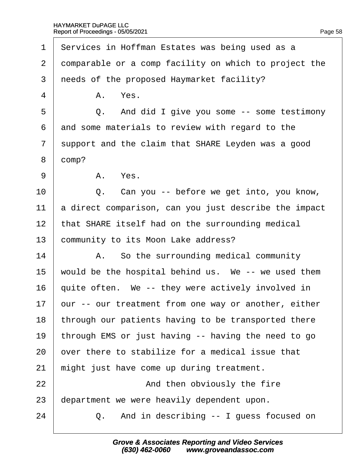| 1              | Services in Hoffman Estates was being used as a       |
|----------------|-------------------------------------------------------|
| 2              | domparable or a comp facility on which to project the |
| 3              | needs of the proposed Haymarket facility?             |
| 4              | A. Yes.                                               |
| 5              | Q. And did I give you some -- some testimony          |
| 6              | and some materials to review with regard to the       |
| $\overline{7}$ | support and the claim that SHARE Leyden was a good    |
| 8              | domp?                                                 |
| 9              | A. Yes.                                               |
| 10             | Q. Can you -- before we get into, you know,           |
| 11             | a direct comparison, can you just describe the impact |
| 12             | that SHARE itself had on the surrounding medical      |
| 13             | community to its Moon Lake address?                   |
| 14             | A. So the surrounding medical community               |
| 15             | would be the hospital behind us. We -- we used them   |
| 16             | quite often. We -- they were actively involved in     |
| 17             | bur -- our treatment from one way or another, either  |
| 18             | through our patients having to be transported there   |
| 19             | through EMS or just having -- having the need to go   |
| 20             | over there to stabilize for a medical issue that      |
| 21             | might just have come up during treatment.             |
| 22             | And then obviously the fire                           |
| 23             | department we were heavily dependent upon.            |
|                |                                                       |

 $24$   $\Box$  Q. And in describing -- I guess focused on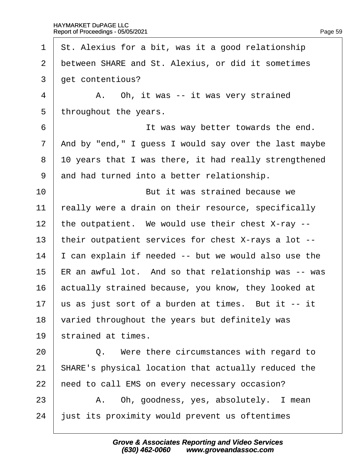| 1              | St. Alexius for a bit, was it a good relationship     |
|----------------|-------------------------------------------------------|
| 2              | between SHARE and St. Alexius, or did it sometimes    |
| 3              | get contentious?                                      |
| 4              | A. Oh, it was -- it was very strained                 |
| 5              | throughout the years.                                 |
| 6              | It was way better towards the end.                    |
| $\overline{7}$ | And by "end," I guess I would say over the last maybe |
| 8              | 10 years that I was there, it had really strengthened |
| 9              | and had turned into a better relationship.            |
| 10             | But it was strained because we                        |
| 11             | eally were a drain on their resource, specifically    |
| 12             | the outpatient. We would use their chest X-ray --     |
| 13             | their outpatient services for chest X-rays a lot --   |
| 14             | can explain if needed -- but we would also use the    |
| 15             | ER an awful lot. And so that relationship was -- was  |
| 16             | actually strained because, you know, they looked at   |
| 17             | us as just sort of a burden at times. But it -- it    |
| 18             | varied throughout the years but definitely was        |
| 19             | strained at times.                                    |
| 20             | Were there circumstances with regard to<br>Q.         |
| 21             | SHARE's physical location that actually reduced the   |
| 22             | heed to call EMS on every necessary occasion?         |
| 23             | A. Oh, goodness, yes, absolutely. I mean              |
| 24             | just its proximity would prevent us oftentimes        |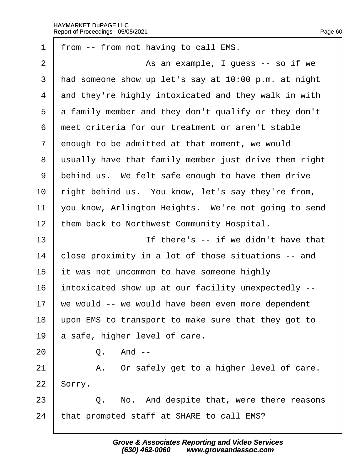| 1              | from -- from not having to call EMS.                  |
|----------------|-------------------------------------------------------|
| $\overline{2}$ | As an example, I guess -- so if we                    |
| 3              | had someone show up let's say at 10:00 p.m. at night  |
| 4              | and they're highly intoxicated and they walk in with  |
| 5              | a family member and they don't qualify or they don't  |
| 6              | meet criteria for our treatment or aren't stable      |
| 7              | enough to be admitted at that moment, we would        |
| 8              | usually have that family member just drive them right |
| 9              | behind us. We felt safe enough to have them drive     |
| 10             | right behind us. You know, let's say they're from,    |
| 11             | you know, Arlington Heights. We're not going to send  |
| 12             | them back to Northwest Community Hospital.            |
| 13             | If there's -- if we didn't have that                  |
| 14             | close proximity in a lot of those situations -- and   |
| 15             | it was not uncommon to have someone highly            |
| 16             | intoxicated show up at our facility unexpectedly --   |
| 17             | we would -- we would have been even more dependent    |
| 18             | upon EMS to transport to make sure that they got to   |
| 19             | a safe, higher level of care.                         |
| 20             | Q. And --                                             |
| 21             | A. Or safely get to a higher level of care.           |
| 22             | Sorry.                                                |
| 23             | Q. No. And despite that, were there reasons           |
| 24             | that prompted staff at SHARE to call EMS?             |
|                |                                                       |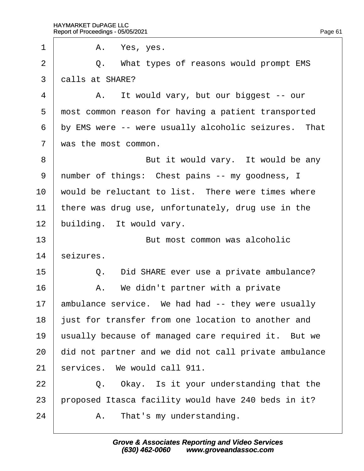$1 \parallel$  A. Yes, yes. 2 | Q. What types of reasons would prompt EMS 3 dalls at SHARE?  $4 \mid$  A. It would vary, but our biggest -- our 5 most common reason for having a patient transported 6 by EMS were -- were usually alcoholic seizures. That 7 was the most common. 8 **But it would vary.** It would be any 9 number of things: Chest pains -- my goodness, I 10 would be reluctant to list. There were times where 11 there was drug use, unfortunately, drug use in the 12 building. It would vary. 13 **But most common was alcoholic** 14 seizures. 15 **Q.** Did SHARE ever use a private ambulance?  $16$  | A. We didn't partner with a private 17 ambulance service. We had had -- they were usually 18 just for transfer from one location to another and 19 usually because of managed care required it. But we 20 did not partner and we did not call private ambulance 21 services. We would call 911.  $22$   $\Box$  Q. Okay. Is it your understanding that the 23 proposed Itasca facility would have 240 beds in it?  $24$  | A. That's my understanding.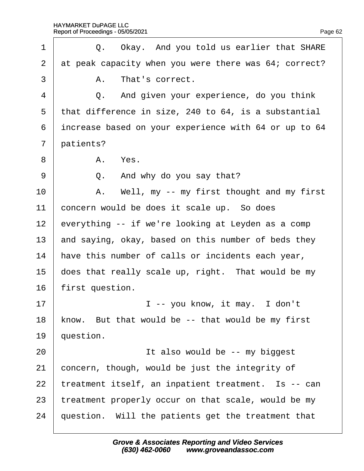| 1              | Q. Okay. And you told us earlier that SHARE           |
|----------------|-------------------------------------------------------|
| $\overline{2}$ | at peak capacity when you were there was 64; correct? |
| 3              | A. That's correct.                                    |
| 4              | Q. And given your experience, do you think            |
| 5              | that difference in size, 240 to 64, is a substantial  |
| 6              | increase based on your experience with 64 or up to 64 |
| $\overline{7}$ | patients?                                             |
| 8              | A. Yes.                                               |
| 9              | Q. And why do you say that?                           |
| 10             | A. Well, my -- my first thought and my first          |
| 11             | concern would be does it scale up. So does            |
| 12             | everything -- if we're looking at Leyden as a comp    |
| 13             | and saying, okay, based on this number of beds they   |
| 14             | have this number of calls or incidents each year,     |
| 15             | does that really scale up, right. That would be my    |
| 16             | first question.                                       |
| 17             | I -- you know, it may. I don't                        |
| 18             | know. But that would be -- that would be my first     |
| 19             | question.                                             |
| 20             | It also would be -- my biggest                        |
| 21             | concern, though, would be just the integrity of       |
| 22             | treatment itself, an inpatient treatment. Is -- can   |
| 23             | treatment properly occur on that scale, would be my   |
| 24             | question. Will the patients get the treatment that    |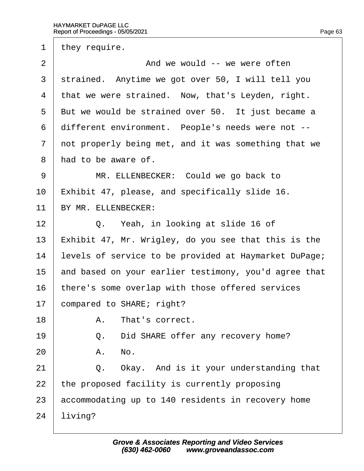1 they require.

 $2 \mid$  And we would -- we were often 3 strained. Anytime we got over 50, I will tell you 4 that we were strained. Now, that's Leyden, right. 5 But we would be strained over 50. It just became a 6 different environment. People's needs were not --7 not properly being met, and it was something that we 8 had to be aware of. 9 | MR. ELLENBECKER: Could we go back to 10 Exhibit 47, please, and specifically slide 16. 11 BY MR. ELLENBECKER:  $12 \parallel Q$ . Yeah, in looking at slide 16 of 13 Exhibit 47, Mr. Wrigley, do you see that this is the 14 levels of service to be provided at Haymarket DuPage; 15 and based on your earlier testimony, you'd agree that 16 there's some overlap with those offered services 17 **compared to SHARE; right?** 18 | A. That's correct. 19 | Q. Did SHARE offer any recovery home?  $20$   $A.$  No.  $21$   $\Box$  Q. Okay. And is it your understanding that 22 the proposed facility is currently proposing 23 accommodating up to 140 residents in recovery home 24 living?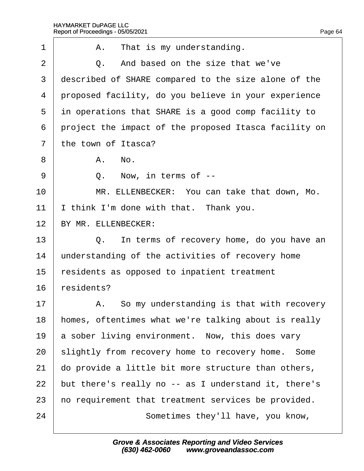| 1              | A. That is my understanding.                          |
|----------------|-------------------------------------------------------|
| 2              | Q. And based on the size that we've                   |
| 3              | described of SHARE compared to the size alone of the  |
| 4              | proposed facility, do you believe in your experience  |
| 5              | in operations that SHARE is a good comp facility to   |
| 6              | project the impact of the proposed Itasca facility on |
| $\overline{7}$ | the town of Itasca?                                   |
| 8              | A. No.                                                |
| 9              | Q. Now, in terms of --                                |
| 10             | MR. ELLENBECKER: You can take that down, Mo.          |
| 11             | think I'm done with that. Thank you.                  |
| 12             | BY MR. ELLENBECKER:                                   |
| 13             | Q. In terms of recovery home, do you have an          |
| 14             | understanding of the activities of recovery home      |
| 15             | residents as opposed to inpatient treatment           |
| 16             | residents?                                            |
| 17             | A. So my understanding is that with recovery          |
| 18             | homes, oftentimes what we're talking about is really  |
| 19             | a sober living environment. Now, this does vary       |
| 20             | slightly from recovery home to recovery home. Some    |
| 21             | do provide a little bit more structure than others,   |
| 22             | but there's really no -- as I understand it, there's  |
| 23             | ho requirement that treatment services be provided.   |
| 24             | Sometimes they'll have, you know,                     |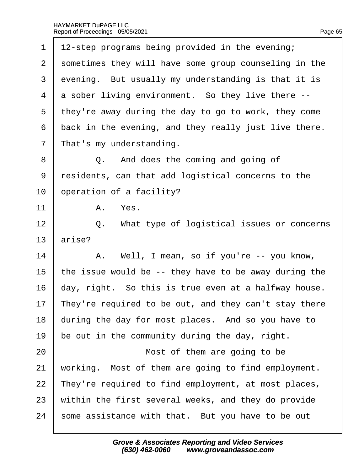| 1              | 12-step programs being provided in the evening;       |
|----------------|-------------------------------------------------------|
| 2              | sometimes they will have some group counseling in the |
| 3              | evening. But usually my understanding is that it is   |
| 4              | a sober living environment. So they live there --     |
| 5              | they're away during the day to go to work, they come  |
| 6              | back in the evening, and they really just live there. |
| $\overline{7}$ | That's my understanding.                              |
| 8              | Q. And does the coming and going of                   |
| 9              | residents, can that add logistical concerns to the    |
| 10             | operation of a facility?                              |
| 11             | A. Yes.                                               |
| 12             | Q. What type of logistical issues or concerns         |
| 13             | arise?                                                |
| 14             | A. Well, I mean, so if you're -- you know,            |
| 15             | the issue would be -- they have to be away during the |
| 16             | day, right. So this is true even at a halfway house.  |
| 17             | They're required to be out, and they can't stay there |
| 18             | during the day for most places. And so you have to    |
| 19             | be out in the community during the day, right.        |
| 20             | Most of them are going to be                          |
| 21             | working. Most of them are going to find employment.   |
| 22             | They're required to find employment, at most places,  |
| 23             | within the first several weeks, and they do provide   |
| 24             | some assistance with that. But you have to be out     |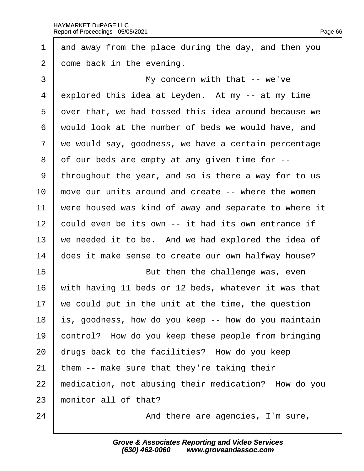| and away from the place during the day, and then you  |
|-------------------------------------------------------|
| dome back in the evening.                             |
| My concern with that -- we've                         |
| explored this idea at Leyden. At my -- at my time     |
| over that, we had tossed this idea around because we  |
| would look at the number of beds we would have, and   |
| we would say, goodness, we have a certain percentage  |
| of our beds are empty at any given time for --        |
| throughout the year, and so is there a way for to us  |
| move our units around and create -- where the women   |
| were housed was kind of away and separate to where it |
| could even be its own -- it had its own entrance if   |
| we needed it to be. And we had explored the idea of   |
| does it make sense to create our own halfway house?   |
| But then the challenge was, even                      |
| with having 11 beds or 12 beds, whatever it was that  |
| we could put in the unit at the time, the question    |
| is, goodness, how do you keep -- how do you maintain  |
| control? How do you keep these people from bringing   |
| drugs back to the facilities? How do you keep         |
| them -- make sure that they're taking their           |
| medication, not abusing their medication? How do you  |
| monitor all of that?                                  |
| And there are agencies, I'm sure,                     |
|                                                       |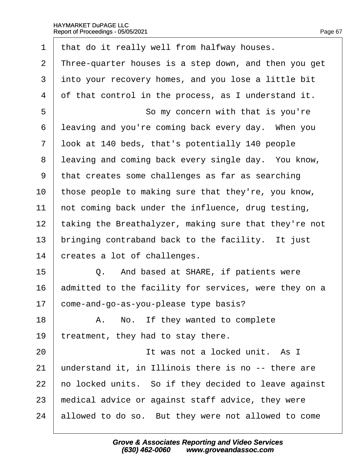- 1 that do it really well from halfway houses.
- 2 Three-quarter houses is a step down, and then you get
- 3 into your recovery homes, and you lose a little bit
- 4 of that control in the process, as I understand it.
- 5 **So my concern with that is you're**
- 6 leaving and you're coming back every day. When you
- ·7· ·look at 140 beds, that's potentially 140 people
- 8 leaving and coming back every single day. You know,
- ·9· ·that creates some challenges as far as searching
- 10 those people to making sure that they're, you know,
- 11 hot coming back under the influence, drug testing,
- 12 taking the Breathalyzer, making sure that they're not
- 13 bringing contraband back to the facility. It just
- 14 creates a lot of challenges.
- $15$   $\Box$  Q. And based at SHARE, if patients were
- 16 admitted to the facility for services, were they on a
- 17 come-and-go-as-you-please type basis?
- $18$  | A. No. If they wanted to complete
- 19 treatment, they had to stay there.
- 20 **I I** It was not a locked unit. As I
- 21 understand it, in Illinois there is no -- there are
- 22 ho locked units. So if they decided to leave against
- 23 medical advice or against staff advice, they were
- 24 allowed to do so. But they were not allowed to come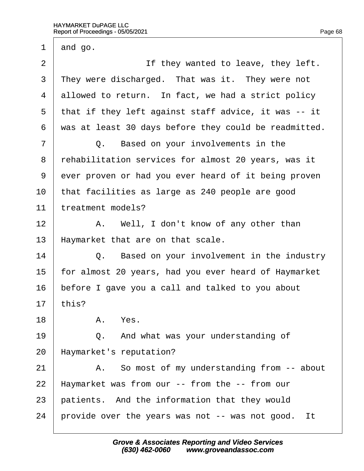1  $\theta$  and go. 2 **If they wanted to leave, they left.** 3 They were discharged. That was it. They were not 4 allowed to return. In fact, we had a strict policy 5 that if they left against staff advice, it was -- it ·6· ·was at least 30 days before they could be readmitted.  $7 \mid Q$ . Based on your involvements in the ·8· ·rehabilitation services for almost 20 years, was it 9 ever proven or had you ever heard of it being proven 10 that facilities as large as 240 people are good 11 treatment models?  $12$  | A. Well, I don't know of any other than 13 Haymarket that are on that scale.  $14$   $\Box$  Q. Based on your involvement in the industry 15 for almost 20 years, had you ever heard of Haymarket 16 before I gave you a call and talked to you about 17  $<sup>thi</sup>$ s?</sup> 18 | A. Yes.  $19$   $\Box$  Q. And what was your understanding of 20 Haymarket's reputation?  $21$  | A. So most of my understanding from  $-$  about 22 Haymarket was from our -- from the -- from our 23 patients. And the information that they would 24 provide over the years was not -- was not good. It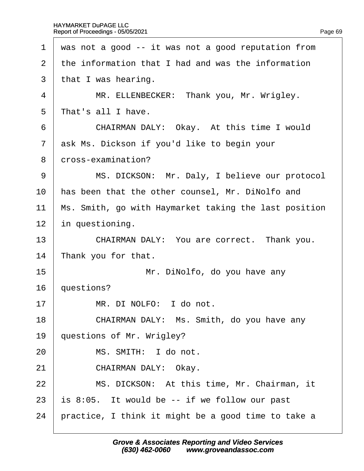|  | Page 69 |
|--|---------|

| 1              | was not a good -- it was not a good reputation from   |
|----------------|-------------------------------------------------------|
| 2              | the information that I had and was the information    |
| 3              | that I was hearing.                                   |
| 4              | MR. ELLENBECKER: Thank you, Mr. Wrigley.              |
| 5              | That's all I have.                                    |
| 6              | CHAIRMAN DALY: Okay. At this time I would             |
| $\overline{7}$ | ask Ms. Dickson if you'd like to begin your           |
| 8              | dross-examination?                                    |
| 9              | MS. DICKSON: Mr. Daly, I believe our protocol         |
| 10             | has been that the other counsel, Mr. DiNolfo and      |
| 11             | Ms. Smith, go with Haymarket taking the last position |
| 12             | in questioning.                                       |
| 13             | CHAIRMAN DALY: You are correct. Thank you.            |
| 14             | Thank you for that.                                   |
| 15             | Mr. DiNolfo, do you have any                          |
| 16             | questions?                                            |
| 17             | MR. DI NOLFO: I do not.                               |
| 18             | CHAIRMAN DALY: Ms. Smith, do you have any             |
| 19             | questions of Mr. Wrigley?                             |
| 20             | MS. SMITH: I do not.                                  |
| 21             | CHAIRMAN DALY: Okay.                                  |
| 22             | MS. DICKSON: At this time, Mr. Chairman, it           |
| 23             | is 8:05. It would be -- if we follow our past         |
| 24             | practice, I think it might be a good time to take a   |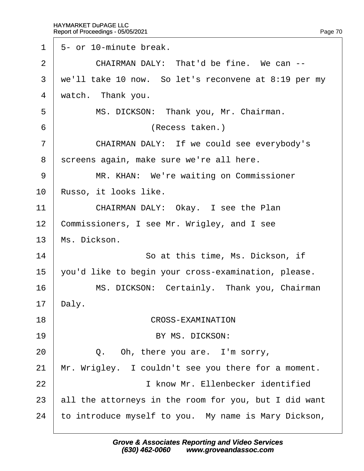1 5- or 10-minute break.  $2 \parallel$  CHAIRMAN DALY: That'd be fine. We can  $\sim$ 3 we'll take 10 now. So let's reconvene at 8:19 per my 4 watch. Thank you. 5 | MS. DICKSON: Thank you, Mr. Chairman. 6 | **CALC INCRECES** (Recess taken.) 7 | CHAIRMAN DALY: If we could see everybody's 8 screens again, make sure we're all here. 9 | MR. KHAN: We're waiting on Commissioner 10 Russo, it looks like. 11 | CHAIRMAN DALY: Okay. I see the Plan 12 Commissioners, I see Mr. Wrigley, and I see 13 Ms. Dickson. 14 **So at this time, Ms. Dickson, if** 15 vou'd like to begin your cross-examination, please. 16 | MS. DICKSON: Certainly. Thank you, Chairman 17 Daly. 18 **CROSS-EXAMINATION** 19 **BY MS. DICKSON:**  $20$   $\vert$  Q. Oh, there you are. I'm sorry, 21 Mr. Wrigley. I couldn't see you there for a moment. 22 **I** I know Mr. Ellenbecker identified 23 all the attorneys in the room for you, but I did want 24 to introduce myself to you. My name is Mary Dickson,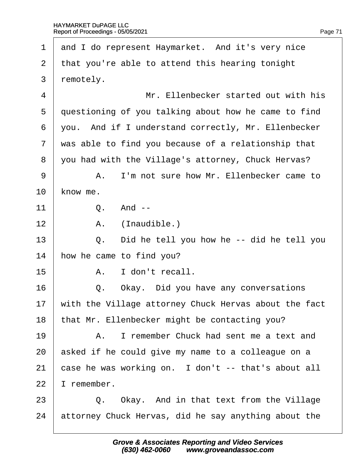1 and I do represent Haymarket. And it's very nice 2 that you're able to attend this hearing tonight 3 remotely. 4 | Mr. Ellenbecker started out with his 5 duestioning of you talking about how he came to find ·6· ·you.· And if I understand correctly, Mr. Ellenbecker 7 was able to find you because of a relationship that ·8· ·you had with the Village's attorney, Chuck Hervas? 9 A. I'm not sure how Mr. Ellenbecker came to 10 know me.  $11 \quad | \quad Q. \quad And 12$  | A. (Inaudible.)  $13 \mid$  Q. Did he tell you how he -- did he tell you 14 how he came to find you?  $15 \quad | \quad A \quad |$  don't recall. 16  $\parallel$  Q. Okay. Did you have any conversations 17 with the Village attorney Chuck Hervas about the fact 18 that Mr. Ellenbecker might be contacting you? 19 A. I remember Chuck had sent me a text and 20 asked if he could give my name to a colleague on a 21 case he was working on. I don't -- that's about all 22 I remember.  $23$   $\Box$  Q. Okay. And in that text from the Village 24 attorney Chuck Hervas, did he say anything about the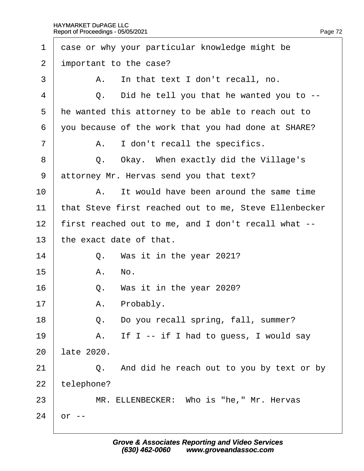| $\mathbf 1$    | dase or why your particular knowledge might be        |  |  |
|----------------|-------------------------------------------------------|--|--|
| 2              | important to the case?                                |  |  |
| 3              | A. In that text I don't recall, no.                   |  |  |
| 4              | Q. Did he tell you that he wanted you to --           |  |  |
| 5              | He wanted this attorney to be able to reach out to    |  |  |
| 6              | you because of the work that you had done at SHARE?   |  |  |
| $\overline{7}$ | A. I don't recall the specifics.                      |  |  |
| 8              | Q. Okay. When exactly did the Village's               |  |  |
| 9              | attorney Mr. Hervas send you that text?               |  |  |
| 10             | A. It would have been around the same time            |  |  |
| 11             | that Steve first reached out to me, Steve Ellenbecker |  |  |
| 12             | first reached out to me, and I don't recall what --   |  |  |
| 13             | the exact date of that.                               |  |  |
| 14             | Q. Was it in the year 2021?                           |  |  |
| 15             | A. No.                                                |  |  |
| 16             | Q. Was it in the year 2020?                           |  |  |
| 17             | Probably.<br>Α.                                       |  |  |
| 18             | Q. Do you recall spring, fall, summer?                |  |  |
| 19             | A. If I -- if I had to guess, I would say             |  |  |
| 20             | late 2020.                                            |  |  |
| 21             | Q. And did he reach out to you by text or by          |  |  |
| 22             | telephone?                                            |  |  |
| 23             | MR. ELLENBECKER: Who is "he," Mr. Hervas              |  |  |
| 24             | nr --                                                 |  |  |
|                |                                                       |  |  |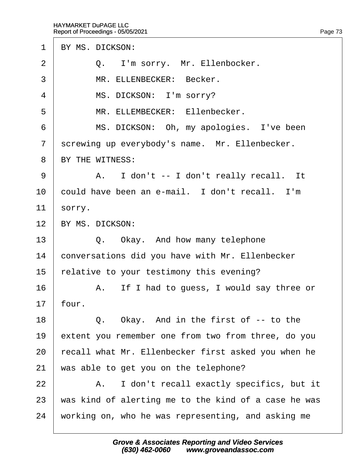1 BY MS. DICKSON:

- $2 \mid Q$ . I'm sorry. Mr. Ellenbocker.
- 3 | MR ELLENBECKER: Becker.
- 4 | MS. DICKSON: I'm sorry?
- 5 | MR. ELLEMBECKER: Ellenbecker.
- 6 | MS. DICKSON: Oh, my apologies. I've been
- 7 screwing up everybody's name. Mr. Ellenbecker.
- 8 BY THE WITNESS:
- 9 | A. I don't -- I don't really recall. It
- 10 could have been an e-mail. I don't recall. I'm
- 11  $\frac{1}{2}$  sorry.
- 12 BY MS. DICKSON:
- $13 \mid Q$ . Okay. And how many telephone
- 14 conversations did you have with Mr. Ellenbecker
- 15 relative to your testimony this evening?
- 16 A. If I had to quess, I would say three or
- $17$  four.
- $18$   $\Box$  Q. Okay. And in the first of -- to the
- 19 extent you remember one from two from three, do you
- 20 recall what Mr. Ellenbecker first asked you when he
- 21 was able to get you on the telephone?
- 22 | A. I don't recall exactly specifics, but it
- 23 was kind of alerting me to the kind of a case he was
- 24 working on, who he was representing, and asking me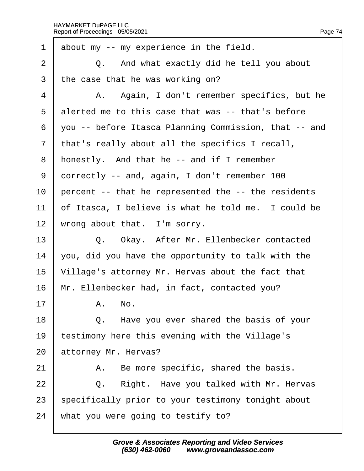| 1              | about my -- my experience in the field.               |  |  |  |
|----------------|-------------------------------------------------------|--|--|--|
| $\overline{2}$ | Q. And what exactly did he tell you about             |  |  |  |
| 3              | the case that he was working on?                      |  |  |  |
| 4              | A. Again, I don't remember specifics, but he          |  |  |  |
| 5              | alerted me to this case that was -- that's before     |  |  |  |
| 6              | you -- before Itasca Planning Commission, that -- and |  |  |  |
| $\overline{7}$ | that's really about all the specifics I recall,       |  |  |  |
| 8              | honestly. And that he -- and if I remember            |  |  |  |
| 9              | dorrectly -- and, again, I don't remember 100         |  |  |  |
| 10             | percent -- that he represented the -- the residents   |  |  |  |
| 11             | of Itasca, I believe is what he told me. I could be   |  |  |  |
| 12             | wrong about that. I'm sorry.                          |  |  |  |
| 13             | Q. Okay. After Mr. Ellenbecker contacted              |  |  |  |
| 14             | you, did you have the opportunity to talk with the    |  |  |  |
| 15             | Village's attorney Mr. Hervas about the fact that     |  |  |  |
| 16             | Mr. Ellenbecker had, in fact, contacted you?          |  |  |  |
| 17             | A. No.                                                |  |  |  |
| 18             | Q. Have you ever shared the basis of your             |  |  |  |
| 19             | estimony here this evening with the Village's         |  |  |  |
| 20             | attorney Mr. Hervas?                                  |  |  |  |
| 21             | A. Be more specific, shared the basis.                |  |  |  |
| 22             | Right. Have you talked with Mr. Hervas<br>Q.          |  |  |  |
| 23             | specifically prior to your testimony tonight about    |  |  |  |
| 24             | what you were going to testify to?                    |  |  |  |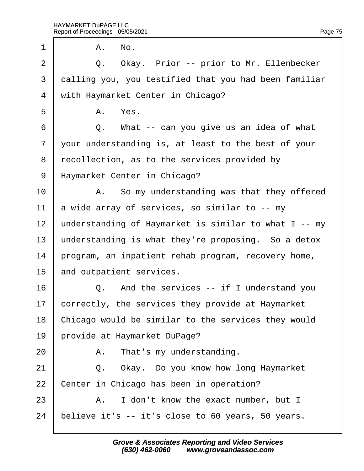$1 \quad A. \quad No.$ 2 | Q. Okay. Prior -- prior to Mr. Ellenbecker 3 dalling you, you testified that you had been familiar 4 with Haymarket Center in Chicago?  $5 \parallel$  A. Yes.  $6 \mid Q$ . What -- can you give us an idea of what 7 your understanding is, at least to the best of your 8 recollection, as to the services provided by 9 Haymarket Center in Chicago?  $10$  | A. So my understanding was that they offered 11  $\alpha$  wide array of services, so similar to -- my 12 understanding of Haymarket is similar to what I -- my 13 understanding is what they're proposing. So a detox 14 program, an inpatient rehab program, recovery home, 15 and outpatient services.  $16$   $\Box$  Q. And the services -- if I understand you 17 correctly, the services they provide at Haymarket 18 Chicago would be similar to the services they would 19 brovide at Haymarket DuPage?  $20$  | A. That's my understanding. 21  $\vert$  Q. Okay. Do you know how long Haymarket 22 Center in Chicago has been in operation?  $23$   $\parallel$  A. I don't know the exact number, but I 24 believe it's -- it's close to 60 years, 50 years.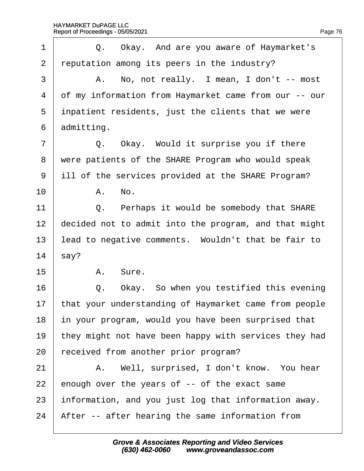| 1              | Q. Okay. And are you aware of Haymarket's             |  |  |  |
|----------------|-------------------------------------------------------|--|--|--|
| 2              | reputation among its peers in the industry?           |  |  |  |
| 3              | A. No, not really. I mean, I don't -- most            |  |  |  |
| $\overline{4}$ | of my information from Haymarket came from our -- our |  |  |  |
| 5              | inpatient residents, just the clients that we were    |  |  |  |
| 6              | admitting.                                            |  |  |  |
| 7              | Q. Okay. Would it surprise you if there               |  |  |  |
| 8              | were patients of the SHARE Program who would speak    |  |  |  |
| 9              | ill of the services provided at the SHARE Program?    |  |  |  |
| 10             | A. No.                                                |  |  |  |
| 11             | Q. Perhaps it would be somebody that SHARE            |  |  |  |
| 12             | decided not to admit into the program, and that might |  |  |  |
| 13             | lead to negative comments. Wouldn't that be fair to   |  |  |  |
| 14             | \$ay?                                                 |  |  |  |
| 15             | A. Sure.                                              |  |  |  |
| 16             | Q. Okay. So when you testified this evening           |  |  |  |
| 17             | that your understanding of Haymarket came from people |  |  |  |
| 18             | in your program, would you have been surprised that   |  |  |  |
| 19             | they might not have been happy with services they had |  |  |  |
| 20             | eceived from another prior program?                   |  |  |  |
| 21             | A. Well, surprised, I don't know. You hear            |  |  |  |
| 22             | enough over the years of -- of the exact same         |  |  |  |
| 23             | information, and you just log that information away.  |  |  |  |
| 24             | After -- after hearing the same information from      |  |  |  |
|                |                                                       |  |  |  |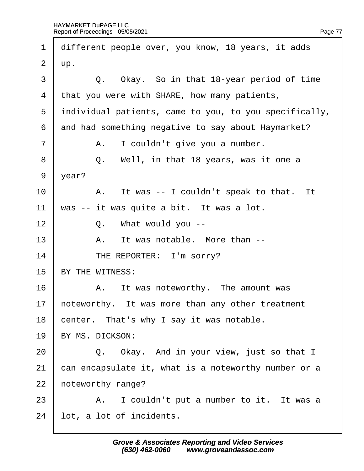| 1              | different people over, you know, 18 years, it adds     |  |  |
|----------------|--------------------------------------------------------|--|--|
| $\overline{2}$ | Цp.                                                    |  |  |
| 3              | Q. Okay. So in that 18-year period of time             |  |  |
| 4              | that you were with SHARE, how many patients,           |  |  |
| 5              | individual patients, came to you, to you specifically, |  |  |
| 6              | and had something negative to say about Haymarket?     |  |  |
| 7              | A. I couldn't give you a number.                       |  |  |
| 8              | Well, in that 18 years, was it one a<br>Q.             |  |  |
| 9              | year?                                                  |  |  |
| 10             | A. It was -- I couldn't speak to that. It              |  |  |
| 11             | was -- it was quite a bit. It was a lot.               |  |  |
| 12             | Q. What would you --                                   |  |  |
| 13             | It was notable. More than --<br>A.                     |  |  |
| 14             | THE REPORTER: I'm sorry?                               |  |  |
| 15             | BY THE WITNESS:                                        |  |  |
| 16             | A. It was noteworthy. The amount was                   |  |  |
| 17             | noteworthy. It was more than any other treatment       |  |  |
| 18             | center. That's why I say it was notable.               |  |  |
| 19             | BY MS. DICKSON:                                        |  |  |
| 20             | Q. Okay. And in your view, just so that I              |  |  |
| 21             | can encapsulate it, what is a noteworthy number or a   |  |  |
| 22             | noteworthy range?                                      |  |  |
| 23             | A. I couldn't put a number to it. It was a             |  |  |
| 24             | lot, a lot of incidents.                               |  |  |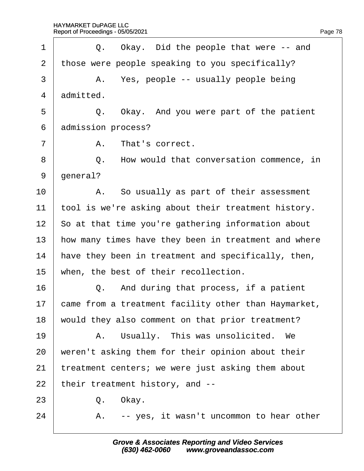| 1              | Q. Okay. Did the people that were -- and             |  |  |  |
|----------------|------------------------------------------------------|--|--|--|
| 2              | those were people speaking to you specifically?      |  |  |  |
| 3              | A. Yes, people -- usually people being               |  |  |  |
| 4              | admitted.                                            |  |  |  |
| 5              | Q. Okay. And you were part of the patient            |  |  |  |
| 6              | admission process?                                   |  |  |  |
| $\overline{7}$ | A. That's correct.                                   |  |  |  |
| 8              | Q. How would that conversation commence, in          |  |  |  |
| 9              | general?                                             |  |  |  |
| 10             | A. So usually as part of their assessment            |  |  |  |
| 11             | tool is we're asking about their treatment history.  |  |  |  |
| 12             | So at that time you're gathering information about   |  |  |  |
| 13             | how many times have they been in treatment and where |  |  |  |
| 14             | have they been in treatment and specifically, then,  |  |  |  |
| 15             | when, the best of their recollection.                |  |  |  |
| 16             | Q. And during that process, if a patient             |  |  |  |
| 17             | came from a treatment facility other than Haymarket, |  |  |  |
| 18             | would they also comment on that prior treatment?     |  |  |  |
| 19             | A. Usually. This was unsolicited. We                 |  |  |  |
| 20             | weren't asking them for their opinion about their    |  |  |  |
| 21             | treatment centers; we were just asking them about    |  |  |  |
| 22             | their treatment history, and --                      |  |  |  |
| 23             | Okay.<br>Q.                                          |  |  |  |
| 24             | A. -- yes, it wasn't uncommon to hear other          |  |  |  |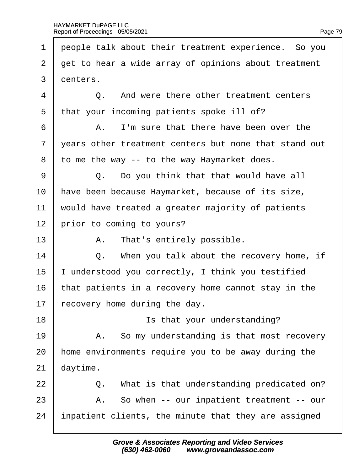$\sqrt{ }$ 

| 1              | people talk about their treatment experience. So you  |  |  |  |
|----------------|-------------------------------------------------------|--|--|--|
| $\overline{2}$ | get to hear a wide array of opinions about treatment  |  |  |  |
| 3              | denters.                                              |  |  |  |
| 4              | Q. And were there other treatment centers             |  |  |  |
| 5              | that your incoming patients spoke ill of?             |  |  |  |
| 6              | A. I'm sure that there have been over the             |  |  |  |
| $\overline{7}$ | years other treatment centers but none that stand out |  |  |  |
| 8              | to me the way -- to the way Haymarket does.           |  |  |  |
| 9              | Q. Do you think that that would have all              |  |  |  |
| 10             | have been because Haymarket, because of its size,     |  |  |  |
| 11             | would have treated a greater majority of patients     |  |  |  |
| 12             | prior to coming to yours?                             |  |  |  |
| 13             | A. That's entirely possible.                          |  |  |  |
| 14             | Q. When you talk about the recovery home, if          |  |  |  |
| 15             | understood you correctly, I think you testified       |  |  |  |
| 16             | that patients in a recovery home cannot stay in the   |  |  |  |
| 17             | ecovery home during the day.                          |  |  |  |
| 18             | Is that your understanding?                           |  |  |  |
| 19             | A. So my understanding is that most recovery          |  |  |  |
| 20             | home environments require you to be away during the   |  |  |  |
| 21             | daytime.                                              |  |  |  |
| 22             | What is that understanding predicated on?<br>Q.       |  |  |  |
| 23             | A. So when -- our inpatient treatment -- our          |  |  |  |
| 24             | inpatient clients, the minute that they are assigned  |  |  |  |
|                |                                                       |  |  |  |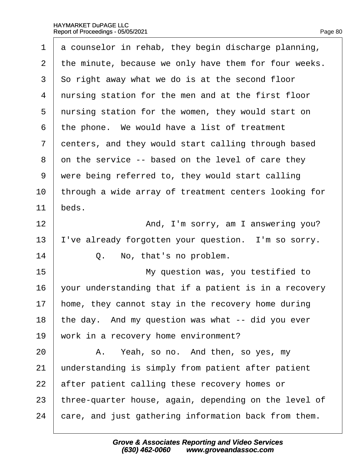| 1              | a counselor in rehab, they begin discharge planning,  |  |  |  |
|----------------|-------------------------------------------------------|--|--|--|
| $\overline{2}$ | the minute, because we only have them for four weeks. |  |  |  |
| 3              | So right away what we do is at the second floor       |  |  |  |
| 4              | nursing station for the men and at the first floor    |  |  |  |
| 5              | nursing station for the women, they would start on    |  |  |  |
| 6              | the phone. We would have a list of treatment          |  |  |  |
| $\overline{7}$ | denters, and they would start calling through based   |  |  |  |
| 8              | on the service -- based on the level of care they     |  |  |  |
| 9              | were being referred to, they would start calling      |  |  |  |
| 10             | through a wide array of treatment centers looking for |  |  |  |
| 11             | beds.                                                 |  |  |  |
| 12             | And, I'm sorry, am I answering you?                   |  |  |  |
| 13             | 've already forgotten your question. I'm so sorry.    |  |  |  |
| 14             | No, that's no problem.<br>Q.                          |  |  |  |
| 15             | My question was, you testified to                     |  |  |  |
| 16             | your understanding that if a patient is in a recovery |  |  |  |
| 17             | home, they cannot stay in the recovery home during    |  |  |  |
| 18             | the day. And my question was what -- did you ever     |  |  |  |
| 19             | work in a recovery home environment?                  |  |  |  |
| 20             | A. Yeah, so no. And then, so yes, my                  |  |  |  |
| 21             | understanding is simply from patient after patient    |  |  |  |
| 22             | after patient calling these recovery homes or         |  |  |  |
| 23             | three-quarter house, again, depending on the level of |  |  |  |
| 24             | care, and just gathering information back from them.  |  |  |  |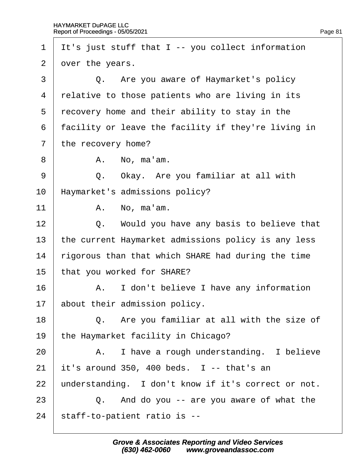| $\mathbf 1$ | It's just stuff that I -- you collect information   |  |  |  |
|-------------|-----------------------------------------------------|--|--|--|
| 2           | over the years.                                     |  |  |  |
| 3           | Q. Are you aware of Haymarket's policy              |  |  |  |
| 4           | relative to those patients who are living in its    |  |  |  |
| 5           | recovery home and their ability to stay in the      |  |  |  |
| 6           | facility or leave the facility if they're living in |  |  |  |
| 7           | the recovery home?                                  |  |  |  |
| 8           | A. No, ma'am.                                       |  |  |  |
| 9           | Q. Okay. Are you familiar at all with               |  |  |  |
| 10          | Haymarket's admissions policy?                      |  |  |  |
| 11          | A. No, ma'am.                                       |  |  |  |
| 12          | Q. Would you have any basis to believe that         |  |  |  |
| 13          | the current Haymarket admissions policy is any less |  |  |  |
| 14          | rigorous than that which SHARE had during the time  |  |  |  |
| 15          | that you worked for SHARE?                          |  |  |  |
| 16          | A. I don't believe I have any information           |  |  |  |
| 17          | about their admission policy.                       |  |  |  |
| 18          | Q. Are you familiar at all with the size of         |  |  |  |
| 19          | the Haymarket facility in Chicago?                  |  |  |  |
| 20          | A. I have a rough understanding. I believe          |  |  |  |
| 21          | it's around 350, 400 beds. I -- that's an           |  |  |  |
| 22          | understanding. I don't know if it's correct or not. |  |  |  |
| 23          | Q. And do you -- are you aware of what the          |  |  |  |
| 24          | staff-to-patient ratio is --                        |  |  |  |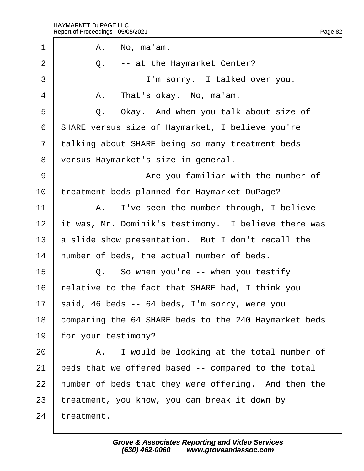| 1              | A. No, ma'am.                                           |  |  |  |
|----------------|---------------------------------------------------------|--|--|--|
| 2              | Q. -- at the Haymarket Center?                          |  |  |  |
| 3              | I'm sorry. I talked over you.                           |  |  |  |
| 4              | A. That's okay. No, ma'am.                              |  |  |  |
| 5              | Q. Okay. And when you talk about size of                |  |  |  |
| 6              | <b>SHARE versus size of Haymarket, I believe you're</b> |  |  |  |
| $\overline{7}$ | talking about SHARE being so many treatment beds        |  |  |  |
| 8              | versus Haymarket's size in general.                     |  |  |  |
| 9              | Are you familiar with the number of                     |  |  |  |
| 10             | treatment beds planned for Haymarket DuPage?            |  |  |  |
| 11             | A. I've seen the number through, I believe              |  |  |  |
| 12             | it was, Mr. Dominik's testimony. I believe there was    |  |  |  |
| 13             | a slide show presentation. But I don't recall the       |  |  |  |
| 14             | humber of beds, the actual number of beds.              |  |  |  |
| 15             | Q. So when you're -- when you testify                   |  |  |  |
| 16             | relative to the fact that SHARE had, I think you        |  |  |  |
| 17             | said, 46 beds -- 64 beds, I'm sorry, were you           |  |  |  |
| 18             | comparing the 64 SHARE beds to the 240 Haymarket beds   |  |  |  |
| 19             | for your testimony?                                     |  |  |  |
| 20             | A. I would be looking at the total number of            |  |  |  |
| 21             | beds that we offered based -- compared to the total     |  |  |  |
| 22             | humber of beds that they were offering. And then the    |  |  |  |
| 23             | treatment, you know, you can break it down by           |  |  |  |
| 24             | treatment.                                              |  |  |  |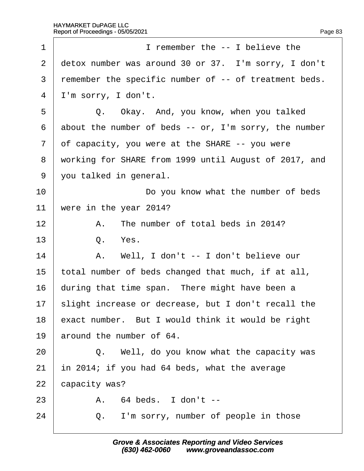| 1              | I remember the -- I believe the                       |  |  |  |
|----------------|-------------------------------------------------------|--|--|--|
| $\overline{2}$ | detox number was around 30 or 37. I'm sorry, I don't  |  |  |  |
| 3              | remember the specific number of -- of treatment beds. |  |  |  |
| 4              | I'm sorry, I don't.                                   |  |  |  |
| 5              | Q. Okay. And, you know, when you talked               |  |  |  |
| 6              | about the number of beds -- or, I'm sorry, the number |  |  |  |
| $\overline{7}$ | of capacity, you were at the SHARE -- you were        |  |  |  |
| 8              | working for SHARE from 1999 until August of 2017, and |  |  |  |
| 9              | you talked in general.                                |  |  |  |
| 10             | Do you know what the number of beds                   |  |  |  |
| 11             | were in the year 2014?                                |  |  |  |
| 12             | The number of total beds in 2014?<br>Α.               |  |  |  |
| 13             | Q. Yes.                                               |  |  |  |
| 14             | A. Well, I don't -- I don't believe our               |  |  |  |
| 15             | total number of beds changed that much, if at all,    |  |  |  |
| 16             | during that time span. There might have been a        |  |  |  |
| 17             | slight increase or decrease, but I don't recall the   |  |  |  |
| 18             | exact number. But I would think it would be right     |  |  |  |
| 19             | around the number of 64.                              |  |  |  |
| 20             | Q. Well, do you know what the capacity was            |  |  |  |
| 21             | in 2014; if you had 64 beds, what the average         |  |  |  |
| 22             | capacity was?                                         |  |  |  |
| 23             | A. 64 beds. I don't --                                |  |  |  |
| 24             | I'm sorry, number of people in those<br>Q.            |  |  |  |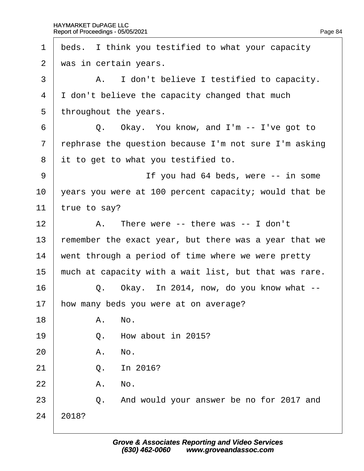| 1              | beds. I think you testified to what your capacity     |  |  |  |
|----------------|-------------------------------------------------------|--|--|--|
| $\overline{2}$ | was in certain years.                                 |  |  |  |
| 3              | A. I don't believe I testified to capacity.           |  |  |  |
| 4              | I don't believe the capacity changed that much        |  |  |  |
| 5              | throughout the years.                                 |  |  |  |
| 6              | Q. Okay. You know, and I'm -- I've got to             |  |  |  |
| $\overline{7}$ | rephrase the question because I'm not sure I'm asking |  |  |  |
| 8              | it to get to what you testified to.                   |  |  |  |
| 9              | If you had 64 beds, were -- in some                   |  |  |  |
| 10             | years you were at 100 percent capacity; would that be |  |  |  |
| 11             | true to say?                                          |  |  |  |
| 12             | A. There were -- there was -- I don't                 |  |  |  |
| 13             | femember the exact year, but there was a year that we |  |  |  |
| 14             | went through a period of time where we were pretty    |  |  |  |
| 15             | much at capacity with a wait list, but that was rare. |  |  |  |
| 16             | Q. Okay. In 2014, now, do you know what --            |  |  |  |
| 17             | how many beds you were at on average?                 |  |  |  |
| 18             | A. No.                                                |  |  |  |
| 19             | Q. How about in 2015?                                 |  |  |  |
| 20             | A. No.                                                |  |  |  |
| 21             | In 2016?<br>Q.                                        |  |  |  |
| 22             | A. No.                                                |  |  |  |
| 23             | Q. And would your answer be no for 2017 and           |  |  |  |
| 24             | 2018?                                                 |  |  |  |
|                |                                                       |  |  |  |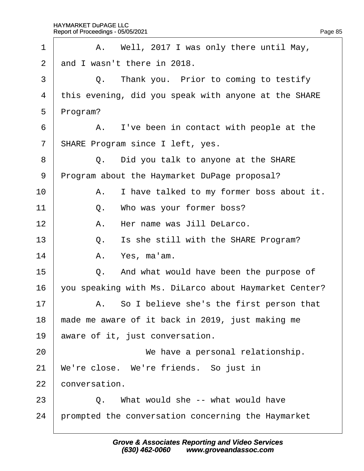| 1              |                                                  | A. Well, 2017 I was only there until May,             |  |
|----------------|--------------------------------------------------|-------------------------------------------------------|--|
| $\overline{2}$ | and I wasn't there in 2018.                      |                                                       |  |
| 3              |                                                  | Q. Thank you. Prior to coming to testify              |  |
| 4              |                                                  | this evening, did you speak with anyone at the SHARE  |  |
| 5              | Program?                                         |                                                       |  |
| 6              |                                                  | A. I've been in contact with people at the            |  |
| $\overline{7}$ |                                                  | <b>SHARE Program since I left, yes.</b>               |  |
| 8              |                                                  | Q. Did you talk to anyone at the SHARE                |  |
| 9              | Program about the Haymarket DuPage proposal?     |                                                       |  |
| 10             |                                                  | A. I have talked to my former boss about it.          |  |
| 11             |                                                  | Q. Who was your former boss?                          |  |
| 12             |                                                  | A. Her name was Jill DeLarco.                         |  |
| 13             |                                                  | Q. Is she still with the SHARE Program?               |  |
| 14             |                                                  | A. Yes, ma'am.                                        |  |
| 15             |                                                  | Q. And what would have been the purpose of            |  |
| 16             |                                                  | you speaking with Ms. DiLarco about Haymarket Center? |  |
| 17             |                                                  | A. So I believe she's the first person that           |  |
| 18             | made me aware of it back in 2019, just making me |                                                       |  |
| 19             | aware of it, just conversation.                  |                                                       |  |
| 20             |                                                  | We have a personal relationship.                      |  |
| 21             | We're close. We're friends. So just in           |                                                       |  |
| 22             | conversation.                                    |                                                       |  |
| 23             |                                                  | Q. What would she -- what would have                  |  |
| 24             |                                                  | prompted the conversation concerning the Haymarket    |  |
|                |                                                  |                                                       |  |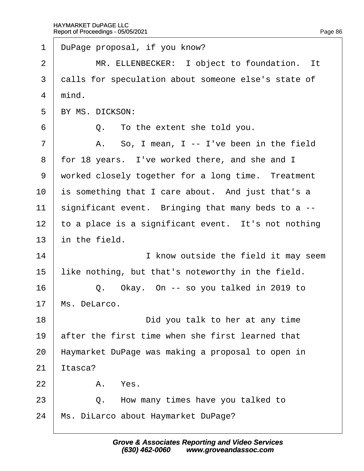| $\mathbf 1$ | DuPage proposal, if you know?                       |
|-------------|-----------------------------------------------------|
| 2           | MR. ELLENBECKER: I object to foundation. It         |
| 3           | dalls for speculation about someone else's state of |
| 4           | mind.                                               |
| 5           | <b>BY MS. DICKSON:</b>                              |
| 6           | Q. To the extent she told you.                      |
| 7           | A. So, I mean, I -- I've been in the field          |
| 8           | for 18 years. I've worked there, and she and I      |
| 9           | worked closely together for a long time. Treatment  |
| 10          | is something that I care about. And just that's a   |
| 11          | significant event. Bringing that many beds to a --  |
| 12          | to a place is a significant event. It's not nothing |
| 13          | in the field.                                       |
| 14          | I know outside the field it may seem                |
| 15          | like nothing, but that's noteworthy in the field.   |
| 16          | Q. Okay. On -- so you talked in 2019 to             |
| 17          | Ms. DeLarco.                                        |
| 18          | Did you talk to her at any time                     |
| 19          | after the first time when she first learned that    |
| 20          | Haymarket DuPage was making a proposal to open in   |
| 21          | ltasca?                                             |
| 22          | A. Yes.                                             |
| 23          | How many times have you talked to<br>Q.             |
| 24          | Ms. DiLarco about Haymarket DuPage?                 |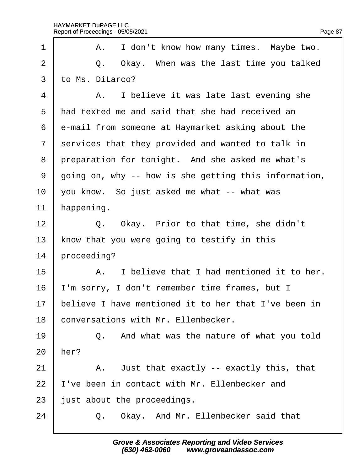| 1              | A. I don't know how many times. Maybe two.            |
|----------------|-------------------------------------------------------|
| $\overline{2}$ | Q. Okay. When was the last time you talked            |
| 3              | to Ms. DiLarco?                                       |
| $\overline{4}$ | A. I believe it was late last evening she             |
| 5              | had texted me and said that she had received an       |
| 6              | e-mail from someone at Haymarket asking about the     |
| 7              | services that they provided and wanted to talk in     |
| 8              | preparation for tonight. And she asked me what's      |
| 9              | going on, why -- how is she getting this information, |
| 10             | you know. So just asked me what -- what was           |
| 11             | happening.                                            |
| 12             | Q. Okay. Prior to that time, she didn't               |
| 13             | know that you were going to testify in this           |
| 14             | proceeding?                                           |
| 15             | A. I believe that I had mentioned it to her.          |
| 16             | 'm sorry, I don't remember time frames, but I         |
| 17             | believe I have mentioned it to her that I've been in  |
| 18             | conversations with Mr. Ellenbecker.                   |
| 19             | Q. And what was the nature of what you told           |
| 20             | her?                                                  |
| 21             | A. Just that exactly -- exactly this, that            |
| 22             | 've been in contact with Mr. Ellenbecker and          |
| 23             | just about the proceedings.                           |
| 24             | Okay. And Mr. Ellenbecker said that<br>Q.             |
|                |                                                       |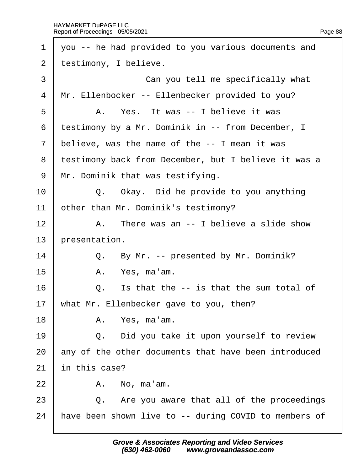|                |               | 1 you -- he had provided to you various documents and |
|----------------|---------------|-------------------------------------------------------|
| $\overline{2}$ |               | testimony, I believe.                                 |
| 3              |               | Can you tell me specifically what                     |
| 4              |               | Mr. Ellenbocker -- Ellenbecker provided to you?       |
| 5              |               | A. Yes. It was -- I believe it was                    |
| 6              |               | testimony by a Mr. Dominik in -- from December, I     |
| $\overline{7}$ |               | believe, was the name of the -- I mean it was         |
| 8              |               | testimony back from December, but I believe it was a  |
| 9              |               | Mr. Dominik that was testifying.                      |
| 10             |               | Q. Okay. Did he provide to you anything               |
| 11             |               | other than Mr. Dominik's testimony?                   |
| 12             |               | A. There was an -- I believe a slide show             |
| 13             | presentation. |                                                       |
| 14             |               | Q. By Mr. -- presented by Mr. Dominik?                |
| 15             |               | A. Yes, ma'am.                                        |
| 16             |               | Q. Is that the -- is that the sum total of            |
| 17             |               | what Mr. Ellenbecker gave to you, then?               |
| 18             |               | A. Yes, ma'am.                                        |
| 19             |               | Q. Did you take it upon yourself to review            |
| 20             |               | any of the other documents that have been introduced  |
| 21             | in this case? |                                                       |
| 22             |               | A. No, ma'am.                                         |
| 23             |               | Q. Are you aware that all of the proceedings          |
| 24             |               | have been shown live to -- during COVID to members of |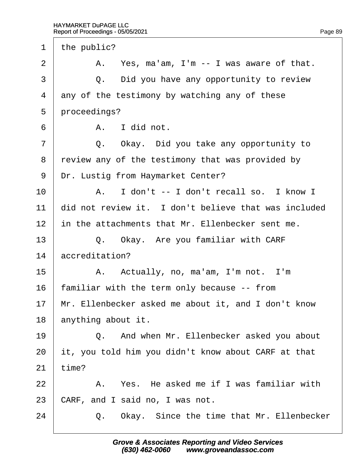1 the public?  $2 \mid$  A. Yes, ma'am, I'm  $-$  I was aware of that.  $\overline{3}$   $\overline{Q}$ . Did you have any opportunity to review 4 any of the testimony by watching any of these 5 proceedings?  $6 \parallel$  A. I did not.  $7 \mid$  Q. Okay. Did you take any opportunity to 8 review any of the testimony that was provided by 9 Dr. Lustig from Haymarket Center?  $10$   $\parallel$  A. I don't -- I don't recall so. I know I 11 did not review it. I don't believe that was included 12 in the attachments that Mr. Ellenbecker sent me. 13  $\parallel$  Q. Okay. Are you familiar with CARF 14 *accreditation?*  $15$  | A. Actually, no, ma'am, I'm not. I'm 16 familiar with the term only because -- from 17 Mr. Ellenbecker asked me about it, and I don't know 18 anything about it. 19 **Q.** And when Mr. Ellenbecker asked you about 20 it, you told him you didn't know about CARF at that  $21$  time?  $22$   $\parallel$  A. Yes. He asked me if I was familiar with 23 CARF, and I said no, I was not. 24 | Q. Okay. Since the time that Mr. Ellenbecker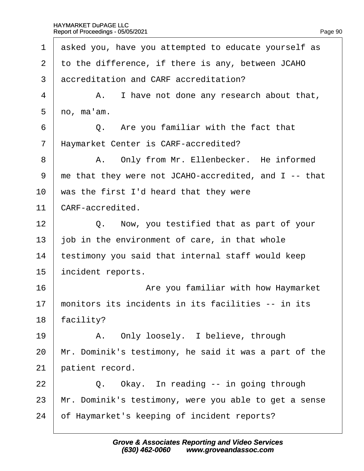| 1              | asked you, have you attempted to educate yourself as   |
|----------------|--------------------------------------------------------|
| $\overline{2}$ | to the difference, if there is any, between JCAHO      |
| 3              | accreditation and CARF accreditation?                  |
| 4              | A. I have not done any research about that,            |
| 5              | no, ma'am.                                             |
| 6              | Q. Are you familiar with the fact that                 |
| $\overline{7}$ | Haymarket Center is CARF-accredited?                   |
| 8              | A. Only from Mr. Ellenbecker. He informed              |
| 9              | the that they were not JCAHO-accredited, and I -- that |
| 10             | was the first I'd heard that they were                 |
| 11             | <b>CARF-accredited.</b>                                |
| 12             | Q. Now, you testified that as part of your             |
| 13             | job in the environment of care, in that whole          |
| 14             | testimony you said that internal staff would keep      |
| 15             | incident reports.                                      |
| 16             | Are you familiar with how Haymarket                    |
| 17             | monitors its incidents in its facilities -- in its     |
| 18             | acility?                                               |
| 19             | A. Only loosely. I believe, through                    |
| 20             | Mr. Dominik's testimony, he said it was a part of the  |
| 21             | patient record.                                        |
| 22             | Q. Okay. In reading -- in going through                |
| 23             | Mr. Dominik's testimony, were you able to get a sense  |
| 24             | of Haymarket's keeping of incident reports?            |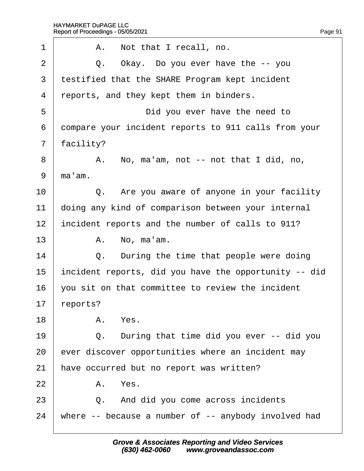| 1              | A. Not that I recall, no.                             |  |
|----------------|-------------------------------------------------------|--|
| 2              | Q. Okay. Do you ever have the -- you                  |  |
| 3              | testified that the SHARE Program kept incident        |  |
| $\overline{4}$ | reports, and they kept them in binders.               |  |
| 5              | Did you ever have the need to                         |  |
| 6              | dompare your incident reports to 911 calls from your  |  |
| 7              | facility?                                             |  |
| 8              | A. No, ma'am, not -- not that I did, no,              |  |
| 9              | ma'am.                                                |  |
| 10             | Q. Are you aware of anyone in your facility           |  |
| 11             | doing any kind of comparison between your internal    |  |
| 12             | incident reports and the number of calls to 911?      |  |
| 13             | A. No, ma'am.                                         |  |
| 14             | Q. During the time that people were doing             |  |
| 15             | incident reports, did you have the opportunity -- did |  |
| 16             | you sit on that committee to review the incident      |  |
| 17             | reports?                                              |  |
| 18             | A. Yes.                                               |  |
| 19             | Q. During that time did you ever -- did you           |  |
| 20             | ever discover opportunities where an incident may     |  |
| 21             | have occurred but no report was written?              |  |
| 22             | A. Yes.                                               |  |
| 23             | Q. And did you come across incidents                  |  |
| 24             | where -- because a number of -- anybody involved had  |  |
|                |                                                       |  |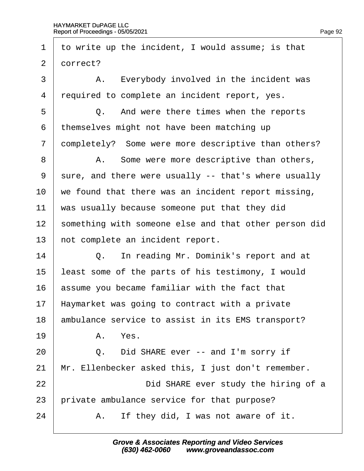| 1              | to write up the incident, I would assume; is that     |
|----------------|-------------------------------------------------------|
| $\overline{2}$ | dorrect?                                              |
| 3              | A. Everybody involved in the incident was             |
| 4              | required to complete an incident report, yes.         |
| 5              | Q. And were there times when the reports              |
| 6              | themselves might not have been matching up            |
| $\overline{7}$ | dompletely? Some were more descriptive than others?   |
| 8              | A. Some were more descriptive than others,            |
| 9              | sure, and there were usually -- that's where usually  |
| 10             | we found that there was an incident report missing,   |
| 11             | was usually because someone put that they did         |
| 12             | something with someone else and that other person did |
| 13             | not complete an incident report.                      |
| 14             | Q. In reading Mr. Dominik's report and at             |
| 15             | least some of the parts of his testimony, I would     |
| 16             | assume you became familiar with the fact that         |
| 17             | Haymarket was going to contract with a private        |
| 18             | ambulance service to assist in its EMS transport?     |
| 19             | A. Yes.                                               |
| 20             | Q. Did SHARE ever -- and I'm sorry if                 |
| 21             | Mr. Ellenbecker asked this, I just don't remember.    |
| 22             | Did SHARE ever study the hiring of a                  |
| 23             | private ambulance service for that purpose?           |
| 24             | A. If they did, I was not aware of it.                |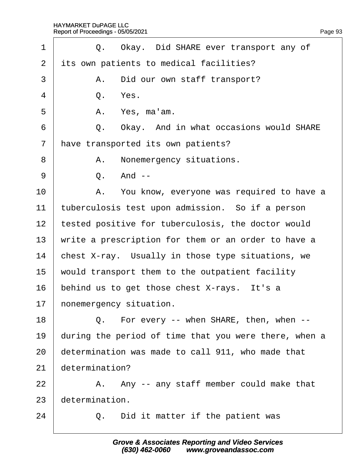| 1              | Q. Okay. Did SHARE ever transport any of              |
|----------------|-------------------------------------------------------|
| $\overline{2}$ | its own patients to medical facilities?               |
| 3              | A. Did our own staff transport?                       |
| 4              | Yes.<br>Q.                                            |
| 5              | A. Yes, ma'am.                                        |
| 6              | Okay. And in what occasions would SHARE<br>Q.         |
| $\overline{7}$ | have transported its own patients?                    |
| 8              | A. Nonemergency situations.                           |
| 9              | And --<br>Q.                                          |
| 10             | A. You know, everyone was required to have a          |
| 11             | tuberculosis test upon admission. So if a person      |
| 12             | tested positive for tuberculosis, the doctor would    |
| 13             | write a prescription for them or an order to have a   |
| 14             | chest X-ray. Usually in those type situations, we     |
| 15             | would transport them to the outpatient facility       |
| 16             | behind us to get those chest X-rays. It's a           |
| 17             | honemergency situation.                               |
| 18             | Q. For every -- when SHARE, then, when --             |
| 19             | during the period of time that you were there, when a |
| 20             | determination was made to call 911, who made that     |
| 21             | determination?                                        |
| 22             | A. Any -- any staff member could make that            |
| 23             | determination.                                        |
| 24             | Did it matter if the patient was<br>Q.                |
|                |                                                       |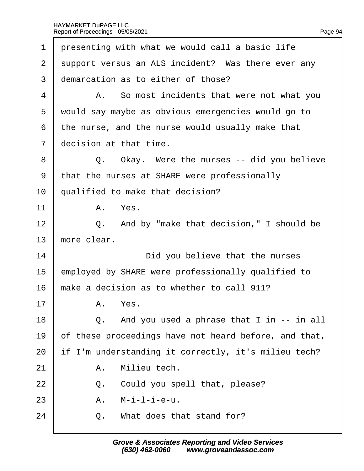| 1              | presenting with what we would call a basic life       |
|----------------|-------------------------------------------------------|
| 2              | support versus an ALS incident? Was there ever any    |
| 3              | demarcation as to either of those?                    |
| 4              | A. So most incidents that were not what you           |
| 5              | would say maybe as obvious emergencies would go to    |
| 6              | the nurse, and the nurse would usually make that      |
| $\overline{7}$ | decision at that time.                                |
| 8              | Q. Okay. Were the nurses -- did you believe           |
| 9              | that the nurses at SHARE were professionally          |
| 10             | qualified to make that decision?                      |
| 11             | A. Yes.                                               |
| 12             | Q. And by "make that decision," I should be           |
| 13             | more clear.                                           |
| 14             | Did you believe that the nurses                       |
|                |                                                       |
| 15             | employed by SHARE were professionally qualified to    |
| 16             | make a decision as to whether to call 911?            |
| 17             | A. Yes.                                               |
| 18             | Q. And you used a phrase that I in -- in all          |
| 19             | of these proceedings have not heard before, and that, |
| 20             | if I'm understanding it correctly, it's milieu tech?  |
| 21             | Milieu tech.<br>Α.                                    |
| 22             | Could you spell that, please?<br>Q.                   |
| 23             | M-i-l-i-e-u.<br>Α.                                    |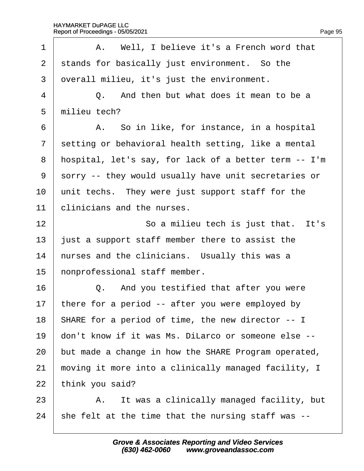| 1              | A. Well, I believe it's a French word that            |
|----------------|-------------------------------------------------------|
| $\overline{2}$ | stands for basically just environment. So the         |
| 3              | overall milieu, it's just the environment.            |
| $\overline{4}$ | Q. And then but what does it mean to be a             |
| 5              | milieu tech?                                          |
| 6              | A. So in like, for instance, in a hospital            |
| $\overline{7}$ | setting or behavioral health setting, like a mental   |
| 8              | hospital, let's say, for lack of a better term -- I'm |
| 9              | sorry -- they would usually have unit secretaries or  |
| 10             | unit techs. They were just support staff for the      |
| 11             | clinicians and the nurses.                            |
| 12             | So a milieu tech is just that. It's                   |
| 13             | just a support staff member there to assist the       |
| 14             | hurses and the clinicians. Usually this was a         |
| 15             | honprofessional staff member.                         |
| 16             | Q. And you testified that after you were              |
| 17             | there for a period -- after you were employed by      |
| 18             | SHARE for a period of time, the new director -- I     |
| 19             | don't know if it was Ms. DiLarco or someone else --   |
| 20             | but made a change in how the SHARE Program operated,  |
| 21             | moving it more into a clinically managed facility, I  |
| 22             | think you said?                                       |
| 23             | A. It was a clinically managed facility, but          |
| 24             | she felt at the time that the nursing staff was --    |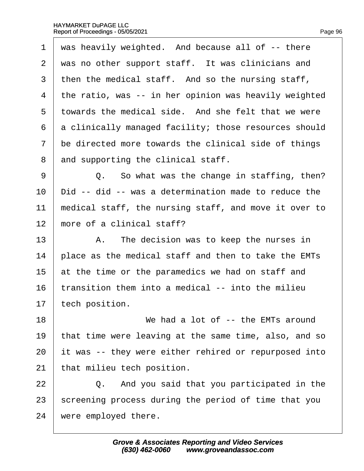| 1              | was heavily weighted. And because all of -- there     |
|----------------|-------------------------------------------------------|
| 2              | was no other support staff. It was clinicians and     |
| 3              | then the medical staff. And so the nursing staff,     |
| 4              | the ratio, was -- in her opinion was heavily weighted |
| 5              | towards the medical side. And she felt that we were   |
| 6              | a clinically managed facility; those resources should |
| $\overline{7}$ | be directed more towards the clinical side of things  |
| 8              | and supporting the clinical staff.                    |
| 9              | Q. So what was the change in staffing, then?          |
| 10             | Did -- did -- was a determination made to reduce the  |
| 11             | medical staff, the nursing staff, and move it over to |
| 12             | more of a clinical staff?                             |
| 13             | A. The decision was to keep the nurses in             |
| 14             | place as the medical staff and then to take the EMTs  |
| 15             | at the time or the paramedics we had on staff and     |
| 16             | transition them into a medical -- into the milieu     |
| 17             | tech position.                                        |
| 18             | We had a lot of -- the EMTs around                    |
| 19             | that time were leaving at the same time, also, and so |
| 20             | it was -- they were either rehired or repurposed into |
| 21             | that milieu tech position.                            |
| 22             | Q. And you said that you participated in the          |
| 23             | screening process during the period of time that you  |
| 24             | were employed there.                                  |
|                |                                                       |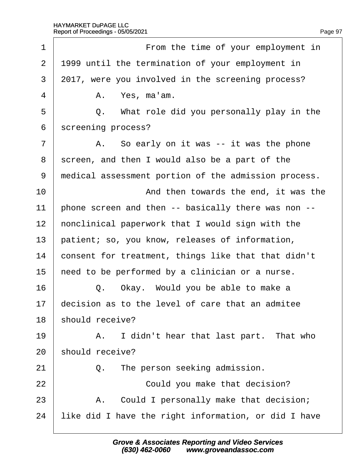| 1              | From the time of your employment in                  |
|----------------|------------------------------------------------------|
| $\overline{2}$ | 1999 until the termination of your employment in     |
| 3              | 2017, were you involved in the screening process?    |
| 4              | A. Yes, ma'am.                                       |
| 5              | Q. What role did you personally play in the          |
| 6              | screening process?                                   |
| $\overline{7}$ | A. So early on it was -- it was the phone            |
| 8              | screen, and then I would also be a part of the       |
| 9              | medical assessment portion of the admission process. |
| 10             | And then towards the end, it was the                 |
| 11             | phone screen and then -- basically there was non --  |
| 12             | honclinical paperwork that I would sign with the     |
| 13             | patient; so, you know, releases of information,      |
| 14             | consent for treatment, things like that that didn't  |
| 15             | heed to be performed by a clinician or a nurse.      |
| 16             | Q. Okay. Would you be able to make a                 |
| 17             | decision as to the level of care that an admitee     |
| 18             | should receive?                                      |
| 19             | A. I didn't hear that last part. That who            |
| 20             | should receive?                                      |
| 21             | The person seeking admission.<br>Q.                  |
| 22             | Could you make that decision?                        |
| 23             | A. Could I personally make that decision;            |
| 24             | like did I have the right information, or did I have |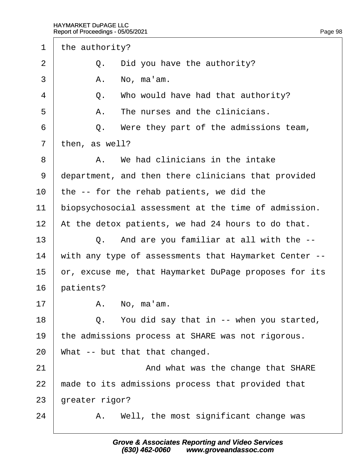1 the authority? 2  $\Box$  Q. Did you have the authority?  $3 \mid$  A. No. ma'am.  $4 \mid Q$ . Who would have had that authority?  $5 \parallel$  A. The nurses and the clinicians.  $6 \mid Q$ . Were they part of the admissions team, 7 then, as well?  $8 \mid$  A. We had clinicians in the intake 9 department, and then there clinicians that provided 10 the -- for the rehab patients, we did the 11 biopsychosocial assessment at the time of admission. 12 At the detox patients, we had 24 hours to do that.  $13 \mid$  Q. And are you familiar at all with the  $-$ 14 with any type of assessments that Haymarket Center --15 br, excuse me, that Haymarket DuPage proposes for its 16 batients?  $17$   $A.$  No, ma'am. 18  $\vert$  Q. You did say that in -- when you started, 19 the admissions process at SHARE was not rigorous. 20 What -- but that that changed. 21 **And what was the change that SHARE** 22 made to its admissions process that provided that 23 greater rigor?  $24$  | A. Well, the most significant change was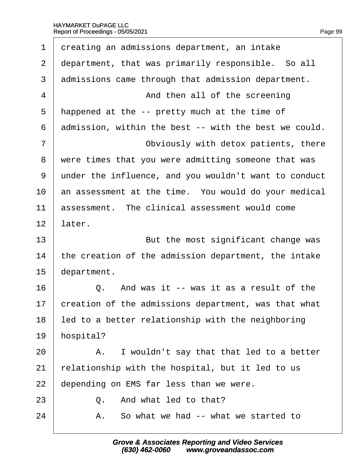| 1  | dreating an admissions department, an intake          |
|----|-------------------------------------------------------|
| 2  | department, that was primarily responsible. So all    |
| 3  | admissions came through that admission department.    |
| 4  | And then all of the screening                         |
| 5  | happened at the -- pretty much at the time of         |
| 6  | admission, within the best -- with the best we could. |
| 7  | Obviously with detox patients, there                  |
| 8  | were times that you were admitting someone that was   |
| 9  | under the influence, and you wouldn't want to conduct |
| 10 | an assessment at the time. You would do your medical  |
| 11 | assessment. The clinical assessment would come        |
| 12 | later.                                                |
| 13 | But the most significant change was                   |
| 14 | the creation of the admission department, the intake  |
| 15 | department.                                           |
| 16 | Q. And was it -- was it as a result of the            |
| 17 | creation of the admissions department, was that what  |
| 18 | led to a better relationship with the neighboring     |
| 19 | hospital?                                             |
| 20 | A. I wouldn't say that that led to a better           |
| 21 | relationship with the hospital, but it led to us      |
| 22 | depending on EMS far less than we were.               |
| 23 | And what led to that?<br>$\Omega_{-}$                 |
| 24 | So what we had -- what we started to<br>Α.            |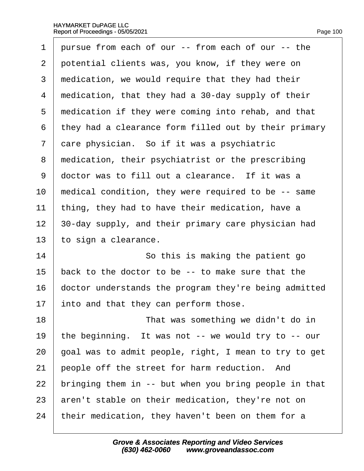|                          |  | Page 100 |
|--------------------------|--|----------|
| $from$ coop of our $the$ |  |          |

| 1              | pursue from each of our -- from each of our -- the    |
|----------------|-------------------------------------------------------|
| 2              | potential clients was, you know, if they were on      |
| 3              | medication, we would require that they had their      |
| 4              | medication, that they had a 30-day supply of their    |
| 5              | medication if they were coming into rehab, and that   |
| 6              | they had a clearance form filled out by their primary |
| $\overline{7}$ | dare physician. So if it was a psychiatric            |
| 8              | medication, their psychiatrist or the prescribing     |
| 9              | doctor was to fill out a clearance. If it was a       |
| 10             | medical condition, they were required to be -- same   |
| 11             | thing, they had to have their medication, have a      |
| 12             | 30-day supply, and their primary care physician had   |
| 13             | to sign a clearance.                                  |
| 14             | So this is making the patient go                      |
| 15             | back to the doctor to be -- to make sure that the     |
| 16             | doctor understands the program they're being admitted |
| 17             | into and that they can perform those.                 |
| 18             | That was something we didn't do in                    |
| 19             | the beginning. It was not -- we would try to -- our   |
| 20             | goal was to admit people, right, I mean to try to get |
| 21             | people off the street for harm reduction. And         |
| 22             | bringing them in -- but when you bring people in that |
| 23             | aren't stable on their medication, they're not on     |
| 24             | their medication, they haven't been on them for a     |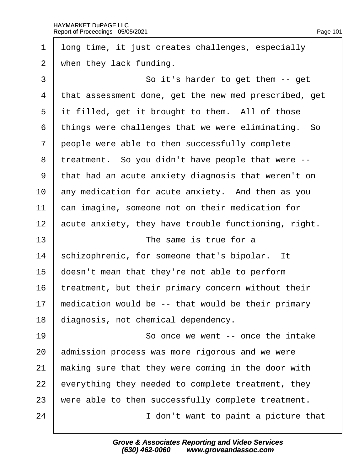| 1              | Iong time, it just creates challenges, especially     |
|----------------|-------------------------------------------------------|
| 2              | when they lack funding.                               |
| 3              | So it's harder to get them -- get                     |
| 4              | that assessment done, get the new med prescribed, get |
| 5              | it filled, get it brought to them. All of those       |
| 6              | things were challenges that we were eliminating. So   |
| $\overline{7}$ | people were able to then successfully complete        |
| 8              | treatment. So you didn't have people that were --     |
| 9              | that had an acute anxiety diagnosis that weren't on   |
| 10             | any medication for acute anxiety. And then as you     |
| 11             | can imagine, someone not on their medication for      |
| 12             | acute anxiety, they have trouble functioning, right.  |
| 13             | The same is true for a                                |
| 14             | schizophrenic, for someone that's bipolar. It         |
| 15             | doesn't mean that they're not able to perform         |
| 16             | treatment, but their primary concern without their    |
| 17             | medication would be -- that would be their primary    |
| 18             | diagnosis, not chemical dependency.                   |
| 19             | So once we went -- once the intake                    |
| 20             | admission process was more rigorous and we were       |
| 21             | making sure that they were coming in the door with    |
| 22             | everything they needed to complete treatment, they    |
| 23             | were able to then successfully complete treatment.    |
| 24             | I don't want to paint a picture that                  |
|                |                                                       |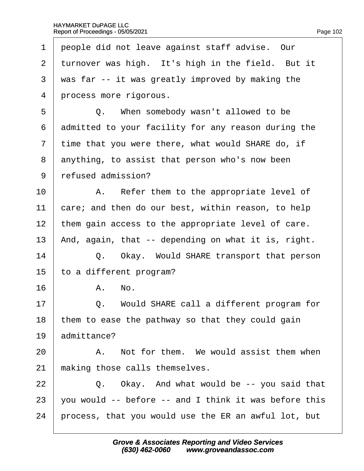| 1              | people did not leave against staff advise. Our        |
|----------------|-------------------------------------------------------|
| $\overline{2}$ | turnover was high. It's high in the field. But it     |
| 3              | was far -- it was greatly improved by making the      |
| 4              | process more rigorous.                                |
| 5              | Q. When somebody wasn't allowed to be                 |
| 6              | admitted to your facility for any reason during the   |
| 7              | time that you were there, what would SHARE do, if     |
| 8              | anything, to assist that person who's now been        |
| 9              | refused admission?                                    |
| 10             | A. Refer them to the appropriate level of             |
| 11             | care; and then do our best, within reason, to help    |
| 12             | them gain access to the appropriate level of care.    |
| 13             | And, again, that -- depending on what it is, right.   |
| 14             | Q. Okay. Would SHARE transport that person            |
| 15             | to a different program?                               |
| 16             | A. No.                                                |
| 17             | Q. Would SHARE call a different program for           |
| 18             | them to ease the pathway so that they could gain      |
| 19             | admittance?                                           |
| 20             | A. Not for them. We would assist them when            |
| 21             | making those calls themselves.                        |
| 22             | Q. Okay. And what would be -- you said that           |
| 23             | you would -- before -- and I think it was before this |
| 24             | process, that you would use the ER an awful lot, but  |
|                |                                                       |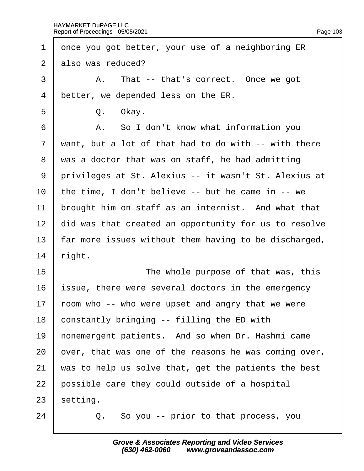| 1              | once you got better, your use of a neighboring ER     |
|----------------|-------------------------------------------------------|
| $\overline{2}$ | also was reduced?                                     |
| 3              | A. That -- that's correct. Once we got                |
| $\overline{4}$ | better, we depended less on the ER.                   |
| 5              | Q. Okay.                                              |
| 6              | A. So I don't know what information you               |
| $\overline{7}$ | want, but a lot of that had to do with -- with there  |
| 8              | was a doctor that was on staff, he had admitting      |
| 9              | privileges at St. Alexius -- it wasn't St. Alexius at |
| 10             | the time, I don't believe -- but he came in -- we     |
| 11             | brought him on staff as an internist. And what that   |
| 12             | did was that created an opportunity for us to resolve |
| 13             | far more issues without them having to be discharged, |
| 14             | right.                                                |
| 15             | The whole purpose of that was, this                   |
| 16             | ssue, there were several doctors in the emergency     |
| 17             | foom who -- who were upset and angry that we were     |
| 18             | constantly bringing -- filling the ED with            |
| 19             | honemergent patients. And so when Dr. Hashmi came     |
| 20             | over, that was one of the reasons he was coming over, |
| 21             | was to help us solve that, get the patients the best  |
| 22             | possible care they could outside of a hospital        |
| 23             | setting.                                              |
| 24             | Q. So you -- prior to that process, you               |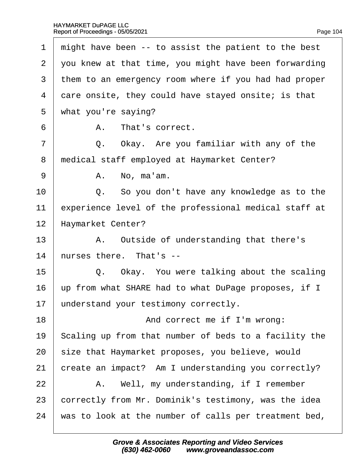| 1              | might have been -- to assist the patient to the best  |
|----------------|-------------------------------------------------------|
| $\overline{2}$ | you knew at that time, you might have been forwarding |
| 3              | them to an emergency room where if you had had proper |
| 4              | dare onsite, they could have stayed onsite; is that   |
| 5              | what you're saying?                                   |
| 6              | A. That's correct.                                    |
| $\overline{7}$ | Q. Okay. Are you familiar with any of the             |
| 8              | medical staff employed at Haymarket Center?           |
| 9              | A. No, ma'am.                                         |
| 10             | Q. So you don't have any knowledge as to the          |
| 11             | experience level of the professional medical staff at |
| 12             | Haymarket Center?                                     |
| 13             | A. Outside of understanding that there's              |
| 14             | hurses there. That's --                               |
| 15             | Q. Okay. You were talking about the scaling           |
| 16             | up from what SHARE had to what DuPage proposes, if I  |
| 17             | understand your testimony correctly.                  |
| 18             | And correct me if I'm wrong:                          |
| 19             | Scaling up from that number of beds to a facility the |
| 20             | size that Haymarket proposes, you believe, would      |
| 21             | create an impact? Am I understanding you correctly?   |
| 22             | A. Well, my understanding, if I remember              |
| 23             | correctly from Mr. Dominik's testimony, was the idea  |
| 24             | was to look at the number of calls per treatment bed, |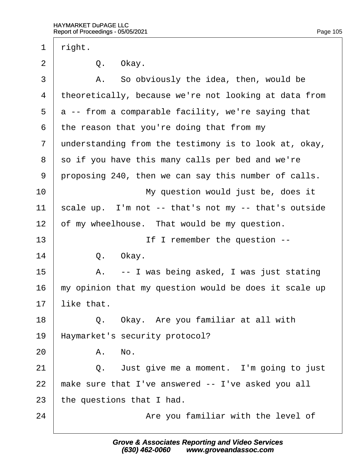| 1              | right.                                                |
|----------------|-------------------------------------------------------|
| $\overline{2}$ | Q. Okay.                                              |
| 3              | A. So obviously the idea, then, would be              |
| 4              | theoretically, because we're not looking at data from |
| 5              | a -- from a comparable facility, we're saying that    |
| 6              | the reason that you're doing that from my             |
| $\overline{7}$ | understanding from the testimony is to look at, okay, |
| 8              | so if you have this many calls per bed and we're      |
| 9              | proposing 240, then we can say this number of calls.  |
| 10             | My question would just be, does it                    |
| 11             | scale up. I'm not -- that's not my -- that's outside  |
| 12             | of my wheelhouse. That would be my question.          |
| 13             | If I remember the question --                         |
| 14             | Q. Okay.                                              |
| 15             | A. -- I was being asked, I was just stating           |
| 16             | my opinion that my question would be does it scale up |
| 17             | like that.                                            |
| 18             | Q. Okay. Are you familiar at all with                 |
| 19             | Haymarket's security protocol?                        |
| 20             | A. No.                                                |
| 21             | Q. Just give me a moment. I'm going to just           |
| 22             | make sure that I've answered -- I've asked you all    |
| 23             | the questions that I had.                             |
| 24             | Are you familiar with the level of                    |
|                |                                                       |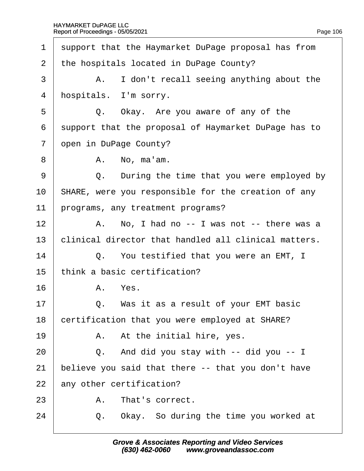| $\mathbf 1$    |    | support that the Haymarket DuPage proposal has from  |
|----------------|----|------------------------------------------------------|
| $\overline{2}$ |    | the hospitals located in DuPage County?              |
| 3              |    | A. I don't recall seeing anything about the          |
| 4              |    | hospitals. I'm sorry.                                |
| 5              |    | Q. Okay. Are you aware of any of the                 |
| 6              |    | support that the proposal of Haymarket DuPage has to |
| $\overline{7}$ |    | open in DuPage County?                               |
| 8              |    | A. No, ma'am.                                        |
| 9              | Q. | During the time that you were employed by            |
| 10             |    | SHARE, were you responsible for the creation of any  |
| 11             |    | programs, any treatment programs?                    |
| 12             |    | A. No, I had no -- I was not -- there was a          |
| 13             |    | clinical director that handled all clinical matters. |
| 14             |    | Q. You testified that you were an EMT, I             |
| 15             |    | think a basic certification?                         |
| 16             |    | A. Yes.                                              |
| 17             |    | Q. Was it as a result of your EMT basic              |
| 18             |    | certification that you were employed at SHARE?       |
| 19             |    | A. At the initial hire, yes.                         |
| 20             |    | Q. And did you stay with -- did you -- I             |
| 21             |    | believe you said that there -- that you don't have   |
| 22             |    | any other certification?                             |
| 23             |    | A. That's correct.                                   |
| 24             | Q. | Okay. So during the time you worked at               |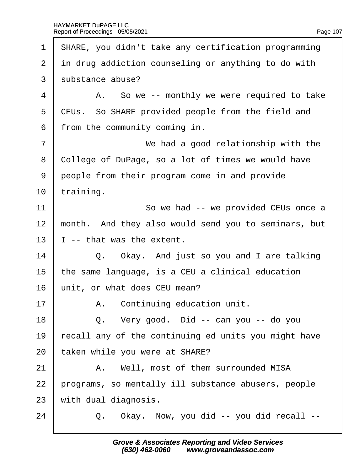| 1              | <b>SHARE, you didn't take any certification programming</b> |
|----------------|-------------------------------------------------------------|
| $\overline{2}$ | in drug addiction counseling or anything to do with         |
| 3              | substance abuse?                                            |
| 4              | A. So we -- monthly we were required to take                |
| 5              | CEUs. So SHARE provided people from the field and           |
| 6              | from the community coming in.                               |
| $\overline{7}$ | We had a good relationship with the                         |
| 8              | College of DuPage, so a lot of times we would have          |
| 9              | people from their program come in and provide               |
| 10             | training.                                                   |
| 11             | So we had -- we provided CEUs once a                        |
| 12             | month. And they also would send you to seminars, but        |
| 13             | -- that was the extent.                                     |
| 14             | Q. Okay. And just so you and I are talking                  |
| 15             | the same language, is a CEU a clinical education            |
| 16             | unit, or what does CEU mean?                                |
| 17             | A. Continuing education unit.                               |
| 18             | Q. Very good. Did -- can you -- do you                      |
| 19             | recall any of the continuing ed units you might have        |
| 20             | taken while you were at SHARE?                              |
| 21             | A. Well, most of them surrounded MISA                       |
| 22             | programs, so mentally ill substance abusers, people         |
| 23             | with dual diagnosis.                                        |
| 24             | Q. Okay. Now, you did -- you did recall --                  |
|                |                                                             |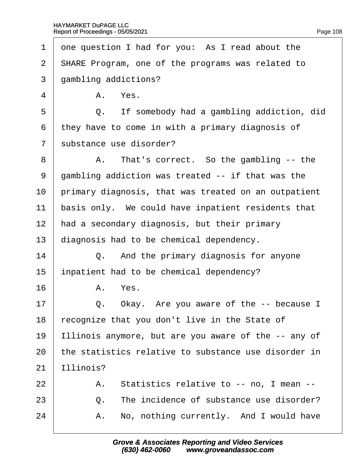|  | Page 108 |
|--|----------|
|  |          |

<span id="page-108-0"></span>

| 1              | one question I had for you: As I read about the      |  |
|----------------|------------------------------------------------------|--|
| $\overline{2}$ | \$HARE Program, one of the programs was related to   |  |
| 3              | gambling addictions?                                 |  |
| 4              | A. Yes.                                              |  |
| 5              | If somebody had a gambling addiction, did<br>Q.      |  |
| 6              | they have to come in with a primary diagnosis of     |  |
| $\overline{7}$ | substance use disorder?                              |  |
| 8              | A. That's correct. So the gambling -- the            |  |
| 9              | gambling addiction was treated -- if that was the    |  |
| 10             | primary diagnosis, that was treated on an outpatient |  |
| 11             | basis only. We could have inpatient residents that   |  |
| 12             | had a secondary diagnosis, but their primary         |  |
| 13             | diagnosis had to be chemical dependency.             |  |
| 14             | Q. And the primary diagnosis for anyone              |  |
| 15             | inpatient had to be chemical dependency?             |  |
| 16             | A. Yes.                                              |  |
| 17             | Okay. Are you aware of the -- because I<br>Q.        |  |
| 18             | ecognize that you don't live in the State of         |  |
| 19             | Illinois anymore, but are you aware of the -- any of |  |
| 20             | the statistics relative to substance use disorder in |  |
| 21             | Ilinois?                                             |  |
| 22             | A. Statistics relative to -- no, I mean --           |  |
| 23             | The incidence of substance use disorder?<br>Q.       |  |
| 24             | No, nothing currently. And I would have<br>А.        |  |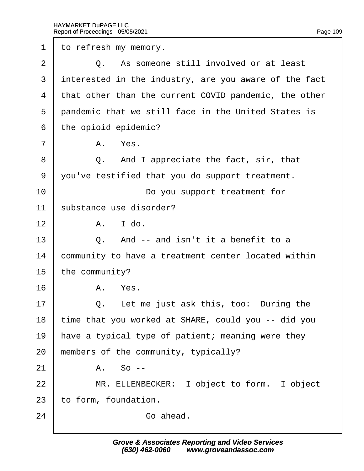<span id="page-109-0"></span>1 to refresh my memory.  $2 \cup Q$ . As someone still involved or at least 3 interested in the industry, are you aware of the fact 4 that other than the current COVID pandemic, the other 5 pandemic that we still face in the United States is 6 the opioid epidemic?  $7 \parallel$  A. Yes.  $8 \mid Q$ . And I appreciate the fact, sir, that ·9· ·you've testified that you do support treatment. 10 **Do you support treatment for** 11 substance use disorder?  $12 \parallel$  A.  $1$  do.  $13 \mid Q$ . And -- and isn't it a benefit to a 14 Community to have a treatment center located within 15 the community?  $16$   $A$   $Yes$ .  $17 \parallel Q$ . Let me just ask this, too: During the 18 time that you worked at SHARE, could you -- did you 19 have a typical type of patient; meaning were they 20 members of the community, typically?  $21$   $A.$  So --22 | MR. ELLENBECKER: I object to form. I object 23 to form, foundation.  $24$  · Go ahead.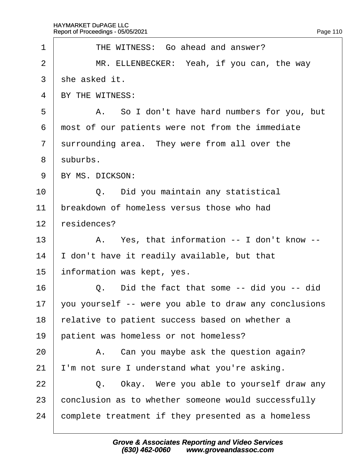<span id="page-110-0"></span>

| 1              | THE WITNESS: Go ahead and answer?                     |
|----------------|-------------------------------------------------------|
| $\overline{2}$ | MR. ELLENBECKER: Yeah, if you can, the way            |
| 3              | she asked it.                                         |
| 4              | BY THE WITNESS:                                       |
| 5              | A. So I don't have hard numbers for you, but          |
| 6              | most of our patients were not from the immediate      |
| $\overline{7}$ | surrounding area. They were from all over the         |
| 8              | suburbs.                                              |
| 9              | BY MS. DICKSON:                                       |
| 10             | Q. Did you maintain any statistical                   |
| 11             | breakdown of homeless versus those who had            |
| 12             | residences?                                           |
| 13             | A. Yes, that information -- I don't know --           |
| 14             | don't have it readily available, but that             |
| 15             | information was kept, yes.                            |
| 16             | Q. Did the fact that some -- did you -- did           |
| 17             | you yourself -- were you able to draw any conclusions |
| 18             | relative to patient success based on whether a        |
| 19             | patient was homeless or not homeless?                 |
| 20             | A. Can you maybe ask the question again?              |
| 21             | 'm not sure I understand what you're asking.          |
| 22             | Q. Okay. Were you able to yourself draw any           |
| 23             | conclusion as to whether someone would successfully   |
| 24             | complete treatment if they presented as a homeless    |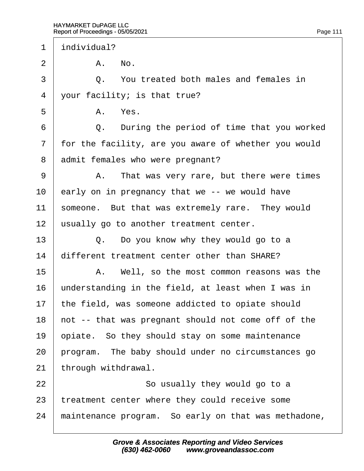$\Gamma$ 

<span id="page-111-0"></span>

| 1              | individual? |                                                      |
|----------------|-------------|------------------------------------------------------|
| $\overline{2}$ |             | A. No.                                               |
| 3              |             | Q. You treated both males and females in             |
| 4              |             | your facility; is that true?                         |
| 5              |             | A. Yes.                                              |
| 6              |             | Q. During the period of time that you worked         |
| $\overline{7}$ |             | for the facility, are you aware of whether you would |
| 8              |             | admit females who were pregnant?                     |
| 9              |             | A. That was very rare, but there were times          |
| 10             |             | early on in pregnancy that we -- we would have       |
| 11             |             | someone. But that was extremely rare. They would     |
| 12             |             | usually go to another treatment center.              |
| 13             |             | Q. Do you know why they would go to a                |
| 14             |             | different treatment center other than SHARE?         |
| 15             |             | A. Well, so the most common reasons was the          |
| 16             |             | understanding in the field, at least when I was in   |
| 17             |             | the field, was someone addicted to opiate should     |
| 18             |             | hot -- that was pregnant should not come off of the  |
| 19             |             | opiate. So they should stay on some maintenance      |
| 20             |             | program. The baby should under no circumstances go   |
| 21             |             | through withdrawal.                                  |
| 22             |             | So usually they would go to a                        |
| 23             |             | treatment center where they could receive some       |
| 24             |             | maintenance program. So early on that was methadone, |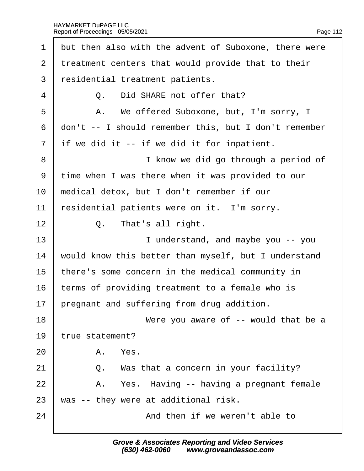<span id="page-112-0"></span>

| 1              | but then also with the advent of Suboxone, there were |
|----------------|-------------------------------------------------------|
| $\overline{2}$ | treatment centers that would provide that to their    |
| 3              | residential treatment patients.                       |
| 4              | Did SHARE not offer that?<br>Q.                       |
| 5              | A. We offered Suboxone, but, I'm sorry, I             |
| 6              | don't -- I should remember this, but I don't remember |
| $\overline{7}$ | if we did it -- if we did it for inpatient.           |
| 8              | I know we did go through a period of                  |
| 9              | time when I was there when it was provided to our     |
| 10             | medical detox, but I don't remember if our            |
| 11             | residential patients were on it. I'm sorry.           |
| 12             | That's all right.<br>Q.                               |
| 13             | I understand, and maybe you -- you                    |
| 14             | would know this better than myself, but I understand  |
| 15             | there's some concern in the medical community in      |
| 16             | terms of providing treatment to a female who is       |
| 17             | pregnant and suffering from drug addition.            |
| 18             | Were you aware of -- would that be a                  |
| 19             | true statement?                                       |
| 20             | A. Yes.                                               |
| 21             | Q. Was that a concern in your facility?               |
| 22             | A. Yes. Having -- having a pregnant female            |
| 23             | was -- they were at additional risk.                  |
| 24             | And then if we weren't able to                        |
|                |                                                       |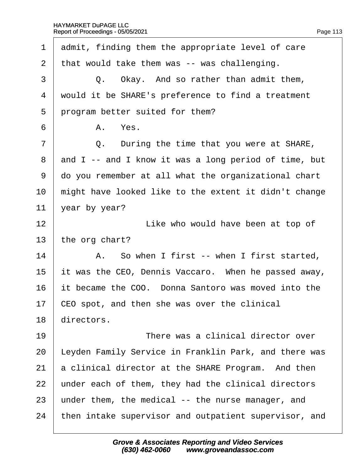<span id="page-113-0"></span>

| 1              | admit, finding them the appropriate level of care     |
|----------------|-------------------------------------------------------|
| 2              | that would take them was -- was challenging.          |
| 3              | Q. Okay. And so rather than admit them,               |
| 4              | would it be SHARE's preference to find a treatment    |
| 5              | program better suited for them?                       |
| 6              | A. Yes.                                               |
| $\overline{7}$ | Q. During the time that you were at SHARE,            |
| 8              | and I -- and I know it was a long period of time, but |
| 9              | do you remember at all what the organizational chart  |
| 10             | might have looked like to the extent it didn't change |
| 11             | year by year?                                         |
| 12             | Like who would have been at top of                    |
| 13             | the org chart?                                        |
| 14             | A. So when I first -- when I first started,           |
| 15             | it was the CEO, Dennis Vaccaro. When he passed away,  |
| 16             | it became the COO. Donna Santoro was moved into the   |
| 17             | CEO spot, and then she was over the clinical          |
| 18             | directors.                                            |
| 19             | There was a clinical director over                    |
| 20             | Leyden Family Service in Franklin Park, and there was |
| 21             | a clinical director at the SHARE Program. And then    |
| 22             | under each of them, they had the clinical directors   |
| 23             | under them, the medical -- the nurse manager, and     |
| 24             | then intake supervisor and outpatient supervisor, and |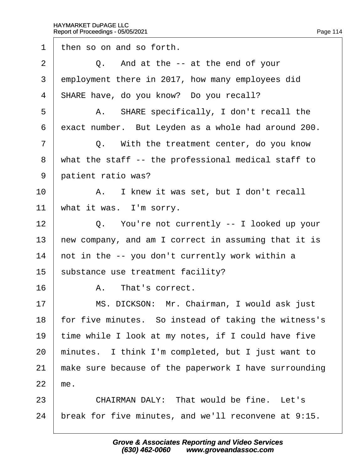<span id="page-114-0"></span>1 then so on and so forth.  $2 \mid Q$ . And at the -- at the end of your 3 employment there in 2017, how many employees did 4 SHARE have, do you know? Do you recall? 5 | A. SHARE specifically, I don't recall the 6 exact number. But Leyden as a whole had around 200.  $7 \mid$  Q. With the treatment center, do you know ·8· ·what the staff -- the professional medical staff to 9 patient ratio was? 10 | A. I knew it was set, but I don't recall 11 what it was. I'm sorry. 12 | Q. You're not currently -- I looked up your 13 hew company, and am I correct in assuming that it is 14 hot in the  $-$  you don't currently work within a 15 substance use treatment facility? 16 A. That's correct. 17 | MS. DICKSON: Mr. Chairman, I would ask just 18 for five minutes. So instead of taking the witness's 19 time while I look at my notes, if I could have five 20 minutes. I think I'm completed, but I just want to 21 make sure because of the paperwork I have surrounding  $22$  me.  $23$   $\phantom{1}$  CHAIRMAN DALY: That would be fine. Let's 24 break for five minutes, and we'll reconvene at 9:15.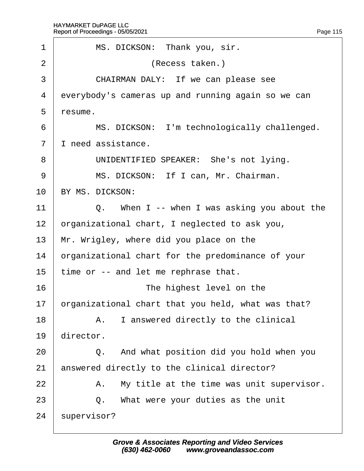<span id="page-115-0"></span>

| 1              | MS. DICKSON: Thank you, sir.                       |
|----------------|----------------------------------------------------|
| $\overline{2}$ | (Recess taken.)                                    |
| 3              | CHAIRMAN DALY: If we can please see                |
| 4              | everybody's cameras up and running again so we can |
| 5              | resume.                                            |
| 6              | MS. DICKSON: I'm technologically challenged.       |
| $\overline{7}$ | I need assistance.                                 |
| 8              | UNIDENTIFIED SPEAKER: She's not lying.             |
| 9              | MS. DICKSON: If I can, Mr. Chairman.               |
| 10             | BY MS. DICKSON:                                    |
| 11             | Q. When I -- when I was asking you about the       |
| 12             | prganizational chart, I neglected to ask you,      |
| 13             | Mr. Wrigley, where did you place on the            |
| 14             | prganizational chart for the predominance of your  |
| 15             | time or -- and let me rephrase that.               |
| 16             | The highest level on the                           |
| 17             | prganizational chart that you held, what was that? |
| 18             | A. I answered directly to the clinical             |
| 19             | director.                                          |
| 20             | Q. And what position did you hold when you         |
| 21             | answered directly to the clinical director?        |
| 22             | A. My title at the time was unit supervisor.       |
| 23             | What were your duties as the unit<br>Q.            |
| 24             | supervisor?                                        |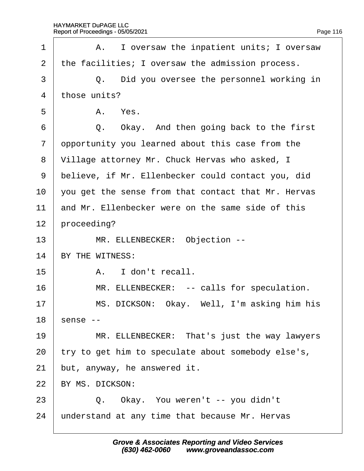<span id="page-116-0"></span>

| 1              | A. I oversaw the inpatient units; I oversaw         |
|----------------|-----------------------------------------------------|
| $\overline{2}$ | the facilities; I oversaw the admission process.    |
| 3              | Q. Did you oversee the personnel working in         |
| $\overline{4}$ | those units?                                        |
| 5              | A. Yes.                                             |
| 6              | Q. Okay. And then going back to the first           |
| $\overline{7}$ | opportunity you learned about this case from the    |
| 8              | Village attorney Mr. Chuck Hervas who asked, I      |
| 9              | believe, if Mr. Ellenbecker could contact you, did  |
| 10             | you get the sense from that contact that Mr. Hervas |
| 11             | and Mr. Ellenbecker were on the same side of this   |
| 12             | proceeding?                                         |
| 13             | MR. ELLENBECKER: Objection --                       |
| 14             | BY THE WITNESS:                                     |
| 15             | A. I don't recall.                                  |
| 16             | MR. ELLENBECKER: -- calls for speculation.          |
| 17             | MS. DICKSON: Okay. Well, I'm asking him his         |
| 18             | sense --                                            |
| 19             | MR. ELLENBECKER: That's just the way lawyers        |
| 20             | try to get him to speculate about somebody else's,  |
| 21             | but, anyway, he answered it.                        |
| 22             | BY MS. DICKSON:                                     |
| 23             | Q. Okay. You weren't -- you didn't                  |
|                |                                                     |

24  $\mu$ nderstand at any time that because Mr. Hervas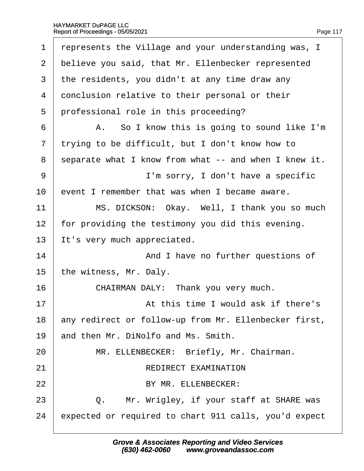<span id="page-117-0"></span>

| 1              | represents the Village and your understanding was, I  |
|----------------|-------------------------------------------------------|
| $\overline{2}$ | believe you said, that Mr. Ellenbecker represented    |
| 3              | the residents, you didn't at any time draw any        |
| 4              | donclusion relative to their personal or their        |
| 5              | professional role in this proceeding?                 |
| 6              | A. So I know this is going to sound like I'm          |
| $\overline{7}$ | trying to be difficult, but I don't know how to       |
| 8              | separate what I know from what -- and when I knew it. |
| 9              | I'm sorry, I don't have a specific                    |
| 10             | event I remember that was when I became aware.        |
| 11             | MS. DICKSON: Okay. Well, I thank you so much          |
| 12             | for providing the testimony you did this evening.     |
| 13             | It's very much appreciated.                           |
| 14             | And I have no further questions of                    |
| 15             | the witness, Mr. Daly.                                |
| 16             | CHAIRMAN DALY: Thank you very much.                   |
| 17             | At this time I would ask if there's                   |
| 18             | any redirect or follow-up from Mr. Ellenbecker first, |
| 19             | and then Mr. DiNolfo and Ms. Smith.                   |
| 20             | MR. ELLENBECKER: Briefly, Mr. Chairman.               |
| 21             | <b>REDIRECT EXAMINATION</b>                           |
| 22             | BY MR. ELLENBECKER:                                   |
| 23             | Mr. Wrigley, if your staff at SHARE was<br>Q.         |
| 24             | expected or required to chart 911 calls, you'd expect |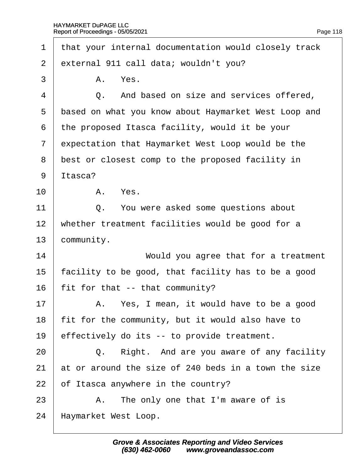<span id="page-118-0"></span>

| 1              | that your internal documentation would closely track |  |
|----------------|------------------------------------------------------|--|
| $\overline{2}$ | external 911 call data; wouldn't you?                |  |
| 3              | A. Yes.                                              |  |
| 4              | Q. And based on size and services offered,           |  |
| 5              | based on what you know about Haymarket West Loop and |  |
| 6              | the proposed Itasca facility, would it be your       |  |
| $\overline{7}$ | expectation that Haymarket West Loop would be the    |  |
| 8              | best or closest comp to the proposed facility in     |  |
| 9              | Itasca?                                              |  |
| 10             | A. Yes.                                              |  |
| 11             | Q. You were asked some questions about               |  |
| 12             | whether treatment facilities would be good for a     |  |
| 13             | community.                                           |  |
| 14             | Would you agree that for a treatment                 |  |
| 15             | facility to be good, that facility has to be a good  |  |
| 16             | fit for that -- that community?                      |  |
| 17             | A. Yes, I mean, it would have to be a good           |  |
| 18             | fit for the community, but it would also have to     |  |
| 19             | effectively do its -- to provide treatment.          |  |
| 20             | Right. And are you aware of any facility<br>Q.       |  |
| 21             | at or around the size of 240 beds in a town the size |  |
| 22             | of Itasca anywhere in the country?                   |  |
| 23             | A. The only one that I'm aware of is                 |  |
| 24             | Haymarket West Loop.                                 |  |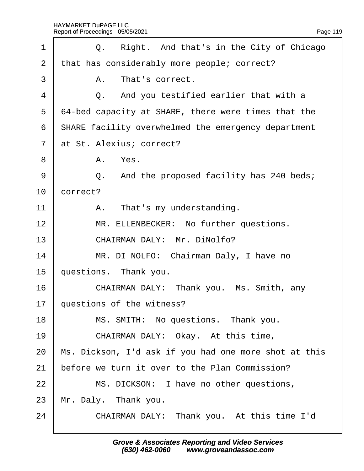$\Gamma$ 

<span id="page-119-0"></span>

| 1              |          | Q. Right. And that's in the City of Chicago                |
|----------------|----------|------------------------------------------------------------|
| $\overline{2}$ |          | that has considerably more people; correct?                |
| 3              |          | A. That's correct.                                         |
| 4              |          | Q. And you testified earlier that with a                   |
| 5              |          | 64-bed capacity at SHARE, there were times that the        |
| 6              |          | <b>SHARE facility overwhelmed the emergency department</b> |
| $\overline{7}$ |          | at St. Alexius; correct?                                   |
| 8              |          | A. Yes.                                                    |
| 9              |          | Q. And the proposed facility has 240 beds;                 |
| 10             | correct? |                                                            |
| 11             |          | A. That's my understanding.                                |
| 12             |          | MR. ELLENBECKER: No further questions.                     |
| 13             |          | CHAIRMAN DALY: Mr. DiNolfo?                                |
| 14             |          | MR. DI NOLFO: Chairman Daly, I have no                     |
| 15             |          | questions. Thank you.                                      |
| 16             |          | CHAIRMAN DALY: Thank you. Ms. Smith, any                   |
| 17             |          | questions of the witness?                                  |
| 18             |          | MS. SMITH: No questions. Thank you.                        |
| 19             |          | CHAIRMAN DALY: Okay. At this time,                         |
| 20             |          | Ms. Dickson, I'd ask if you had one more shot at this      |
| 21             |          | before we turn it over to the Plan Commission?             |
| 22             |          | MS. DICKSON: I have no other questions,                    |
| 23             |          | Mr. Daly. Thank you.                                       |
| 24             |          | CHAIRMAN DALY: Thank you. At this time I'd                 |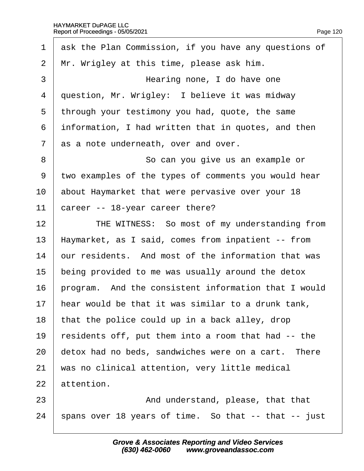$\Gamma$ 

<span id="page-120-0"></span>

| 1              | ask the Plan Commission, if you have any questions of |
|----------------|-------------------------------------------------------|
| $\overline{2}$ | Mr. Wrigley at this time, please ask him.             |
| 3              | Hearing none, I do have one                           |
| $\overline{4}$ | question, Mr. Wrigley: I believe it was midway        |
| 5              | through your testimony you had, quote, the same       |
| 6              | information, I had written that in quotes, and then   |
| $\overline{7}$ | as a note underneath, over and over.                  |
| 8              | So can you give us an example or                      |
| 9              | two examples of the types of comments you would hear  |
| 10             | about Haymarket that were pervasive over your 18      |
| 11             | career -- 18-year career there?                       |
| 12             | THE WITNESS: So most of my understanding from         |
| 13             | Haymarket, as I said, comes from inpatient -- from    |
| 14             | our residents. And most of the information that was   |
| 15             | being provided to me was usually around the detox     |
| 16             | program. And the consistent information that I would  |
| 17             | hear would be that it was similar to a drunk tank,    |
| 18             | that the police could up in a back alley, drop        |
| 19             | residents off, put them into a room that had -- the   |
| 20             | detox had no beds, sandwiches were on a cart. There   |
| 21             | was no clinical attention, very little medical        |
| 22             | attention.                                            |
| 23             | And understand, please, that that                     |
|                |                                                       |

24  $\frac{1}{2}$  spans over 18 years of time. So that -- that -- just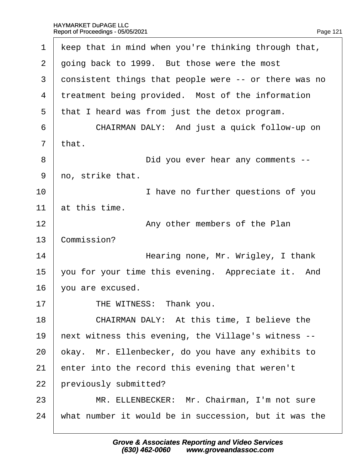<span id="page-121-0"></span>

| 1              | keep that in mind when you're thinking through that,  |
|----------------|-------------------------------------------------------|
| $\overline{2}$ | going back to 1999. But those were the most           |
| 3              | donsistent things that people were -- or there was no |
| 4              | treatment being provided. Most of the information     |
| 5              | that I heard was from just the detox program.         |
| 6              | CHAIRMAN DALY: And just a quick follow-up on          |
| $\overline{7}$ | that.                                                 |
| 8              | Did you ever hear any comments --                     |
| 9              | no, strike that.                                      |
| 10             | I have no further questions of you                    |
| 11             | at this time.                                         |
| 12             | Any other members of the Plan                         |
| 13             | Commission?                                           |
| 14             | Hearing none, Mr. Wrigley, I thank                    |
| 15             | you for your time this evening. Appreciate it. And    |
| 16             | you are excused.                                      |
| 17             | THE WITNESS: Thank you.                               |
| 18             | CHAIRMAN DALY: At this time, I believe the            |
| 19             | hext witness this evening, the Village's witness --   |
| 20             | okay. Mr. Ellenbecker, do you have any exhibits to    |
| 21             | enter into the record this evening that weren't       |
| 22             | previously submitted?                                 |
| 23             | MR. ELLENBECKER: Mr. Chairman, I'm not sure           |
| 24             | what number it would be in succession, but it was the |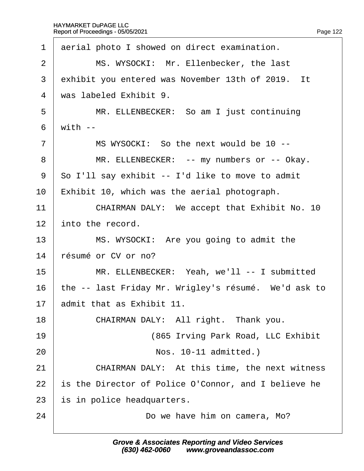<span id="page-122-0"></span>1 derial photo I showed on direct examination. 2 | MS. WYSOCKI: Mr. Ellenbecker, the last 3 exhibit you entered was November 13th of 2019. It 4 was labeled Exhibit 9. 5 | MR. ELLENBECKER: So am I just continuing  $6$  with  $-$ 7 | MS WYSOCKI: So the next would be 10 --8 | MR. ELLENBECKER: -- my numbers or -- Okay. 9 So I'll say exhibit -- I'd like to move to admit 10 Exhibit 10, which was the aerial photograph. 11 | CHAIRMAN DALY: We accept that Exhibit No. 10 12 into the record. 13 | MS. WYSOCKI: Are you going to admit the 14 résumé or CV or no? 15 | MR. ELLENBECKER: Yeah, we'll -- I submitted 16 the -- last Friday Mr. Wrigley's résumé. We'd ask to 17 **admit that as Exhibit 11.** 18 | CHAIRMAN DALY: All right. Thank you. 19 | (865 Irving Park Road, LLC Exhibit 20 | **Nos. 10-11 admitted.)** 21 **CHAIRMAN DALY:** At this time, the next witness 22 is the Director of Police O'Connor, and I believe he 23 is in police headquarters. 24 **Do we have him on camera, Mo?**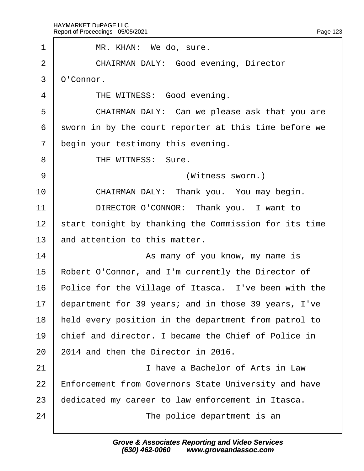<span id="page-123-0"></span>

| 1              | MR. KHAN: We do, sure.                                      |
|----------------|-------------------------------------------------------------|
| $\overline{2}$ | <b>CHAIRMAN DALY: Good evening, Director</b>                |
| 3              | O'Connor.                                                   |
| 4              | THE WITNESS: Good evening.                                  |
| 5              | CHAIRMAN DALY: Can we please ask that you are               |
| 6              | sworn in by the court reporter at this time before we       |
| $\overline{7}$ | begin your testimony this evening.                          |
| 8              | THE WITNESS: Sure.                                          |
| 9              | (Witness sworn.)                                            |
| 10             | CHAIRMAN DALY: Thank you. You may begin.                    |
| 11             | DIRECTOR O'CONNOR: Thank you. I want to                     |
| 12             | start tonight by thanking the Commission for its time       |
| 13             | and attention to this matter.                               |
| 14             | As many of you know, my name is                             |
| 15             | Robert O'Connor, and I'm currently the Director of          |
| 16             | Police for the Village of Itasca. I've been with the        |
| 17             | department for 39 years; and in those 39 years, I've        |
| 18             | held every position in the department from patrol to        |
| 19             | chief and director. I became the Chief of Police in         |
| 20             | 2014 and then the Director in 2016.                         |
| 21             | I have a Bachelor of Arts in Law                            |
| 22             | <b>Enforcement from Governors State University and have</b> |
| 23             | dedicated my career to law enforcement in Itasca.           |
| 24             | The police department is an                                 |
|                |                                                             |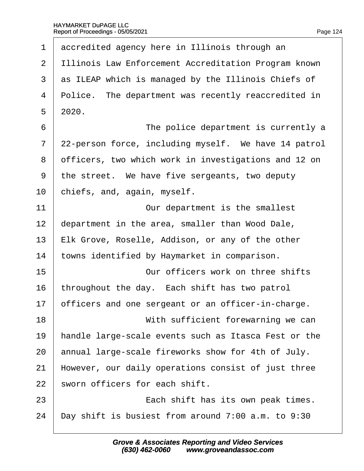|  | Page 124 |
|--|----------|

<span id="page-124-0"></span>

| 1              | accredited agency here in Illinois through an        |
|----------------|------------------------------------------------------|
| $\overline{2}$ | Illinois Law Enforcement Accreditation Program known |
| 3              | as ILEAP which is managed by the Illinois Chiefs of  |
| 4              | Police. The department was recently reaccredited in  |
| 5              | 2020.                                                |
| 6              | The police department is currently a                 |
| $\overline{7}$ | 22-person force, including myself. We have 14 patrol |
| 8              | officers, two which work in investigations and 12 on |
| 9              | the street. We have five sergeants, two deputy       |
| 10             | chiefs, and, again, myself.                          |
| 11             | Our department is the smallest                       |
| 12             | department in the area, smaller than Wood Dale,      |
| 13             | Elk Grove, Roselle, Addison, or any of the other     |
| 14             | towns identified by Haymarket in comparison.         |
| 15             | Our officers work on three shifts                    |
| 16             | throughout the day. Each shift has two patrol        |
| 17             | officers and one sergeant or an officer-in-charge.   |
| 18             | With sufficient forewarning we can                   |
| 19             | handle large-scale events such as Itasca Fest or the |
| 20             | annual large-scale fireworks show for 4th of July.   |
| 21             | However, our daily operations consist of just three  |
| 22             | sworn officers for each shift.                       |
| 23             | Each shift has its own peak times.                   |
| 24             | Day shift is busiest from around 7:00 a.m. to 9:30   |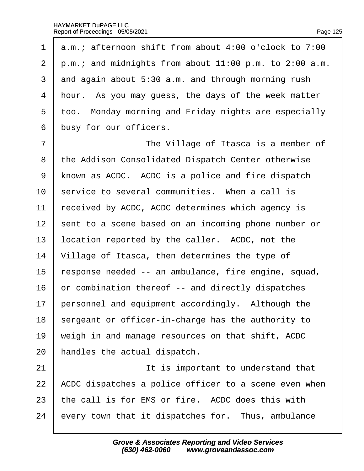<span id="page-125-0"></span>1  $\alpha$ .m.; afternoon shift from about 4:00 o'clock to 7:00 2  $\mu$ .m.; and midnights from about 11:00 p.m. to 2:00 a.m. 3 dnd again about 5:30 a.m. and through morning rush 4 hour. As you may quess, the days of the week matter 5 too. Monday morning and Friday nights are especially 6 busy for our officers. 7 **The Village of Itasca is a member of** 8 the Addison Consolidated Dispatch Center otherwise 9 known as ACDC. ACDC is a police and fire dispatch 10 service to several communities. When a call is 11 received by ACDC, ACDC determines which agency is 12 sent to a scene based on an incoming phone number or 13 location reported by the caller. ACDC, not the 14 Village of Itasca, then determines the type of 15 response needed -- an ambulance, fire engine, squad, 16 br combination thereof -- and directly dispatches 17 personnel and equipment accordingly. Although the 18 sergeant or officer-in-charge has the authority to 19 weigh in and manage resources on that shift, ACDC 20 handles the actual dispatch. 21 **It is important to understand that** 22 ACDC dispatches a police officer to a scene even when 23 the call is for EMS or fire. ACDC does this with 24 every town that it dispatches for. Thus, ambulance

> **Grove & Associates Reporting and Video Services (630) 462-0060· · · · www.groveandassoc.com**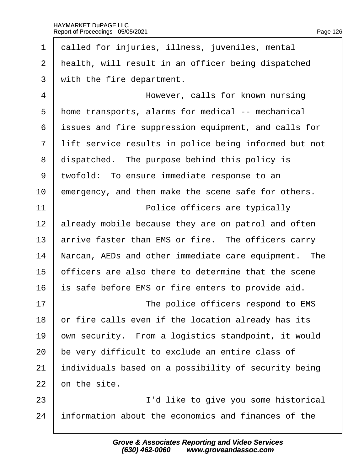<span id="page-126-0"></span>

| 1              | dalled for injuries, illness, juveniles, mental       |
|----------------|-------------------------------------------------------|
| 2              | health, will result in an officer being dispatched    |
| 3              | with the fire department.                             |
| $\overline{4}$ | However, calls for known nursing                      |
| 5              | home transports, alarms for medical -- mechanical     |
| 6              | issues and fire suppression equipment, and calls for  |
| $\overline{7}$ | lift service results in police being informed but not |
| 8              | dispatched. The purpose behind this policy is         |
| 9              | twofold: To ensure immediate response to an           |
| 10             | emergency, and then make the scene safe for others.   |
| 11             | Police officers are typically                         |
| 12             | already mobile because they are on patrol and often   |
| 13             | arrive faster than EMS or fire. The officers carry    |
| 14             | Narcan, AEDs and other immediate care equipment. The  |
| 15             | officers are also there to determine that the scene   |
| 16             | s safe before EMS or fire enters to provide aid.      |
| 17             | The police officers respond to EMS                    |
| 18             | or fire calls even if the location already has its    |
| 19             | own security. From a logistics standpoint, it would   |
| 20             | be very difficult to exclude an entire class of       |
| 21             | individuals based on a possibility of security being  |
| 22             | on the site.                                          |
| 23             | I'd like to give you some historical                  |
| 24             | information about the economics and finances of the   |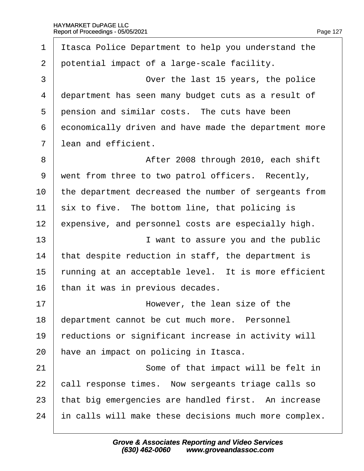$\Gamma$ 

<span id="page-127-0"></span>

| 1              | Itasca Police Department to help you understand the   |
|----------------|-------------------------------------------------------|
| 2              | potential impact of a large-scale facility.           |
| 3              | Over the last 15 years, the police                    |
| $\overline{4}$ | department has seen many budget cuts as a result of   |
| 5              | pension and similar costs. The cuts have been         |
| 6              | economically driven and have made the department more |
| 7              | lean and efficient.                                   |
| 8              | After 2008 through 2010, each shift                   |
| 9              | went from three to two patrol officers. Recently,     |
| 10             | the department decreased the number of sergeants from |
| 11             | six to five. The bottom line, that policing is        |
| 12             | expensive, and personnel costs are especially high.   |
| 13             | I want to assure you and the public                   |
| 14             | that despite reduction in staff, the department is    |
| 15             | funning at an acceptable level. It is more efficient  |
| 16             | than it was in previous decades.                      |
| 17             | However, the lean size of the                         |
| 18             | department cannot be cut much more. Personnel         |
| 19             | reductions or significant increase in activity will   |
| 20             | have an impact on policing in Itasca.                 |
| 21             | Some of that impact will be felt in                   |
| 22             | call response times. Now sergeants triage calls so    |
| 23             | that big emergencies are handled first. An increase   |
| 24             | in calls will make these decisions much more complex. |
|                |                                                       |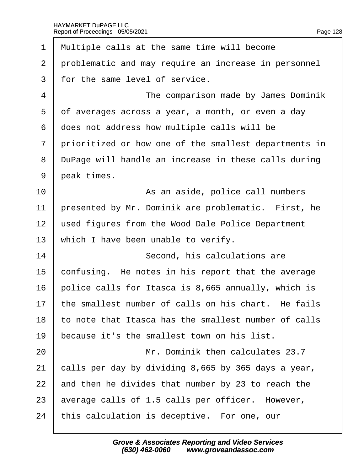<span id="page-128-0"></span>1 Multiple calls at the same time will become 2 problematic and may require an increase in personnel 3 for the same level of service. 4 **The comparison made by James Dominik** 5 df averages across a year, a month, or even a day ·6· ·does not address how multiple calls will be 7 prioritized or how one of the smallest departments in 8 DuPage will handle an increase in these calls during 9 beak times. 10 | As an aside, police call numbers 11 presented by Mr. Dominik are problematic. First, he 12 used figures from the Wood Dale Police Department 13 which I have been unable to verify. 14 **Second, his calculations are** 15 confusing. He notes in his report that the average 16 bolice calls for Itasca is 8,665 annually, which is 17 the smallest number of calls on his chart. He fails 18 to note that Itasca has the smallest number of calls 19 because it's the smallest town on his list. 20 **Mr.** Dominik then calculates 23.7 21 calls per day by dividing 8,665 by 365 days a year, 22 and then he divides that number by 23 to reach the 23 average calls of 1.5 calls per officer. However, 24 this calculation is deceptive. For one, our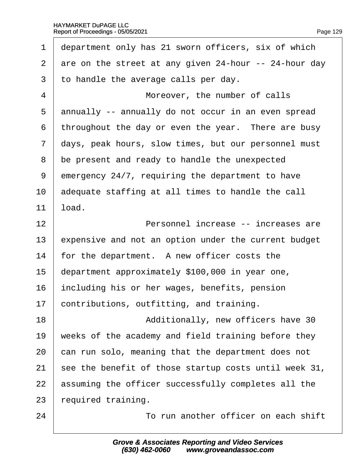<span id="page-129-0"></span>

| 1              | department only has 21 sworn officers, six of which   |
|----------------|-------------------------------------------------------|
| $\overline{2}$ | are on the street at any given 24-hour -- 24-hour day |
| 3              | to handle the average calls per day.                  |
| 4              | Moreover, the number of calls                         |
| 5              | annually -- annually do not occur in an even spread   |
| 6              | throughout the day or even the year. There are busy   |
| 7              | days, peak hours, slow times, but our personnel must  |
| 8              | be present and ready to handle the unexpected         |
| 9              | emergency 24/7, requiring the department to have      |
| 10             | adequate staffing at all times to handle the call     |
| 11             | load.                                                 |
| 12             | Personnel increase -- increases are                   |
| 13             | expensive and not an option under the current budget  |
| 14             | for the department. A new officer costs the           |
| 15             | department approximately \$100,000 in year one,       |
| 16             | including his or her wages, benefits, pension         |
|                | 17 contributions, outfitting, and training.           |
| 18             | Additionally, new officers have 30                    |
| 19             | weeks of the academy and field training before they   |
| 20             | can run solo, meaning that the department does not    |
| 21             | see the benefit of those startup costs until week 31, |
| 22             | assuming the officer successfully completes all the   |
| 23             | required training.                                    |
| 24             | To run another officer on each shift                  |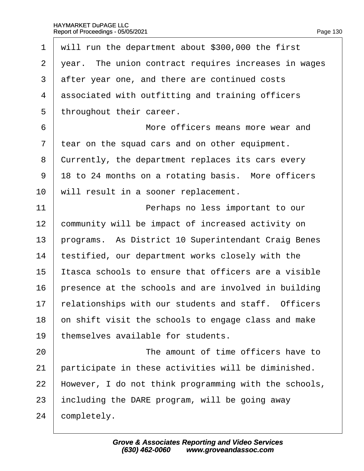<span id="page-130-0"></span>

| 1              | will run the department about \$300,000 the first     |
|----------------|-------------------------------------------------------|
| 2              | year. The union contract requires increases in wages  |
| 3              | after year one, and there are continued costs         |
| 4              | associated with outfitting and training officers      |
| 5              | throughout their career.                              |
| 6              | More officers means more wear and                     |
| $\overline{7}$ | tear on the squad cars and on other equipment.        |
| 8              | Currently, the department replaces its cars every     |
| 9              | 18 to 24 months on a rotating basis. More officers    |
| 10             | will result in a sooner replacement.                  |
| 11             | Perhaps no less important to our                      |
| 12             | community will be impact of increased activity on     |
| 13             | programs. As District 10 Superintendant Craig Benes   |
| 14             | testified, our department works closely with the      |
| 15             | tasca schools to ensure that officers are a visible   |
| 16             | presence at the schools and are involved in building  |
| 17             | relationships with our students and staff. Officers   |
| 18             | on shift visit the schools to engage class and make   |
| 19             | themselves available for students.                    |
| 20             | The amount of time officers have to                   |
| 21             | participate in these activities will be diminished.   |
| 22             | However, I do not think programming with the schools, |
| 23             | including the DARE program, will be going away        |
| 24             | completely.                                           |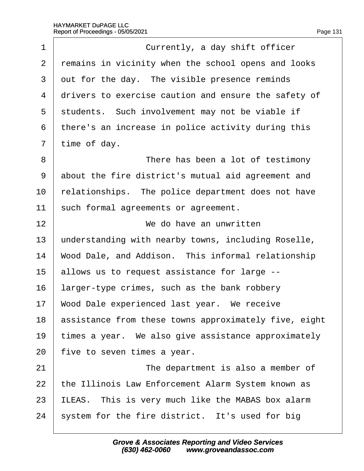$\Gamma$ 

<span id="page-131-0"></span>

| 1     | Currently, a day shift officer                           |
|-------|----------------------------------------------------------|
| 2     | remains in vicinity when the school opens and looks      |
| 3     | out for the day. The visible presence reminds            |
| 4     | drivers to exercise caution and ensure the safety of     |
| 5     | students. Such involvement may not be viable if          |
| 6     | there's an increase in police activity during this       |
| 7     | time of day.                                             |
| 8     | There has been a lot of testimony                        |
| $9\,$ | about the fire district's mutual aid agreement and       |
| 10    | relationships. The police department does not have       |
| 11    | such formal agreements or agreement.                     |
| 12    | We do have an unwritten                                  |
| 13    | understanding with nearby towns, including Roselle,      |
| 14    | Wood Dale, and Addison. This informal relationship       |
| 15    | allows us to request assistance for large --             |
| 16    | larger-type crimes, such as the bank robbery             |
| 17    | Wood Dale experienced last year. We receive              |
| 18    | assistance from these towns approximately five, eight    |
| 19    | times a year. We also give assistance approximately      |
| 20    | five to seven times a year.                              |
| 21    | The department is also a member of                       |
| 22    | the Illinois Law Enforcement Alarm System known as       |
| 23    | <b>ILEAS.</b> This is very much like the MABAS box alarm |
| 24    | system for the fire district. It's used for big          |
|       |                                                          |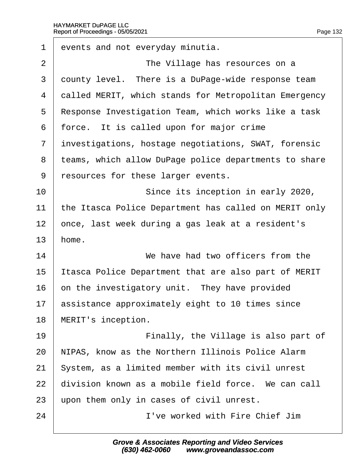<span id="page-132-0"></span>

| 1              | events and not everyday minutia.                      |
|----------------|-------------------------------------------------------|
| 2              | The Village has resources on a                        |
| 3              | dounty level. There is a DuPage-wide response team    |
| 4              | dalled MERIT, which stands for Metropolitan Emergency |
| 5              | Response Investigation Team, which works like a task  |
| 6              | force. It is called upon for major crime              |
| $\overline{7}$ | investigations, hostage negotiations, SWAT, forensic  |
| 8              | teams, which allow DuPage police departments to share |
| 9              | resources for these larger events.                    |
| 10             | Since its inception in early 2020,                    |
| 11             | the Itasca Police Department has called on MERIT only |
| 12             | once, last week during a gas leak at a resident's     |
| 13             | home.                                                 |
| 14             | We have had two officers from the                     |
| 15             | tasca Police Department that are also part of MERIT   |
| 16             | on the investigatory unit. They have provided         |
| 17             | assistance approximately eight to 10 times since      |
| 18             | <b>MERIT's inception.</b>                             |
| 19             | Finally, the Village is also part of                  |
| 20             | NIPAS, know as the Northern Illinois Police Alarm     |
| 21             | System, as a limited member with its civil unrest     |
| 22             | division known as a mobile field force. We can call   |
| 23             | upon them only in cases of civil unrest.              |
| 24             | I've worked with Fire Chief Jim                       |
|                |                                                       |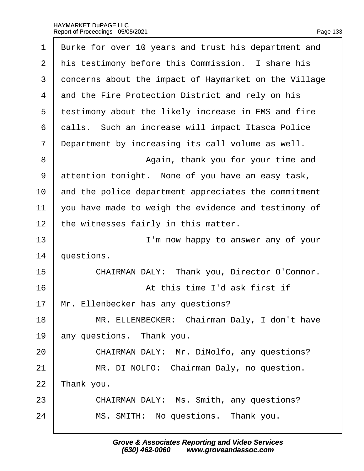<span id="page-133-0"></span>

| 1              | Burke for over 10 years and trust his department and  |
|----------------|-------------------------------------------------------|
| 2              | his testimony before this Commission. I share his     |
| 3              | doncerns about the impact of Haymarket on the Village |
| 4              | and the Fire Protection District and rely on his      |
| 5              | testimony about the likely increase in EMS and fire   |
| 6              | dalls. Such an increase will impact Itasca Police     |
| $\overline{7}$ | Department by increasing its call volume as well.     |
| 8              | Again, thank you for your time and                    |
| 9              | attention tonight. None of you have an easy task,     |
| 10             | and the police department appreciates the commitment  |
| 11             | you have made to weigh the evidence and testimony of  |
| 12             | the witnesses fairly in this matter.                  |
| 13             | I'm now happy to answer any of your                   |
| 14             | questions.                                            |
| 15             | CHAIRMAN DALY: Thank you, Director O'Connor.          |
| 16             | At this time I'd ask first if                         |
| 17             | Mr. Ellenbecker has any questions?                    |
| 18             | MR. ELLENBECKER: Chairman Daly, I don't have          |
| 19             | any questions. Thank you.                             |
| 20             | CHAIRMAN DALY: Mr. DiNolfo, any questions?            |
| 21             | MR. DI NOLFO: Chairman Daly, no question.             |
| 22             | Thank you.                                            |
| 23             | CHAIRMAN DALY: Ms. Smith, any questions?              |
| 24             | MS. SMITH: No questions. Thank you.                   |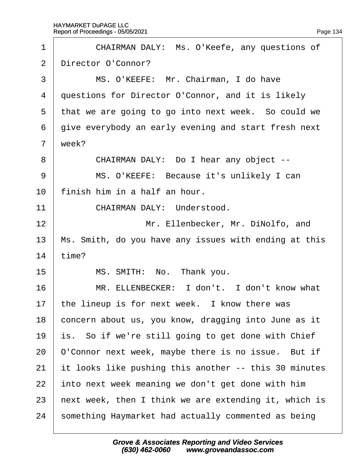<span id="page-134-0"></span>

| 1              | CHAIRMAN DALY: Ms. O'Keefe, any questions of          |
|----------------|-------------------------------------------------------|
| 2              | Director O'Connor?                                    |
| 3              | MS. O'KEEFE: Mr. Chairman, I do have                  |
| 4              | questions for Director O'Connor, and it is likely     |
| 5              | that we are going to go into next week. So could we   |
| 6              | give everybody an early evening and start fresh next  |
| $\overline{7}$ | week?                                                 |
| 8              | CHAIRMAN DALY: Do I hear any object --                |
| 9              | MS. O'KEEFE: Because it's unlikely I can              |
| 10             | finish him in a half an hour.                         |
| 11             | <b>CHAIRMAN DALY: Understood.</b>                     |
| 12             | Mr. Ellenbecker, Mr. DiNolfo, and                     |
| 13             | Ms. Smith, do you have any issues with ending at this |
| 14             | time?                                                 |
| 15             | MS. SMITH: No. Thank you.                             |
| 16             | MR. ELLENBECKER: I don't. I don't know what           |
| 17             | the lineup is for next week. I know there was         |
| 18             | concern about us, you know, dragging into June as it  |
| 19             | is. So if we're still going to get done with Chief    |
| 20             | O'Connor next week, maybe there is no issue. But if   |
| 21             | It looks like pushing this another -- this 30 minutes |
| 22             | into next week meaning we don't get done with him     |
| 23             | hext week, then I think we are extending it, which is |
| 24             | something Haymarket had actually commented as being   |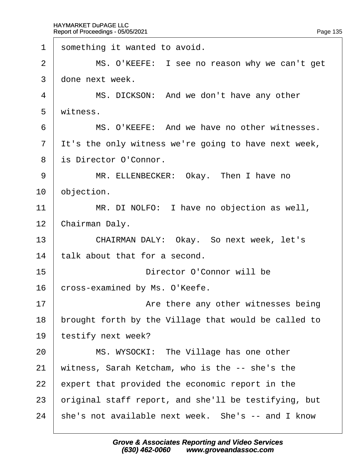<span id="page-135-0"></span>1 something it wanted to avoid. 2 | MS. O'KEEFE: I see no reason why we can't get 3 done next week. 4 | MS. DICKSON: And we don't have any other 5 witness. 6 **I** MS. O'KEEFE: And we have no other witnesses. 7 It's the only witness we're going to have next week, 8 is Director O'Connor. 9 | MR. ELLENBECKER: Okay. Then I have no 10 **objection**. 11 | MR. DI NOLFO: I have no objection as well, 12 Chairman Daly. 13 | CHAIRMAN DALY: Okay. So next week, let's 14 talk about that for a second. 15 **buyers Director O'Connor will be** 16 cross-examined by Ms. O'Keefe. 17 **I** Are there any other witnesses being 18 brought forth by the Village that would be called to 19 testify next week? 20 | MS. WYSOCKI: The Village has one other 21 witness, Sarah Ketcham, who is the -- she's the 22 expert that provided the economic report in the 23 briginal staff report, and she'll be testifying, but 24 she's not available next week. She's -- and I know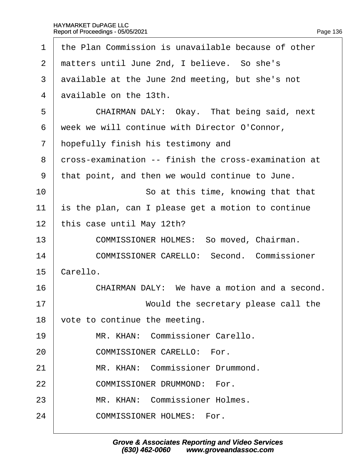<span id="page-136-0"></span>

| 1              | the Plan Commission is unavailable because of other  |
|----------------|------------------------------------------------------|
| 2              | matters until June 2nd, I believe. So she's          |
| 3              | available at the June 2nd meeting, but she's not     |
| $\overline{4}$ | available on the 13th.                               |
| 5              | CHAIRMAN DALY: Okay. That being said, next           |
| 6              | week we will continue with Director O'Connor,        |
| 7              | hopefully finish his testimony and                   |
| 8              | dross-examination -- finish the cross-examination at |
| 9              | that point, and then we would continue to June.      |
| 10             | So at this time, knowing that that                   |
| 11             | is the plan, can I please get a motion to continue   |
| 12             | this case until May 12th?                            |
| 13             | COMMISSIONER HOLMES: So moved, Chairman.             |
| 14             | <b>COMMISSIONER CARELLO: Second. Commissioner</b>    |
| 15             | Carello.                                             |
| 16             | CHAIRMAN DALY: We have a motion and a second.        |
| 17             | Would the secretary please call the                  |
| 18             | vote to continue the meeting.                        |
| 19             | MR. KHAN: Commissioner Carello.                      |
| 20             | <b>COMMISSIONER CARELLO: For.</b>                    |
| 21             | MR. KHAN: Commissioner Drummond.                     |
| 22             | <b>COMMISSIONER DRUMMOND: For.</b>                   |
| 23             | MR. KHAN: Commissioner Holmes.                       |
| 24             | <b>COMMISSIONER HOLMES: For.</b>                     |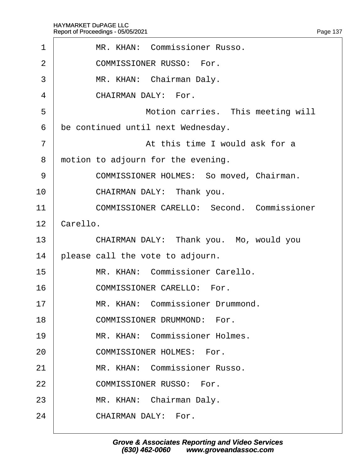<span id="page-137-0"></span>

| 1              | MR. KHAN: Commissioner Russo.                     |
|----------------|---------------------------------------------------|
| 2              | <b>COMMISSIONER RUSSO: For.</b>                   |
| 3              | MR. KHAN: Chairman Daly.                          |
| 4              | <b>CHAIRMAN DALY: For.</b>                        |
| 5              | Motion carries. This meeting will                 |
| 6              | be continued until next Wednesday.                |
| $\overline{7}$ | At this time I would ask for a                    |
| 8              | motion to adjourn for the evening.                |
| 9              | <b>COMMISSIONER HOLMES: So moved, Chairman.</b>   |
| 10             | CHAIRMAN DALY: Thank you.                         |
| 11             | <b>COMMISSIONER CARELLO: Second. Commissioner</b> |
| 12             | Carello.                                          |
| 13             | CHAIRMAN DALY: Thank you. Mo, would you           |
| 14             | please call the vote to adjourn.                  |
| 15             | MR. KHAN: Commissioner Carello.                   |
| 16             | <b>COMMISSIONER CARELLO: For.</b>                 |
| 17             | MR. KHAN: Commissioner Drummond                   |
| 18             | <b>COMMISSIONER DRUMMOND: For.</b>                |
| 19             | MR. KHAN: Commissioner Holmes.                    |
| 20             | <b>COMMISSIONER HOLMES: For.</b>                  |
| 21             | MR. KHAN: Commissioner Russo.                     |
| 22             | <b>COMMISSIONER RUSSO: For.</b>                   |
| 23             | MR. KHAN: Chairman Daly.                          |
| 24             | <b>CHAIRMAN DALY: For.</b>                        |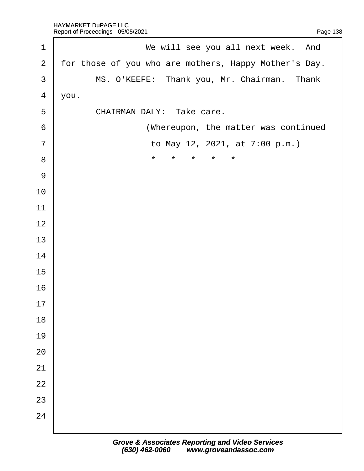<span id="page-138-0"></span>

| 1              | We will see you all next week. And                    |
|----------------|-------------------------------------------------------|
| $\overline{2}$ | for those of you who are mothers, Happy Mother's Day. |
| 3              | MS. O'KEEFE: Thank you, Mr. Chairman. Thank           |
| $\overline{4}$ | you.                                                  |
| 5              | CHAIRMAN DALY: Take care.                             |
| 6              | (Whereupon, the matter was continued                  |
| $\overline{7}$ | to May 12, 2021, at 7:00 p.m.)                        |
| 8              | $\star$<br>*<br>*<br>*<br>$\star$                     |
| $9\,$          |                                                       |
| 10             |                                                       |
| 11             |                                                       |
| 12             |                                                       |
| 13             |                                                       |
| 14             |                                                       |
| 15             |                                                       |
| 16             |                                                       |
| 17             |                                                       |
| 18             |                                                       |
| 19             |                                                       |
| 20             |                                                       |
| 21             |                                                       |
| 22             |                                                       |
| 23             |                                                       |
| 24             |                                                       |
|                |                                                       |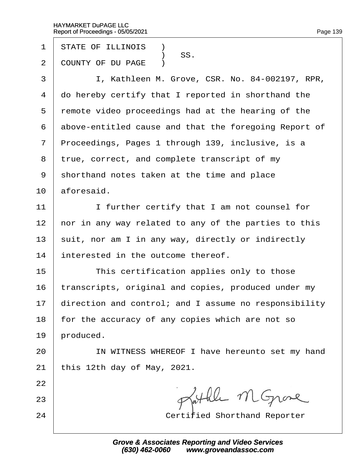- 1 STATE OF ILLINOIS **1**
- SS.<br>2 COUNTY OF DU I COUNTY OF DU PAGE )
- 3 | I, Kathleen M. Grove, CSR. No. 84-002197, RPR,
- 4 do hereby certify that I reported in shorthand the
- 5 remote video proceedings had at the hearing of the
- 6 above-entitled cause and that the foregoing Report of
- 7 Proceedings, Pages 1 through 139, inclusive, is a
- 8 true, correct, and complete transcript of my
- ·9· ·shorthand notes taken at the time and place
- $10$  aforesaid.
- 11 | I further certify that I am not counsel for
- 12 hor in any way related to any of the parties to this
- 13 suit, nor am I in any way, directly or indirectly
- 14 interested in the outcome thereof.
- 15 **This certification applies only to those**
- 16 transcripts, original and copies, produced under my
- 17 direction and control; and I assume no responsibility
- 18 for the accuracy of any copies which are not so
- 19 broduced.
- 20 | IN WITNESS WHEREOF I have hereunto set my hand
- 21 this 12th day of May, 2021.
- 22
- 23
- 24 **Certified Shorthand Reporter**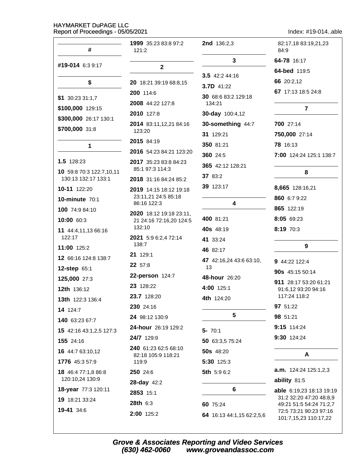Index: #19-014..able

| #                                               | <b>1999</b> 35:23 83:8 97:2<br>121:2               | <b>2nd</b> 136:2,3            | 82:17,18 83:19,21,23<br>84:9                               |
|-------------------------------------------------|----------------------------------------------------|-------------------------------|------------------------------------------------------------|
|                                                 |                                                    | 3                             | 64-78 16:17                                                |
| #19-014 6:3 9:17                                | $\mathbf{2}$                                       |                               | 64-bed 119:5                                               |
| \$                                              | 20 18:21 39:19 68:8,15                             | 3.5 $42:244:16$<br>3.7D 41:22 | 66 20:2,12                                                 |
|                                                 | 200 114:6                                          | 30 68:6 83:2 129:18           | 67 17:13 18:5 24:8                                         |
| $$1$ 30:23 31:1,7                               | 2008 44:22 127:8                                   | 134:21                        |                                                            |
| \$100,000 129:15                                | 2010 127:8                                         | 30-day 100:4,12               | $\overline{7}$                                             |
| \$300,000 26:17 130:1                           | 2014 83:11,12,21 84:16                             | 30-something 44:7             | 700 27:14                                                  |
| \$700,000 31:8                                  | 123:20                                             | 31 129:21                     | 750,000 27:14                                              |
| 1                                               | 2015 84:19                                         | 350 81:21                     | <b>78</b> 16:13                                            |
|                                                 | 2016 54:23 84:21 123:20                            | 360 24:5                      | 7:00 124:24 125:1 138:7                                    |
| 1.5 128:23                                      | 2017 35:23 83:8 84:23<br>85:1 97:3 114:3           | 365 42:12 128:21              |                                                            |
| 10 59:8 70:3 122:7,10,11<br>130:13 132:17 133:1 | 2018 31:16 84:24 85:2                              | 37 83:2                       | 8                                                          |
| 10-11 122:20                                    | 2019 14:15 18:12 19:18                             | 39 123:17                     | 8,665 128:16,21                                            |
| <b>10-minute 70:1</b>                           | 23:11,21 24:5 85:18                                |                               | 860 6:7 9:22                                               |
| 100 74:9 84:10                                  | 86:16 122:3                                        | 4                             | 865 122:19                                                 |
| 10:00 60:3                                      | 2020 18:12 19:18 23:11,<br>21 24:16 72:16,20 124:5 | 400 81:21                     | 8:05 69:23                                                 |
| 11 44:4,11,13 66:16                             | 132:10                                             | 40s 48:19                     | 8:19 70:3                                                  |
| 122:17                                          | 2021 5:9 6:2,4 72:14<br>138:7                      | 41 33:24                      |                                                            |
| 11:00 125:2                                     | 21 129:1                                           | 46 82:17                      | 9                                                          |
| 12 66:16 124:8 138:7                            | <b>22</b> 57:8                                     | 47 42:16,24 43:6 63:10,       | 9 44:22 122:4                                              |
| 12-step 65:1                                    | 22-person 124:7                                    | 13                            | 90s 45:15 50:14                                            |
| 125,000 27:3                                    | 23 128:22                                          | 48-hour 26:20                 | 911 28:17 53:20 61:21                                      |
| 12th 136:12                                     | 23.7 128:20                                        | 4:00 125:1                    | 91:6,12 93:20 94:16<br>117:24 118:2                        |
| 13th 122:3 136:4                                | 230 24:16                                          | 4th 124:20                    | 97 51:22                                                   |
| 14 124:7                                        | 24 98:12 130:9                                     | $5\phantom{1}$                | 98 51:21                                                   |
| 140 63:23 67:7                                  | 24-hour 26:19 129:2                                |                               | 9:15 114:24                                                |
| 15 42:16 43:1,2,5 127:3                         | 24/7 129:9                                         | $5 - 70:1$                    | 9:30 124:24                                                |
| 155 24:16                                       | 240 61:23 62:5 68:10                               | 50 63:3,5 75:24               |                                                            |
| 16 44:7 63:10,12                                | 82:18 105:9 118:21                                 | <b>50s</b> 48:20              | A                                                          |
| 1776 45:3 57:9                                  | 119:9                                              | 5:30 125:3                    |                                                            |
| 18 46:4 77:1,8 86:8<br>120:10,24 130:9          | <b>250</b> 24:6                                    | 5th 5:9 6:2                   | <b>a.m.</b> $124:24$ $125:1,2,3$                           |
| 18-year 77:3 120:11                             | 28-day 42:2                                        | 6                             | ability 81:5                                               |
| 19 18:21 33:24                                  | 2853 15:1                                          |                               | <b>able</b> 6:19,23 18:13 19:19<br>31:2 32:20 47:20 48:8,9 |
| 19-41 34:6                                      | 28th 6:3                                           | 60 75:24                      | 49:21 51:5 54:24 71:2,7                                    |
|                                                 | 2:00 125:2                                         | 64 16:13 44:1,15 62:2,5,6     | 72:5 73:21 90:23 97:16<br>101:7,15,23 110:17,22            |

Grove & Associates Reporting and Video Services<br>(630) 462-0060 www.groveandassoc.com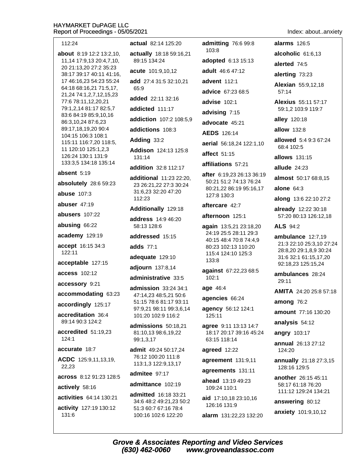| 112:24                                             | actual 82:14 125:20                               | admitting 76:6 99:8                                 | <b>alarms</b> 126:5                                |
|----------------------------------------------------|---------------------------------------------------|-----------------------------------------------------|----------------------------------------------------|
| <b>about</b> 8:19 12:2 13:2,10,                    | actually 18:18 59:16,21                           | 103:8                                               | alcoholic 61:6,13                                  |
| 11,14 17:9,13 20:4,7,10,                           | 89:15 134:24                                      | adopted 6:13 15:13                                  | alerted 74:5                                       |
| 20 21:13,20 27:2 35:23<br>38:17 39:17 40:11 41:16, | acute 101:9,10,12                                 | adult 46:6 47:12                                    | alerting 73:23                                     |
| 17 46:16.23 54:23 55:24                            | add 27:4 31:5 32:10,21                            | advent 112:1                                        | Alexian 55:9,12,18                                 |
| 64:18 68:16,21 71:5,17,<br>21,24 74:1,2,7,12,15,23 | 65:9                                              | advice 67:23 68:5                                   | 57:14                                              |
| 77:6 78:11,12,20,21                                | <b>added</b> 22:11 32:16                          | advise 102:1                                        | <b>Alexius</b> 55:11 57:17                         |
| 79:1,2,14 81:17 82:5,7<br>83:6 84:19 85:9,10,16    | addicted 111:17                                   | advising 7:15                                       | 59:1,2 103:9 119:7                                 |
| 86:3,10,24 87:6,23                                 | addiction 107:2 108:5,9                           | advocate 45:21                                      | alley 120:18                                       |
| 89:17,18,19,20 90:4                                | addictions 108:3                                  | <b>AEDS</b> 126:14                                  | <b>allow</b> 132:8                                 |
| 104:15 106:3 108:1<br>115:11 116:7,20 118:5,       | Adding 33:2                                       | aerial 56:18,24 122:1,10                            | allowed 5:4 9:3 67:24                              |
| 11 120:10 125:1,2,3                                | Addison 124:13 125:8                              | affect 51:15                                        | 68:4 102:5                                         |
| 126:24 130:1 131:9<br>133:3,5 134:18 135:14        | 131:14                                            |                                                     | <b>allows</b> 131:15                               |
| absent 5:19                                        | addition 32:8 112:17                              | affiliations 57:21                                  | allude 24:23                                       |
|                                                    | additional 11:23 22:20,                           | after 6:19,23 26:13 36:19<br>50:21 51:2 74:13 76:24 | almost 50:17 68:8,15                               |
| absolutely 28:6 59:23                              | 23 26:21,22 27:3 30:24<br>31:6,23 32:20 47:20     | 80:21,22 86:19 95:16,17                             | alone $64:3$                                       |
| <b>abuse 107:3</b>                                 | 112:23                                            | 127:8 130:3                                         | along 13:6 22:10 27:2                              |
| abuser 47:19                                       | Additionally 129:18                               | aftercare 42:7                                      | already 12:22 30:18                                |
| abusers 107:22                                     | address 14:9 46:20                                | afternoon 125:1                                     | 57:20 80:13 126:12,18                              |
| abusing 66:22                                      | 58:13 128:6                                       | again 13:5,21 23:18,20                              | <b>ALS 94:2</b>                                    |
| academy 129:19                                     | addressed 15:15                                   | 24:19 25:5 28:11 29:3<br>40:15 48:4 70:8 74:4,9     | ambulance 12:7,19                                  |
| accept 16:15 34:3                                  | adds 77:1                                         | 80:23 102:13 110:20                                 | 21:3 22:10 25:3,10 27:24<br>28:8,20 29:1,8,9 30:24 |
| 122:11                                             | adequate 129:10                                   | 115:4 124:10 125:3<br>133:8                         | 31:6 32:1 61:15,17,20                              |
| acceptable 127:15                                  | adjourn 137:8,14                                  | against 67:22,23 68:5                               | 92:18,23 125:15,24                                 |
| access 102:12                                      | administrative 33:5                               | 102:1                                               | ambulances 28:24                                   |
| accessory 9:21                                     | admission 33:24 34:1                              | age 46:4                                            | 29:11                                              |
| accommodating 63:23                                | 47:14,23 48:5,21 50:6                             | agencies 66:24                                      | <b>AMITA</b> 24:20 25:8 57:18                      |
| accordingly 125:17                                 | 51:15 78:6 81:17 93:11<br>97:9,21 98:11 99:3,6,14 | agency 56:12 124:1                                  | among $76:2$                                       |
| accreditation 36:4                                 | 101:20 102:9 116:2                                | 125:11                                              | <b>amount</b> 77:16 130:20                         |
| 89:14 90:3 124:2                                   | admissions 50:18,21                               | agree 9:11 13:13 14:7                               | analysis 54:12                                     |
| accredited 51:19,23<br>124:1                       | 81:10,13 98:6,19,22                               | 18:17 20:17 39:16 45:24                             | angry 103:17                                       |
|                                                    | 99:1,3,17                                         | 63:15 118:14                                        | annual 26:13 27:12                                 |
| accurate 18:7                                      | admit 49:24 50:17,24<br>76:12 100:20 111:8        | agreed 12:22                                        | 124:20                                             |
| ACDC 125:9,11,13,19,<br>22,23                      | 113:1,3 122:9,13,17                               | agreement 131:9,11                                  | annually 21:18 27:3,15<br>128:16 129:5             |
| across 8:12 91:23 128:5                            | admitee 97:17                                     | agreements 131:11                                   | another 26:15 45:11                                |
| actively 58:16                                     | admittance 102:19                                 | <b>ahead</b> 13:19 49:23                            | 58:17 61:18 76:20                                  |
| activities 64:14 130:21                            | <b>admitted</b> 16:18 33:21                       | 109:24 110:1                                        | 111:12 129:24 134:21                               |
|                                                    | 34:6 48:2 49:21,23 50:2                           | aid 17:10,18 23:10,16<br>126:16 131:9               | answering 80:12                                    |
| activity 127:19 130:12<br>131:6                    | 51:3 60:7 67:16 78:4<br>100:16 102:6 122:20       | alarm 131:22,23 132:20                              | anxiety 101:9,10,12                                |

Index: about..anxiety

Grove & Associates Reporting and Video Services<br>(630) 462-0060 www.groveandassoc.com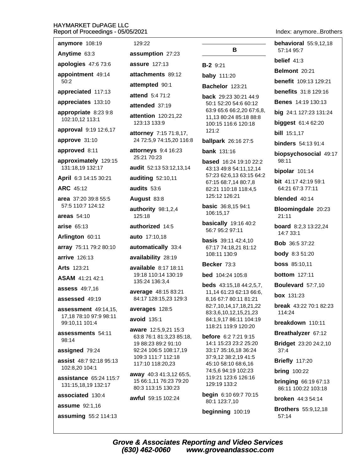#### HA Re 2021

Index: anymore..Brothers

| IAYMARKET DUPAGE LLC<br>eport of Proceedings - 05/05/2 |                    |
|--------------------------------------------------------|--------------------|
| anymore 108:19                                         | 1:                 |
| Anytime 63:3                                           | as                 |
| apologies 47:6 73:6                                    | as                 |
| appointment 49:14<br>50:2                              | att                |
| appreciated 117:13                                     | att                |
| appreciates 133:10                                     | att                |
| appropriate 8:23 9:8                                   | att<br>att         |
| 102:10,12 113:1                                        | $\mathbf{1}$       |
| <b>approval</b> 9:19 12:6,17                           | att                |
| approve 31:10                                          | 2                  |
| approved 8:11                                          | att<br>2           |
| approximately 129:15<br>131:18,19 132:17               | au                 |
| April 6:3 14:15 30:21                                  | au                 |
| <b>ARC 45:12</b>                                       | au                 |
| area 37:20 39:8 55:5<br>57:5 110:7 124:12              | Αu                 |
| areas 54:10                                            | au<br>1:           |
| arise 65:13                                            | au                 |
| Arlington 60:11                                        | au                 |
| array 75:11 79:2 80:10                                 | au                 |
| <b>arrive</b> 126:13                                   | a٧                 |
| <b>Arts 123:21</b>                                     | av                 |
| ASAM 41:21 42:1                                        | 1:<br>$\mathbf{1}$ |
| assess 49:7,16                                         | av                 |
| assessed 49:19                                         | 8                  |
| assessment 49:14,15,<br>17,18 78:10 97:9 98:11         | a٧<br>av           |
| 99:10,11 101:4                                         | aw                 |
| assessments 54:11<br>98:14                             | 6<br>$\mathbf{1}$  |
| assigned 79:24                                         | 9                  |
| <b>assist</b> 48:7 92:18 95:13<br>102:8,20 104:1       | 1<br>1             |
| <b>assistance</b> 65:24 115:7<br>131:15,18,19 132:17   | aw<br>1:           |
| associated 130:4                                       | 8<br>aw            |
| <b>assume</b> 92:1,16                                  |                    |
| assuming 55:2 114:13                                   |                    |
|                                                        |                    |

29:22 sumption 27:23 sure 127:13 achments 89:12 empted 90:1 end 5:4 71:2 ended 37:19 **ention** 120:21,22 23:13 133:9 torney 7:15 71:8,17, 4 72:5,9 74:15,20 116:8 orneys 9:4 16:23 5:21 70:23 dit 52:13 53:12,13,14 **diting 52:10,11** dits  $53:6$ gust 83:8 thority 98:1,2,4 25:18 thorized 14:5 to  $17:10,18$ tomatically 33:4 ailability 28:19 ailable 8:17 18:11 9:18 110:14 130:19 35:24 136:3.4 erage 48:15 83:21 4:17 128:15,23 129:3 erages 128:5 oid 135:1 are 12:5.9.21 15:3 3:8 76:1 81:3,23 85:18, 9 88:23 89:2 91:10 2:24 106:5 108:17,19 09:3 111:7 112:18 17:10 118:20,23 vay 40:3 41:3,12 65:5, 5 66:1,11 76:23 79:20 0:3 113:15 130:23 ful 59:15 102:24

## В

### **B-2** 9:21

**baby** 111:20

### **Bachelor** 123:21

back 29:23 30:21 44:9 50:1 52:20 54:6 60:12 63:9 65:6 66:2,20 67:6,8, 11,13 80:24 85:18 88:8 100:15 116:6 120:18  $121:2$ 

#### **ballpark** 26:16 27:5

**bank** 131:16

**based** 16:24 19:10 22:2 43:13 49:8 54:11,12,14 57:23 62:6,13 63:15 64:2 67:15 68:7,14 80:7,8 82:21 110:18 118:4,5 125:12 126:21

**basic** 36:8,15 94:1 106:15,17

**basically** 19:16 40:2 56:7 95:2 97:11

**basis** 39:11 42:4,10 67:17 74:18,21 81:12 108:11 130:9

### Becker 73:3

**bed** 104:24 105:8

**beds** 43:15,18 44:2,5,7, 11,14 61:23 62:13 66:6, 8,16 67:7 80:11 81:21 82:7,10,14,17,18,21,22 83:3,6,10,12,15,21,23 84:1,9,17 86:11 104:19 118:21 119:9 120:20

before 6:2 7:21 9:15 14:1 15:23 23:2 25:20 33:17 35:16,18 36:24 37:9,12 38:2,19 41:5 45:10 58:10 68:6,16 74:5.6 94:19 102:23 119:21 123:6 126:16 129:19 133:2

begin 6:10 69:7 70:15 80:1 123:7,10

beginning 100:19

**behavioral** 55:9.12.18 57:14 95:7 belief  $41:3$ Belmont 20:21 benefit 109:13 129:21 **benefits** 31:8 129:16 **Benes** 14:19 130:13 big 24:1 127:23 131:24 **biggest** 61:4 62:20 **bill** 15:1,17 **binders** 54:13 91:4 biopsychosocial 49:17 98:11 bipolar  $101:14$ **bit** 41:17 42:19 59:1 64:21 67:3 77:11 blended 40:14 Bloomingdale 20:23 21:11 **board** 8:2,3 13:22,24 14:7 33:1 **Bob** 36:5 37:22 **body** 8:3 51:20 **boss** 85:10,11 **bottom** 127:11 Boulevard 57:7,10 **box** 131:23 **break**  $43:2270:182:23$  $114.24$ breakdown 110:11 Breathalyzer 67:12 Bridget 23:20 24:2,10  $37:4$ 

**Briefly 117:20** 

**bring** 100:22

**bringing 66:19 67:13** 86:11 100:22 103:18

broken 44:3 54:14

**Brothers** 55:9,12,18 57:14

**Grove & Associates Reporting and Video Services** (630) 462-0060 www.groveandassoc.com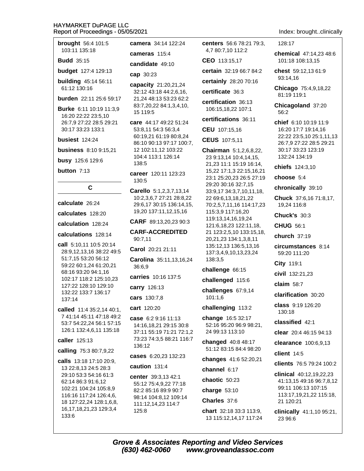| brought 56:4 101:5                                    | camera 34:14 122:24                                                                                 | <b>centers</b> 56:6 78:21 79:3,<br>4,7 80:7,10 112:2   |  |
|-------------------------------------------------------|-----------------------------------------------------------------------------------------------------|--------------------------------------------------------|--|
| 103:11 135:18                                         | cameras $115:4$                                                                                     |                                                        |  |
| <b>Budd</b> 35:15                                     | candidate 49:10                                                                                     | CEO 113:15,17                                          |  |
| budget 127:4 129:13                                   | cap 30:23                                                                                           | certain 32:19 66:7 84:2                                |  |
| <b>building</b> 45:14 56:11                           | capacity 21:20,21,24<br>32:12 43:18 44:2,6,16,<br>21,24 48:13 53:23 62:2<br>83:7,20,22 84:1,3,4,10, | certainly 28:20 70:16                                  |  |
| 61:12 130:16                                          |                                                                                                     | certificate 36:3                                       |  |
| burden 22:11 25:6 59:17                               |                                                                                                     | certification 36:13                                    |  |
| Burke 6:11 10:19 11:3,9<br>16:20 22:22 23:5,10        | 15 119:5                                                                                            | 106:15,18,22 107:1                                     |  |
| 26:7,9 27:22 28:5 29:21                               | care 44:17 49:22 51:24                                                                              | certifications 36:11                                   |  |
| 30:17 33:23 133:1                                     | 53:8,11 54:3 56:3,4                                                                                 | CEU 107:15,16                                          |  |
| busiest 124:24                                        | 60:19,21 61:19 80:8,24<br>86:10 90:13 97:17 100:7,                                                  | CEUS 107:5,11                                          |  |
| <b>business</b> 8:10 9:15,21                          | 12 102:11,12 103:22                                                                                 | Chairman 5:1,2,6,8,22,                                 |  |
| busy 125:6 129:6                                      | 104:4 113:1 126:14<br>138:5                                                                         | 23 9:13,14 10:4,14,15,<br>21,23 11:1 15:19 16:14,      |  |
| button $7:13$                                         | career 120:11 123:23<br>130:5                                                                       | 15,22 17:1,3 22:15,16,21<br>23:1 25:20,23 26:5 27:19   |  |
| C                                                     | Carello 5:1,2,3,7,13,14                                                                             | 29:20 30:16 32:7,15<br>33:9,17 34:3,7,10,11,18,        |  |
|                                                       | 10:2,3,6,7 27:21 28:8,22                                                                            | 22 69:6, 13, 18, 21, 22                                |  |
| calculate 26:24                                       | 29:6,17 30:15 136:14,15,<br>19,20 137:11,12,15,16                                                   | 70:2,5,7,11,16 114:17,23                               |  |
| calculates 128:20                                     |                                                                                                     | 115:3,9 117:16,20<br>119:13,14,16,19,24                |  |
| calculation 128:24                                    | CARF 89:13,20,23 90:3                                                                               | 121:6, 18, 23 122: 11, 18,                             |  |
| calculations 128:14                                   | <b>CARF-ACCREDITED</b><br>90:7,11                                                                   | 21 123:2,5,10 133:15,18,<br>20,21,23 134:1,3,8,11      |  |
| call 5:10,11 10:5 20:14                               | Carol 20:21 21:11                                                                                   | 135:12,13 136:5,13,16                                  |  |
| 28:9,12,13,16 38:22 49:5<br>51:7,15 53:20 56:12       | Carolina 35:11,13,16,24                                                                             | 137:3,4,9,10,13,23,24<br>138:3,5                       |  |
| 59:22 60:1,24 61:20,21                                | 36:6,9                                                                                              | challenge 66:15                                        |  |
| 68:16 93:20 94:1,16<br>102:17 118:2 125:10,23         | carries 10:16 137:5                                                                                 |                                                        |  |
| 127:22 128:10 129:10                                  | <b>carry</b> 126:13                                                                                 | challenged 115:6                                       |  |
| 132:22 133:7 136:17                                   | cars 130:7,8                                                                                        | challenges 67:9,14<br>101:1,6                          |  |
| 137:14                                                | cart 120:20                                                                                         | challenging 113:2                                      |  |
| called 11:4 35:2,14 40:1,<br>7 41:14 45:11 47:18 49:2 |                                                                                                     | change 16:5 32:17                                      |  |
| 53:7 54:22,24 56:1 57:15                              | case 6:2 9:16 11:13<br>14:16,18,21 29:15 30:8                                                       | 52:16 95:20 96:9 98:21,                                |  |
| 126:1 132:4,6,11 135:18                               | 37:11 55:19 71:21 72:1,2                                                                            | 24 99:13 113:10                                        |  |
| caller 125:13                                         | 73:23 74:3,5 88:21 116:7<br>136:12                                                                  | changed 40:8 48:17                                     |  |
| calling 75:3 80:7,9,22                                | cases 6:20,23 132:23                                                                                | 51:12 83:15 84:4 98:20                                 |  |
| <b>calls</b> 13:18 17:10 20:9,                        | caution 131:4                                                                                       | changes 41:6 52:20,21                                  |  |
| 13 22:8,13 24:5 28:3<br>29:10 53:3 54:16 61:3         |                                                                                                     | channel 6:17                                           |  |
| 62:14 86:3 91:6,12                                    | center 39:3,13 42:1<br>55:12 75:4,9,22 77:18                                                        | chaotic 50:23                                          |  |
| 102:21 104:24 105:8,9<br>116:16 117:24 126:4,6,       | 82:2 85:16 89:9 90:7                                                                                | charge $53:10$                                         |  |
| 18 127:22,24 128:1,6,8,                               | 98:14 104:8,12 109:14<br>111:12,14,23 114:7                                                         | Charles 37:6                                           |  |
| 16, 17, 18, 21, 23 129: 3, 4<br>133:6                 | 125:8                                                                                               | <b>chart</b> $32:183:3113:9$<br>13 115:12,14,17 117:24 |  |

Index: brought..clinically

128:17

chemical 47:14.23 48:6 101:18 108:13,15

chest 59:12,13 61:9 93:14,16

Chicago 75:4,9,18,22 81:19 119:1

Chicagoland 37:20 56:2

chief 6:10 10:19 11:9 16:20 17:7 19:14,16 22:22 23:5,10 25:1,11,13 26:7,9 27:22 28:5 29:21 30:17 33:23 123:19 132:24 134:19

chiefs 124:3,10

choose 5:4

chronically 39:10

Chuck 37:6,16 71:8,17, 19,24 116:8

**Chuck's 30:3** 

**CHUG 56:1** 

church 37:19

circumstances 8:14 59:20 111:20

City 119:1

civil 132:21,23

claim  $58:7$ 

clarification 30:20

class 9:19 126:20 130:18

classified 42:1

clear 20:4 46:15 94:13

clearance 100:6,9,13

client  $14:5$ 

clients 76:5 79:24 100:2

clinical 40:12.19.22.23 41:13,15 49:16 96:7,8,12 99:11 106:13 107:15 113:17,19,21,22 115:18, 21 120:21

clinically 41:1,10 95:21, 23 96:6

**Grove & Associates Reporting and Video Services**  $(630)$  462-0060 www.groveandassoc.com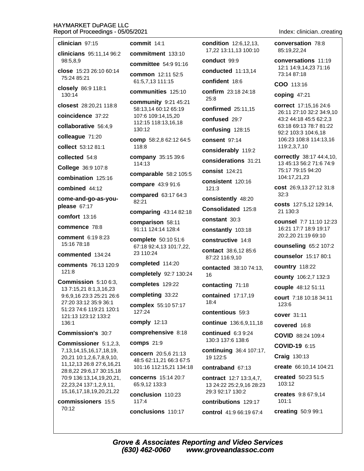| clinician 97:15                                            | commit $14:1$                                | <b>condition</b> 12:6,12,13,                        | conversation 78:8                                  |
|------------------------------------------------------------|----------------------------------------------|-----------------------------------------------------|----------------------------------------------------|
| clinicians 95:11,14 96:2                                   | commitment 133:10                            | 17,22 13:11,13 100:10                               | 85:19,22,24                                        |
| 98:5,8,9                                                   | committee 54:9 91:16                         | conduct 99:9                                        | conversations 11:19<br>12:1 14:9,14,23 71:16       |
| close 15:23 26:10 60:14<br>75:24 85:21                     | common 12:11 52:5                            | conducted 11:13,14                                  | 73:14 87:18                                        |
| closely 86:9 118:1                                         | 61:5,7,13 111:15                             | confident 18:6                                      | COO 113:16                                         |
| 130:14                                                     | communities 125:10                           | confirm 23:18 24:18<br>25:8                         | coping $47:21$                                     |
| closest 28:20,21 118:8                                     | community 9:21 45:21<br>58:13,14 60:12 65:19 | confirmed 25:11,15                                  | correct 17:15,16 24:6                              |
| coincidence 37:22                                          | 107:6 109:14,15,20                           | confused 29:7                                       | 26:11 27:10 32:2 34:9,10<br>43:2 44:18 45:5 62:2,3 |
| collaborative 56:4,9                                       | 112:15 118:13,16,18<br>130:12                | confusing 128:15                                    | 63:18 69:13 78:7 81:22                             |
| colleague 71:20                                            | comp 58:2,8 62:12 64:5                       | consent 97:14                                       | 92:2 103:3 104:6,18<br>106:23 108:8 114:13,16      |
| collect 53:12 81:1                                         | 118:8                                        | considerably 119:2                                  | 119:2,3,7,10                                       |
| collected 54:8                                             | company 35:15 39:6                           | considerations 31:21                                | correctly 38:17 44:4,10,                           |
| College 36:9 107:8                                         | 114:13                                       | consist 124:21                                      | 13 45:13 56:2 71:6 74:9<br>75:17 79:15 94:20       |
| combination 125:16                                         | comparable 58:2 105:5                        | consistent 120:16                                   | 104:17,21,23                                       |
| combined 44:12                                             | compare 43:9 91:6                            | 121:3                                               | cost 26:9,13 27:12 31:8                            |
| come-and-go-as-you-                                        | compared 63:17 64:3<br>82:21                 | consistently 48:20                                  | 32:3                                               |
| please 67:17                                               | comparing 43:14 82:18                        | Consolidated 125:8                                  | costs 127:5,12 129:14,<br>21 130:3                 |
| comfort 13:16                                              | comparison 58:11                             | constant 30:3                                       | counsel 7:7 11:10 12:23                            |
| commence 78:8                                              | 91:11 124:14 128:4                           | constantly 103:18                                   | 16:21 17:7 18:9 19:17                              |
| comment 6:19 8:23                                          | complete 50:10 51:6                          | constructive 14:8                                   | 20:2,20 21:19 69:10                                |
| 15:16 78:18                                                | 67:18 92:4,13 101:7,22,<br>23 110:24         | contact 38:6,12 85:6                                | counseling 65:2 107:2                              |
| commented 134:24                                           | completed 114:20                             | 87:22 116:9,10                                      | <b>counselor</b> 15:17 80:1                        |
| comments 76:13 120:9<br>121:8                              | completely 92:7 130:24                       | contacted 38:10 74:13,                              | country 118:22                                     |
| Commission 5:10 6:3,                                       | completes 129:22                             | 16                                                  | county 106:2,7 132:3                               |
| 13 7:15,21 8:1,3,16,23                                     | completing 33:22                             | contacting 71:18                                    | couple 48:12 51:11                                 |
| 9:6,9,16 23:3 25:21 26:6<br>27:20 33:12 35:9 36:1          | complex 55:10 57:17                          | contained 17:17,19<br>18:4                          | <b>court</b> 7:18 10:18 34:11<br>123:6             |
| 51:23 74:6 119:21 120:1                                    | 127:24                                       | contentious 59:3                                    | cover 31:11                                        |
| 121:13 123:12 133:2<br>136:1                               | comply 12:13                                 | continue 136:6,9,11,18                              | covered 16:8                                       |
| <b>Commission's 30:7</b>                                   | comprehensive 8:18                           | continued 6:3 9:24                                  | COVID 88:24 109:4                                  |
| Commissioner 5:1,2,3,                                      | <b>comps</b> 21:9                            | 130:3 137:6 138:6                                   | COVID-19 6:15                                      |
| 7, 13, 14, 15, 16, 17, 18, 19,                             | concern 20:5,6 21:13                         | <b>continuing</b> 36:4 107:17,                      | <b>Craig 130:13</b>                                |
| 20,21 10:1,2,6,7,8,9,10,<br>11, 12, 13 26: 8 27: 6, 16, 21 | 48:5 62:11,21 66:3 67:5                      | 19 122:5                                            |                                                    |
| 28:8,22 29:6,17 30:15,18                                   | 101:16 112:15,21 134:18                      | contraband 67:13                                    | create 66:10,14 104:21                             |
| 70:9 136:13,14,19,20,21,<br>22, 23, 24 137: 1, 2, 9, 11,   | concerns 15:14 20:7<br>65:9,12 133:3         | contract 12:7 13:3,4,7,<br>13 24:22 25:2,9,16 28:23 | created 50:23 51:5<br>103:12                       |
| 15, 16, 17, 18, 19, 20, 21, 22                             | conclusion 110:23                            | 29:3 92:17 130:2                                    | creates 9:8 67:9,14                                |
| commissioners 15:5                                         | 117:4                                        | contributions 129:17                                | 101:1                                              |
| 70:12                                                      | conclusions 110:17                           | control 41:9 66:19 67:4                             | creating 50:9 99:1                                 |

Index: clinician..creating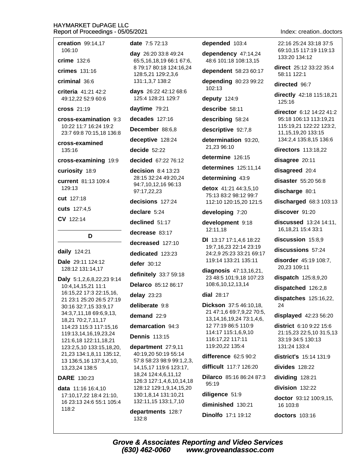creation 99:14.17 106:10

 $crime$  132.6

 $c$ rimes  $131:16$ 

criminal 36:6

criteria 41:21 42:2 49:12,22 52:9 60:6

**cross 21:19** 

cross-examination 9:3 10:22 11:7 16:24 19:2 23:7 69:8 70:15,18 136:8

cross-examined 135:16

cross-examining 19:9

curiosity 18:9

current 81:13 109:4 129:13

cut 127:18

cuts 127:4,5

CV 122:14

D

daily 124:21

Dale 29:11 124:12 128:12 131:14,17

Daly 5:1,2,6,8,22,23 9:14 10:4,14,15,21 11:1 16:15,22 17:3 22:15,16, 21 23:1 25:20 26:5 27:19 30:16 32:7,15 33:9,17 34:3,7,11,18 69:6,9,13, 18,21 70:2,7,11,17 114:23 115:3 117:15,16 119:13,14,16,19,23,24 121:6,18 122:11,18,21 123:2,5,10 133:15,18,20, 21,23 134:1,8,11 135:12, 13 136:5,16 137:3,4,10, 13,23,24 138:5

### **DARE** 130:23

data 11:16 16:4,10 17:10,17,22 18:4 21:10, 16 23:13 24:6 55:1 105:4  $118.2$ 

date 7:5 72:13

day 26:20 33:8 49:24 65:5,16,18,19 66:1 67:6, 8 79:17 80:18 124:16.24 128:5,21 129:2,3,6 131:1,3,7 138:2

days 26:22 42:12 68:6 125:4 128:21 129:7

daytime 79:21

decades 127:16

December 88:6,8

deceptive 128:24

decide  $52:22$ 

decided 67:22 76:12

decision  $8:4$  13:23 28:15 32:24 49:20.24 94:7,10,12,16 96:13 97:17,22,23

decisions 127:24

declare 5:24

declined 51:17

decrease 83:17

decreased 127:10

dedicated 123:23

defer 30:12

definitely 33:7 59:18

Delarco 85:12 86:17

delay  $23:23$ 

deliberate 9:8

demand  $22:9$ 

demarcation 94:3

**Dennis 113:15** 

department 27:9,11 40:19,20 50:19 55:14 57:8 58:23 98:9 99:1,2,3, 14.15.17 119:6 123:17. 18,24 124:4,6,11,12 126:3 127:1,4,6,10,14,18 128:12 129:1.9.14.15.20 130:1,8,14 131:10,21 132:11,15 133:1,7,10

departments 128:7 132:8

### depended 103:4

dependency 47:14,24 48:6 101:18 108:13,15

dependent 58:23 60:17

depending  $80:2399:22$  $102:13$ 

deputy 124:9

describe 58:11

describing 58:24

descriptive 92:7,8

determination 93:20, 21,23 96:10

determine 126:15

determines 125:11.14

determining 43:9

detox 41:21 44:3.5.10 75:13 83:2 98:12 99:7 112:10 120:15,20 121:5

developing 7:20

development 9:18 12:11,18

DI 13:17 17:1,4,6 18:22 19:7,16,23 22:14 23:19 24:2,9 25:23 33:21 69:17 119:14 133:21 135:11

diagnosis 47:13,16,21, 23 48:5 101:9,18 107:23 108:6,10,12,13,14

dial 28:17

Dickson 37:5 46:10,18, 21 47:1,6 69:7,9,22 70:5, 13.14.16.19.24 73:1.4.6. 12 77:19 86:5 110:9 114:17 115:1,6,9,10 116:17,22 117:11 119:20,22 135:4

difference  $62:590:2$ 

difficult 117:7 126:20

Dilarco 85:16 86:24 87:3 95:19 diligence 51:9

diminished 130:21

**Dinolfo** 17:1 19:12

Index: creation..doctors

22:16 25:24 33:18 37:5 69:10.15 117:19 119:13 133:20 134:12

direct 25:12 33:22 35:4 58:11 122:1

directed 96:7

directly 42:18 115:18,21 125:16

director 6:12 14:22 41:2 95:18 106:13 113:19.21 115:19,21 122:22 123:2, 11, 15, 19, 20 133: 15 134:2,4 135:8,15 136:6

directors 113:18,22

disagree 20:11

disagreed 20:4

disaster 55:20 56:8

discharge 80:1

discharged 68:3 103:13

discover 91:20

discussed 13:24 14:11, 16, 18, 21 15: 4 33: 1

discussion 15:8,9

discussions 57:24

disorder 45:19 108:7. 20,23 109:11

dispatch 125:8,9,20

dispatched 126:2,8

dispatches 125:16,22, 24

displayed 42:23 56:20

**district** 6:10 9:22 15:6 21:15,23 22:5,10 31:5,13 33:19 34:5 130:13 131:24 133:4

district's 15:14 131:9

divides 128:22

dividing 128:21

division 132:22

doctor 93:12 100:9,15, 16 103:8

doctors 103:16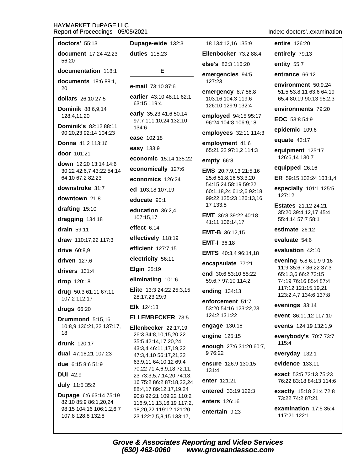| doctors' 55:13                                | Dupage-wide 132:3                                  | 18 134:12,16 135:9                           | entire 126:20                                                            |
|-----------------------------------------------|----------------------------------------------------|----------------------------------------------|--------------------------------------------------------------------------|
| document 17:24 42:23                          | <b>duties</b> 115:23                               | Ellenbocker 73:2 88:4                        | entirely 79:13                                                           |
| 56:20                                         |                                                    | else's 86:3 116:20                           | entity 55:7                                                              |
| documentation 118:1                           | Е                                                  | emergencies 94:5                             | entrance 66:12                                                           |
| documents 18:6 88:1,<br>20                    | e-mail 73:10 87:6                                  | 127:23<br>emergency 8:7 56:8                 | environment 50:9,24<br>51:5 53:8,11 63:6 64:19                           |
| <b>dollars</b> 26:10 27:5                     | earlier 43:10 48:11 62:1<br>63:15 119:4            | 103:16 104:3 119:6                           | 65:4 80:19 90:13 95:2,3                                                  |
| <b>Dominik 88:6,9,14</b>                      | early 35:23 41:6 50:14                             | 126:10 129:9 132:4                           | environments 79:20                                                       |
| 128:4,11,20<br><b>Dominik's 82:12 88:11</b>   | 97:7 111:10,24 132:10                              | employed 94:15 95:17<br>96:24 104:8 106:9,18 | EOC 53:8 54:9                                                            |
| 90:20,23 92:14 104:23                         | 134:6                                              | employees 32:11 114:3                        | epidemic 109:6                                                           |
| Donna 41:2 113:16                             | ease 102:18                                        | employment 41:6                              | equate $43:17$                                                           |
| door 101:21                                   | easy 133:9                                         | 65:21,22 97:1,2 114:3                        | equipment 125:17                                                         |
| down 12:20 13:14 14:6                         | economic 15:14 135:22                              | empty 66:8                                   | 126:6,14 130:7                                                           |
| 30:22 42:6,7 43:22 54:14                      | economically 127:6                                 | EMS 20:7,9,13 21:5,16                        | equipped 26:16                                                           |
| 64:10 67:2 82:23                              | economics 126:24                                   | 25:6 51:8,16 53:3,20<br>54:15,24 58:19 59:22 | ER 59:15 102:24 103:1,4                                                  |
| downstroke 31:7                               | ed 103:18 107:19                                   | 60:1,18,24 61:2,6 92:18                      | especially 101:1 125:5<br>127:12                                         |
| downtown 21:8                                 | educate 90:1                                       | 99:22 125:23 126:13,16,<br>17 133:5          |                                                                          |
| drafting 15:10<br>dragging 134:18             | education 36:2,4<br>107:15,17                      | <b>EMT</b> 36:8 39:22 40:18                  | <b>Estates</b> 21:12 24:21<br>35:20 39:4,12,17 45:4<br>55:4,14 57:7 58:1 |
|                                               | effect $6:14$                                      | 41:11 106:14,17                              |                                                                          |
| drain 59:11                                   | effectively 118:19                                 | <b>EMT-B</b> 36:12,15                        | estimate 26:12                                                           |
| draw 110:17,22 117:3                          |                                                    | <b>EMT-I 36:18</b>                           | evaluate 54:6                                                            |
| drive 60:8,9                                  | efficient 127:7,15                                 | <b>EMTS</b> 40:3,4 96:14,18                  | evaluation 42:10                                                         |
| driven 127:6                                  | electricity 56:11                                  | encapsulate 77:21                            | evening 5:8 6:1,9 9:16                                                   |
| drivers 131:4                                 | <b>Elgin 35:19</b>                                 | end 30:6 53:10 55:22                         | 11:9 35:6,7 36:22 37:3<br>65:1,3,6 66:2 73:15                            |
| drop 120:18                                   | eliminating 101:6                                  | 59:6,7 97:10 114:2                           | 74:19 76:16 85:4 87:4                                                    |
| drug 50:3 61:11 67:11                         | Elite 13:3 24:22 25:3,15<br>28:17,23 29:9          | ending 134:13                                | 117:12 121:15,19,21<br>123:2,4,7 134:6 137:8                             |
| 107:2 112:17<br>drugs 66:20                   | Elk 124:13                                         | enforcement 51:7<br>53:20 54:16 123:22,23    | evenings 33:14                                                           |
| Drummond 5:15,16                              | <b>ELLEMBECKER 73:5</b>                            | 124:2 131:22                                 | event 86:11,12 117:10                                                    |
| 10:8,9 136:21,22 137:17,                      | Ellenbecker 22:17,19                               | engage 130:18                                | events 124:19 132:1,9                                                    |
| 18                                            | 26:3 34:8,10,15,20,22                              | engine 125:15                                | everybody's 70:7 73:7                                                    |
| drunk 120:17                                  | 35:5 42:14,17,20,24                                | enough 27:6 31:20 60:7,                      | 115:4                                                                    |
| <b>dual</b> $47:16,21$ $107:23$               | 43:3,4 46:11,17,19,22<br>47:3,4,10 56:17,21,22     | 9 76:22                                      | everyday 132:1                                                           |
| due 6:15 8:6 51:9                             | 63:9,11 64:10,12 69:4<br>70:22 71:4,6,9,18 72:11,  | ensure 126:9 130:15                          | evidence 133:11                                                          |
| <b>DUI</b> 42:9                               | 23 73:3,5,7,14,20 74:13,                           | 131:4                                        | <b>exact</b> 53:5 72:13 75:23                                            |
| duly 11:5 35:2                                | 16 75:2 86:2 87:18,22,24                           | enter 121:21                                 | 76:22 83:18 84:13 114:6                                                  |
| <b>Dupage</b> 6:6 63:14 75:19                 | 88:4,17 89:12,17,19,24<br>90:8 92:21 109:22 110:2  | entered 33:19 122:3                          | exactly 15:18 21:4 72:8                                                  |
| 82:10 85:9 86:1,20,24                         | 116:9,11,13,16,19 117:2,                           | enters 126:16                                | 73:22 74:2 87:21                                                         |
| 98:15 104:16 106:1,2,6,7<br>107:8 128:8 132:8 | 18,20,22 119:12 121:20,<br>23 122:2,5,8,15 133:17, | entertain 9:23                               | examination 17:5 35:4<br>117:21 122:1                                    |

Index: doctors'..examination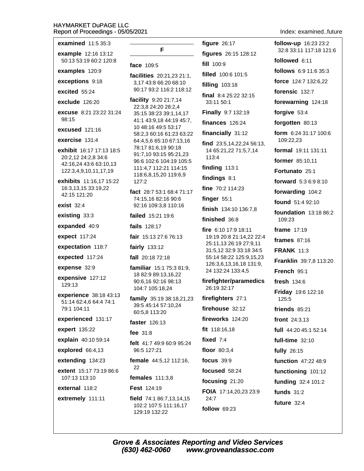| examined $11:535:3$                                    |                                                                          | figure $26:17$                                    |
|--------------------------------------------------------|--------------------------------------------------------------------------|---------------------------------------------------|
| example 12:16 13:12                                    | F                                                                        | figures 26:15 128:12                              |
| 50:13 53:19 60:2 120:8                                 | face 109:5                                                               | fill 100:9                                        |
| examples 120:9                                         | facilities 20:21,23 21:1,                                                | filled 100:6 101:5                                |
| exceptions 9:18                                        | 3,17 43:8 66:20 68:10                                                    | <b>filling</b> 103:18                             |
| excited 55:24                                          | 90:17 93:2 116:2 118:12                                                  | final $8:425:2232:15$                             |
| exclude 126:20                                         | facility 9:20 21:7,14<br>22:3,8 24:20 28:2,4                             | 33:11 50:1                                        |
| <b>excuse</b> 8:21 23:22 31:24                         | 35:15 38:23 39:1,14,17                                                   | Finally 9:7 132:19                                |
| 98:15                                                  | 41:1 43:9,18 44:19 45:7,                                                 | finances $126:24$                                 |
| excused 121:16                                         | 10 48:16 49:5 53:17<br>58:2,3 60:16 61:23 63:22                          | financially 31:12                                 |
| exercise $131:4$                                       | 64:4,5,6 65:10 67:13,16                                                  | find 23:5,14,22,24 56:13,                         |
| <b>exhibit</b> 16:17 17:13 18:5<br>20:2,12 24:2,8 34:6 | 78:17 81:6,19 90:18<br>91:7,10 93:15 95:21,23<br>96:6 102:6 104:19 105:5 | 14 65:21,22 71:5,7,14<br>113:4                    |
| 42:16,24 43:6 63:10,13<br>122:3,4,9,10,11,17,19        | 111:4,7 112:21 114:15                                                    | finding $113:1$                                   |
| exhibits 11:16,17 15:22                                | 118:6,8,15,20 119:6,9<br>127:2                                           | findings 8:1                                      |
| 16:3,13,15 33:19,22                                    |                                                                          | fine 70:2 114:23                                  |
| 42:15 121:20                                           | fact 28:7 53:1 68:4 71:17<br>74:15,16 82:16 90:6                         | finger 55:1                                       |
| <b>exist</b> 32:4                                      | 92:16 109:3,8 110:16                                                     | finish 134:10 136:7,8                             |
| existing 33:3                                          | failed 15:21 19:6                                                        | finished 36:8                                     |
| expanded 40:9                                          | fails 128:17                                                             | fire 6:10 17:9 18:11                              |
| expect 117:24                                          | fair 15:13 27:6 76:13                                                    | 19:19 20:8 21:14,22 22:4                          |
| expectation 118:7                                      | fairly 133:12                                                            | 25:11,13 26:19 27:9,11<br>31:5,12 32:9 33:18 34:5 |
| expected 117:24                                        | fall 20:18 72:18                                                         | 55:14 58:22 125:9,15,23                           |
| expense 32:9                                           | familiar 15:1 75:3 81:9,                                                 | 126:3,6,13,16,18 131:9,<br>24 132:24 133:4,5      |
| expensive 127:12                                       | 18 82:9 89:13,16,22<br>90:6,16 92:16 98:13                               | firefighter/paramedics                            |
| 129:13                                                 | 104:7 105:18,24                                                          | 26:19 32:17                                       |
| experience 38:18 43:13                                 | family 35:19 38:18,21,23                                                 | firefighters 27:1                                 |
| 51:14 62:4,6 64:4 74:1<br>79:1 104:11                  | 39:5 45:14 57:10,24<br>60:5,8 113:20                                     | firehouse 32:12                                   |
| experienced 131:17                                     | faster 126:13                                                            | fireworks 124:20                                  |
| expert 135:22                                          |                                                                          | fit 118:16,18                                     |
| explain 40:10 59:14                                    | fee $31:8$                                                               | fixed $7:4$                                       |
| explored 66:4,13                                       | felt 41:7 49:9 60:9 95:24<br>96:5 127:21                                 | floor $80:3,4$                                    |
| extending 134:23                                       | <b>female</b> 44:5,12 112:16,                                            | focus $39:9$                                      |
| <b>extent</b> 15:17 73:19 86:6                         | 22                                                                       | focused 58:24                                     |
| 107:13 113:10                                          | females $111:3,8$                                                        | focusing 21:20                                    |
| external 118:2                                         | <b>Fest 124:19</b>                                                       | <b>FOIA</b> 17:14,20,23 23:9                      |
| extremely 111:11                                       | field 74:1 86:7,13,14,15                                                 | 24:7                                              |
|                                                        | 102:2 107:5 111:16,17<br>129:19 132:22                                   | <b>follow 69:23</b>                               |

Index: examined..future

follow-up 16:23 23:2 32:8 33:11 117:18 121:6 followed 6:11 follows 6:9 11:6 35:3 force 124:7 132:6,22 forensic 132:7 forewarning 124:18 forgive 53:4 forgotten 80:13 form 6:24 31:17 100:6 109:22,23 formal 19:11 131:11 former 85:10,11 Fortunato 25:1 forward 5:3 6:9 8:10 forwarding 104:2 found 51:4 92:10 **foundation** 13:18 86:2 109:23 frame 17:19 frames  $87:16$ **FRANK 11:3** Franklin 39:7,8 113:20 French 95:1 fresh 134:6 Friday 19:6 122:16  $125:5$ friends  $85:21$ front 24:3,13 full 44:20 45:1 52:14 full-time 32:10 fully 26:15 function 47:22 48:9 functioning 101:12 funding 32:4 101:2 funds  $31:2$ future  $32:4$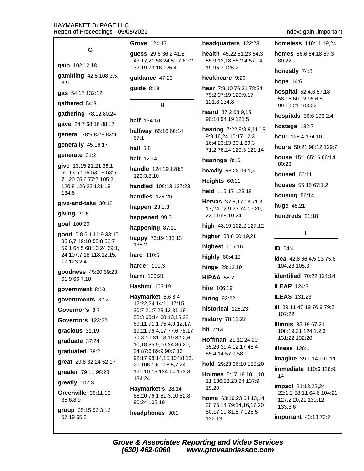|                                                    | Grove 124:13                                         | headquarters 122:23                                        | homeless 110:11,19,24                                     |
|----------------------------------------------------|------------------------------------------------------|------------------------------------------------------------|-----------------------------------------------------------|
| G                                                  | guess 29:6 36:2 41:8<br>43:17,21 58:24 59:7 60:2     | <b>health</b> $45:2251:2354:3$<br>55:9,12,18 56:2,4 57:14, | <b>homes</b> $56:664:1867:3$<br>80:22                     |
| gain 102:12,18                                     | 72:19 73:16 125:4                                    | 19 95:7 126:2                                              | honestly 74:8                                             |
| gambling 42:5 108:3,5,<br>8,9                      | guidance 47:20                                       | healthcare 9:20                                            | <b>hope 14:6</b>                                          |
| gas 54:17 132:12                                   | guide 8:19                                           | hear 7:8,10 76:21 78:24<br>79:2 97:19 120:9,17             | hospital 52:4,6 57:18<br>58:15 60:12 95:6,8               |
| gathered 54:8                                      | н                                                    | 121:8 134:8                                                | 99:19,21 103:22                                           |
| gathering 78:12 80:24                              | <b>half</b> 134:10                                   | heard 37:2 68:9,15<br>90:10 94:19 121:5                    | hospitals 56:6 106:2,4                                    |
| gave 24:7 68:16 88:17                              | halfway 65:16 66:14                                  | hearing 7:22 8:8,9,11,19                                   | hostage 132:7                                             |
| general 78:9 82:8 83:9                             | 67:1                                                 | 9:9,16,24 10:17 12:3                                       | hour 125:4 134:10                                         |
| generally 45:16,17                                 | hall $5:5$                                           | 16:4 23:13 30:1 69:3<br>71:2 76:24 120:3 121:14            | hours 50:21 98:12 129:7                                   |
| generate 31:2                                      | halt 12:14                                           | hearings 8:16                                              | house 15:1 65:16 66:14<br>80:23                           |
| give 13:15 21:21 36:1<br>50:13 52:19 53:19 58:5    | handle 124:19 128:8                                  | heavily 58:23 96:1,4                                       | <b>housed</b> 66:11                                       |
| 71:20 75:6 77:7 105:21                             | 129:3,8,10                                           | Heights 60:11                                              | houses 55:15 67:1,2                                       |
| 120:8 126:23 131:19<br>134:6                       | handled 106:13 127:23                                | held 115:17 123:18                                         | housing 56:14                                             |
| give-and-take 30:12                                | <b>handles</b> 125:20                                | Hervas 37:6,17,18 71:8,                                    | huge 45:21                                                |
| giving 21:5                                        | happen $28:1,3$                                      | 17,24 72:9,23 74:15,20,<br>22 116:8,10,24                  | hundreds 21:18                                            |
| goal 100:20                                        | happened 99:5                                        | high 48:19 102:2 127:12                                    |                                                           |
| good 5:8 6:1 11:9 33:15                            | happening 87:11                                      | higher 33:8 60:19,21                                       | L                                                         |
| 35:6,7 49:10 55:8 58:7                             | happy 76:19 133:13<br>138:2                          | highest 115:16                                             |                                                           |
| 59:1 64:5 68:10,24 69:1,<br>24 107:7,18 118:12,15, | <b>hard</b> 110:5                                    | highly 60:4,15                                             | ID 54:4                                                   |
| 17 123:2,4                                         | harder 101:3                                         | <b>hinge</b> 28:12,19                                      | <b>idea</b> $42:866:4,5,1375:6$<br>104:23 105:3           |
| goodness 45:20 59:23<br>61:9 66:7,18               | <b>harm</b> 100:21                                   | <b>HIPAA 55:2</b>                                          | identified 70:22 124:14                                   |
| government 8:10                                    | Hashmi 103:19                                        | hire 106:19                                                | <b>ILEAP 124:3</b>                                        |
| qovernments 8:12                                   | Haymarket 6:6 8:4                                    | <b>hiring 92:22</b>                                        | <b>ILEAS</b> 131:23                                       |
| Governor's 8:7                                     | 12:22,24 14:11 17:15<br>20:7 21:7 28:12 31:18        | historical 126:23                                          | ill 39:11 47:19 76:9 79:5                                 |
| Governors 123:22                                   | 58:3 63:14 68:13,15,22                               | history 78:11,22                                           | 107:22                                                    |
| gracious 31:19                                     | 69:11 71:1 75:4,9,12,17,<br>19,21 76:4,17 77:6 78:17 | hit 7:13                                                   | <b>Illinois</b> 35:19 67:21<br>108:19,21 124:1,2,3        |
| graduate 37:24                                     | 79:8,10 81:13,19 82:2,6,                             | Hoffman 21:12 24:20                                        | 131:22 132:20                                             |
| graduated 38:2                                     | 10,18 85:9,16,24 86:20,<br>24 87:6 89:9 90:7,16      | 35:20 39:4,12,17 45:4                                      | illness 126:1                                             |
|                                                    | 92:17 98:14,15 104:8,12,                             | 55:4,14 57:7 58:1                                          | imagine 39:1,14 101:11                                    |
| great 29:8 32:24 52:17                             | 20 106:1,6 118:5,7,24<br>120:10,13 124:14 133:3      | hold 29:23 36:10 115:20                                    | <b>immediate</b> 110:6 126:9,                             |
| greater 79:11 98:23                                | 134:24                                               | Holmes 5:17,18 10:1,10,<br>11 136:13,23,24 137:9,          | 14                                                        |
| greatly 102:3                                      | Haymarket's 28:14                                    | 19,20                                                      | <b>impact</b> 21:13,22,24                                 |
| Greenville 35:11,13<br>36:6,8,9                    | 68:20 76:1 81:3,10 82:8<br>90:24 105:19              | home 63:19,23 64:13,14,<br>20 75:14 79:14,16,17,20         | 22:1,2 58:11 64:6 104:21<br>127:2,20,21 130:12<br>133:3,6 |
| group 35:15 56:3,16<br>57:19 65:2                  | headphones 30:1                                      | 80:17,19 81:5,7 126:5<br>132.13                            | important 43:13 72:2                                      |

Index: gain..important

Grove & Associates Reporting and Video Services<br>(630) 462-0060 www.groveandassoc.com

132:13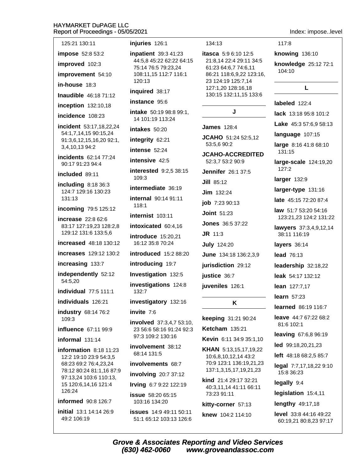#### HA<sup>®</sup> Rer  $\mathbf{1}$

Index: impose..level

| <b>IAYMARKET DuPAGE LLC</b><br>eport of Proceedings - 05/05/202 |                               |
|-----------------------------------------------------------------|-------------------------------|
| 125:21 130:11                                                   | injuri                        |
| impose 52:8 53:2<br>improved 102:3<br>improvement 54:10         | inpat<br>44:5<br>75:1<br>108: |
| <b>in-house</b> 18:3                                            | 120:                          |
| Inaudible 46:18 71:12                                           | inqui                         |
| inception 132:10,18                                             | insta                         |
| incidence 108:23                                                | intak<br>14 1                 |
| incident 53:17,18,22,24<br>54:1,7,14,15 90:15,24                | intak                         |
| 91:3,6,12,15,16,20 92:1,                                        | integ                         |
| 3,4,10,13 94:2                                                  | inten                         |
| incidents 62:14 77:24<br>90:17 91:23 94:4                       | inten                         |
| included 89:11                                                  | inter<br>109:                 |
| including 8:18 36:3<br>124:7 129:16 130:23                      | interi                        |
| 131:13                                                          | interi<br>118:                |
| incoming 79:5 125:12                                            | interi                        |
| increase 22:8 62:6<br>83:17 127:19,23 128:2,8                   | intox                         |
| 129:12 131:6 133:5,6                                            | intro                         |
| <b>increased</b> 48:18 130:12                                   | 16:1                          |
| increases 129:12 130:2                                          | intro                         |
| increasing 133:7                                                | intro                         |
| independently 52:12<br>54:5,20                                  | <b>Inves</b><br>inves         |
| individual 77:5 111:1                                           | 132:                          |
| individuals 126:21                                              | inves                         |
| industry 68:14 76:2                                             | invite                        |
| 109:3<br>influence 67:11 99:9                                   | invol<br>235                  |
| informal 131:14                                                 | 97:3                          |
| <b>information</b> 8:18 11:23<br>12:2 19:10 23:9 54:3,5         | invol<br>68:1                 |
| 68:23 69:2 76:4,23,24                                           | invol                         |
| 78:12 80:24 81:1,16 87:9<br>97:13,24 103:6 110:13,              | invol                         |
| 15 120:6,14,16 121:4<br>126:24                                  | Irving                        |
| informed 90:8 126:7                                             | issue<br>103:                 |
| initial 13:1 14:14 26:9                                         | issue                         |
| 49:2 106:19                                                     | 51:1                          |

#### es 126:1

**ient** 39:3 41:23 .8 45:22 62:22 64:15 476:579:23,24 11,15 112:7 116:1  $13$ 

#### red 38:17

nce 95:6

e 50:19 98:8 99:1, 01:19 113:24

es 50:20

rity 62:21

se 52:24

sive  $42:5$ 

ested 9:2,5 38:15 3

mediate 36:19 nal 90:14 91:11

1

nist 103:11

icated 60:4,16

**duce** 15:20,21 2 35:8 70:24

duced 15:2 88:20

ducing 19:7

stigation 132:5

stigations 124:8 7

stigatory 132:16

 $9.7:6$ 

ved 37:3,4,7 53:10, 6:6 58:16 91:24 92:3 109:2 130:16

vement 38:12 4 131:5

vements 68:7

ving 20:7 37:12

g 6:7 9:22 122:19

: 58:20 65:15 16 134:20

**S** 14:9 49:11 50:11 65:12 103:13 126:6

#### 134:13

**itasca** 5:9 6:10 12:5 21:8,14 22:4 29:11 34:5 61:23 64:6,7 74:6,11 86:21 118:6,9,22 123:16, 23 124:19 125:7,14 127:1,20 128:16,18 130:15 132:11,15 133:6

J

**James** 128:4

JCAHO 51:24 52:5,12 53:5,6 90:2

**JCAHO-ACCREDITED** 52:3,7 53:2 90:9 **Jennifer** 26:1 37:5

Jill 85:12 **Jim** 132:24 job 7:23 90:13 **Joint 51:23 Jones** 36:5 37:22  $J$ **R** 11:3 **July 124:20** June 134:18 136:2,3,9 jurisdiction 29:12

justice 36:7

juveniles 126:1

K

keeping 31:21 90:24

**Ketcham** 135:21

Kevin 6:11 34:9 35:1,10

KHAN 5:13,15,17,19,22 10:6,8,10,12,14 43:2 70:9 123:1 136:19,21,23 137:1,3,15,17,19,21,23

kind 21:4 29:17 32:21 40:3,11,14 41:11 66:11 73:23 91:11

#### kitty-corner 57:13

knew 104:2 114:10

 $117:8$ 

knowing 136:10

knowledge 25:12 72:1 104:10

#### L

labeled 122:4

lack 13:18 95:8 101:2

Lake 45:3 57:6,9 58:13

language 107:15

large 8:16 41:8 68:10 131:15

large-scale 124:19,20 127:2

larger 132:9

larger-type 131:16

late 45:15 72:20 87:4

law 51:7 53:20 54:16 123:21,23 124:2 131:22

lawyers 37:3,4,9,12,14 38:11 116:19

layers 36:14

lead 76:13

leadership 32:18,22

leak 54:17 132:12

lean 127:7,17

learn 57:23

learned 86:19 116:7

leave 44:7 67:22 68:2 81:6 102:1

leaving 67:6,8 96:19

led 99:18,20,21,23

left 48:18 68:2,5 85:7

legal 7:7,17,18,22 9:10 15:8 36:23

legally 9:4

legislation 15:4,11

lengthy 49:17,18

level 33:8 44:16 49:22 60:19,21 80:8,23 97:17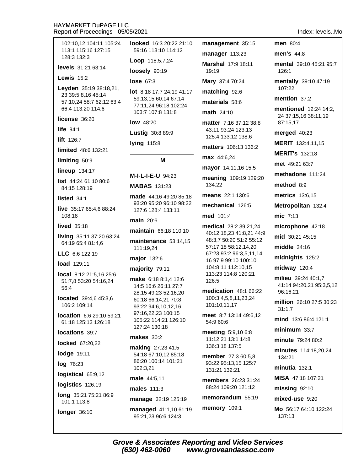102:10.12 104:11 105:24 looked 16:3 20:22 21:10 113:1 115:16 127:15 59:16 113:10 114:12 128:3 132:3 Loop 118:5,7,24 levels 31:21 63:14 loosely 90:19 Lewis  $15:2$ lose  $67:3$ Leyden 35:19 38:18,21, 23 39:5,8,16 45:14 59:13,15 60:14 67:14 57:10,24 58:7 62:12 63:4 77:11,24 96:18 102:24 66:4 113:20 114:6 103:7 107:8 131:8 license 36:20  $low$  48:20 life  $94:1$ **Lustig 30:8 89:9** lift 126:7 lying 115:8 limited 48:6 132:21 limiting 50:9 M **lineup** 134:17 M-I-L-I-E-U 94:23 list 44:24 61:10 80:6 **MABAS 131:23** 84:15 128:19 made 44:16 49:20 85:18 listed  $34.1$ live 35:17 65:4,6 88:24 127:6 128:4 133:11  $108:18$ main 20:6 **lived** 35:18 maintain 66:18 110:10 living 35:11 37:20 63:24 maintenance 53:14,15 64:19 65:4 81:4,6 111:19,24 LLC 6:6 122:19 major 132:6 load 129:11 majority 79:11 local 8:12 21:5,16 25:6 make 6:18 8:1.4 12:6 51:7,8 53:20 54:16,24 14:5 16:6 26:11 27:7 56:4 28:15 49:23 52:16,20 located 39:4,6 45:3,6 60:18 66:14,21 70:8 106:2 109:14 93:22 94:6,10,12,16 97:16,22,23 100:15 location 6:6 29:10 59:21 105:22 114:21 126:10 61:18 125:13 126:18 127:24 130:18 locations 39:7 **makes** 30:2 locked 67:20,22 making 27:23 41:5 **lodge 19:11** 54:18 67:10.12 85:18 86:20 100:14 101:21 log 76:23 102:3,21 logistical 65:9.12 male 44:5.11 logistics 126:19 males 111:3 long 35:21 75:21 86:9 manage 32:19 125:19 101:1 113:8 longer 36:10

Mary 37:4 70:24 lot 8:18 17:7 24:19 41:17 93:20 95:20 96:10 98:22

managed 41:1,10 61:19 95:21.23 96:6 124:3

management 35:15

manager 113:23 Marshal 17:9 18:11

19:19

matching 92:6

materials 58:6

math 24:10

matter 7:16 37:12 38:8 43:11 93:24 123:13 125:4 133:12 138:6

matters 106:13 136:2

max 44:6.24

mayor 14:11,16 15:5

meaning 109:19 129:20  $134:22$ 

means 22:1 130:6

mechanical 126:5

med 101:4

medical 28:2 39:21,24 40:12,18,23 41:8,21 44:9 48:3,7 50:20 51:2 55:12 57:17,18 58:12,14,20 67:23 93:2 96:3,5,11,14, 16 97:9 99:10 100:10 104:8.11 112:10.15 113:23 114:8 120:21 126:5

medication 48:1 66:22 100:3,4,5,8,11,23,24 101:10,11,17

meet 8:7 13:14 49:6.12 54:9 60:6

meeting 5:9,10 6:8 11:12.21 13:1 14:8 136:3.18 137:5

member 27:3 60:5,8 93:22 95:13,15 125:7 131:21 132:21

members 26:23 31:24 88:24 109:20 121:12

memorandum 55:19

memory 109:1

Index levels Mo men 80:4 men's 44:8 mental 39:10 45:21 95:7 126:1 mentally 39:10 47:19 107:22 mention  $37:2$ mentioned 12:24 14:2. 24 37:15,16 38:11,19 87:15.17 merged 40:23 MERIT 132:4,11,15 **MERIT's 132:18** met 49:21 63:7 methadone 111:24  $method 8:9$ metrics 13:6.15 Metropolitan 132:4 mic 7:13 microphone 42:18 mid 30:21 45:15 middle  $34:16$ midnights 125:2 midway 120:4 milieu 39:24 40:1.7 41:14 94:20,21 95:3,5,12 96:16,21 million 26:10 27:5 30:23  $31:1.7$ mind 13:6 86:4 121:1  $minimum 33:7$ minute 79:24 80:2 minutes 114:18,20,24 134:21 minutia  $132:1$ MISA 47:18 107:21  $missing$  92:10 mixed-use 9:20 Mo 56:17 64:10 122:24 137:13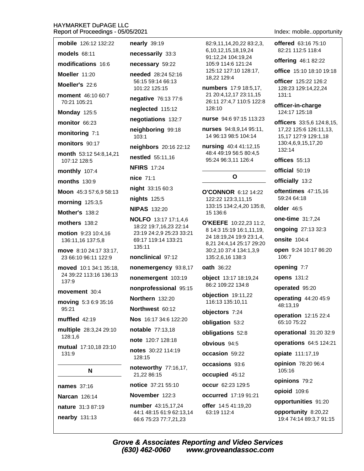| mobile 126:12 132:22                           | <b>nearly</b> 39:19                                       |
|------------------------------------------------|-----------------------------------------------------------|
| models $68:11$                                 | necessarily 33:3                                          |
| modifications 16:6                             | necessary 59:22                                           |
| Moeller 11:20                                  | <b>needed</b> 28:24 52:16                                 |
| Moeller's 22:6                                 | 56:15 59:14 66:13<br>101:22 125:15                        |
| <b>moment</b> 46:10 60:7<br>70:21 105:21       | negative 76:13 77:6                                       |
| Monday 125:5                                   | neglected 115:12                                          |
| monitor 66:23                                  | negotiations 132:7                                        |
| monitoring 7:1                                 | neighboring 99:18<br>103:1                                |
| monitors 90:17                                 | neighbors 20:16 22:12                                     |
| month 53:12 54:8,14,21<br>107:12 128:5         | nestled 55:11,16                                          |
| <b>monthly</b> 107:4                           | <b>NFIRS</b> 17:24                                        |
| months $130:9$                                 | nice 71:1                                                 |
| Moon 45:3 57:6,9 58:13                         | night 33:15 60:3                                          |
| morning 125:3,5                                | nights 125:5                                              |
| <b>Mother's 138:2</b>                          | <b>NIPAS 132:20</b>                                       |
| mothers 138:2                                  | <b>NOLFO</b> 13:17 17:1,4,6<br>18:22 19:7,16,23 22:14     |
| motion 9:23 10:4,16<br>136:11,16 137:5,8       | 23:19 24:2,9 25:23 33:21<br>69:17 119:14 133:21<br>135:11 |
| move 8:10 24:17 33:17,<br>23 66:10 96:11 122:9 | nonclinical 97:12                                         |
| <b>moved</b> 10:1 34:1 35:18,                  | nonemergency 93:8,17                                      |
| 24 39:22 113:16 136:13<br>137:9                | nonemergent 103:19                                        |
| movement 30:4                                  | nonprofessional 95:15                                     |
| moving 5:3 6:9 35:16                           | Northern 132:20                                           |
| 95:21                                          | Northwest 60:12                                           |
| muffled 42:19                                  | Nos 16:17 34:6 122:20                                     |
| multiple 28:3,24 29:10<br>128:1.6              | <b>notable</b> 77:13,18                                   |
|                                                | <b>note</b> 120:7 128:18                                  |
| mutual 17:10,18 23:10<br>131:9                 | notes 30:22 114:19<br>128:15                              |
| N                                              | noteworthy 77:16,17,<br>21,22 86:15                       |
| <b>names</b> 37:16                             | notice 37:21 55:10                                        |
| <b>Narcan</b> 126:14                           | November 122:3                                            |
| nature 31:3 87:19                              | number 43:15,17,24                                        |
| nearby 131:13                                  | 44:1 48:15 61:9 62:13,14<br>66:6 75:23 77:7,21,23         |

82:9,11,14,20,22 83:2,3, 6.10.12.15.18.19.24 91:12.24 104:19.24 105:9 114:6 121:24 125:12 127:10 128:17. 18,22 129:4

numbers 17:9 18:5,17, 21 20:4,12,17 23:11,15 26:11 27:4,7 110:5 122:8 128:10

nurse 94:6 97:15 113:23

nurses 94:8,9,14 95:11, 14 96:13 98:5 104:14

nursing 40:4 41:12,15 48:4 49:19 56:5 80:4,5 95:24 96:3,11 126:4

O'CONNOR 6:12 14:22 122:22 123:3,11,15 133:15 134:2,4,20 135:8, 15 136:6

O

O'KEEFE 10:22,23 11:2, 8 14:3 15:19 16:1,11,19, 24 18:19,24 19:9 23:1,4, 8,21 24:4,14 25:17 29:20 30:2,10 37:4 134:1,3,9 135:2,6,16 138:3

#### oath 36:22

object 13:17 18:19,24 86:2 109:22 134:8

objection 19:11,22 116:13 135:10.11

objectors 7:24

obligation 53:2

obligations 52:8

obvious 94:5

occasion 59:22

occasions 93:6

occupied 45:12

occur 62:23 129:5

occurred 17:19 91:21 offer 14:5 41:19,20 63:19 112:4

### Index: mobile..opportunity

offered 63:16 75:10 82:21 112:5 118:4

offering 46:1 82:22

office 15:10 18:10 19:18

officer 125:22 126:2 128:23 129:14,22,24  $131:1$ 

officer-in-charge 124:17 125:18

officers 33:5.6 124:8.15. 17,22 125:6 126:11,13, 15,17 127:9 129:1,18 130:4,6,9,15,17,20 132:14

offices 55:13

official 50:19

officially 13:2

oftentimes 47:15,16 59:24 64:18

older 46:5

one-time 31:7,24

**ongoing** 27:13 32:3

**onsite** 104:4

open 9:24 10:17 86:20 106:7

opening 7:7

opens 131:2

operated 95:20

operating 44:20 45:9 48:13,19

operation 12:15 22:4 65:10 75:22

operational 31:20 32:9

operations 64:5 124:21

opiate 111:17,19

opinion 78:20 96:4 105:16

opinions 79:2

opioid 109:6

opportunities 91:20

opportunity 8:20,22 19:4 74:14 89:3,7 91:15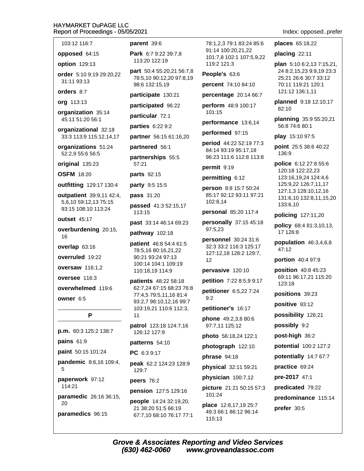Index: opposed..prefer

plan 5:10 6:2,13 7:15,21,

24 8:2,15,23 9:9,19 23:3

25:21 26:6 30:7 33:12

planned 9:18 12:10,17

planning 35:9 55:20,21

56:8 74:6 80:1

play 15:10 97:5

70:11 119:21 120:1 121:12 136:1,11

places 65:18,22

placing 22:11

82:10

| 103:12 116:7                            | ŗ |
|-----------------------------------------|---|
| opposed 64:15                           | F |
| <b>option</b> 129:13                    |   |
| order 5:10 9:19 29:20,22<br>31:11 93:13 | ŗ |
| orders 8:7                              | ŗ |
| <b>org</b> 113:13                       | ŗ |
| organization 35:14                      | ŗ |
| 45:11 51:20 56:1                        |   |
| organizational 32:18                    | ŗ |

33:3 113:9 115:12,14,17

organizations 51:24 52:2,9 55:6 56:5

original 135:23

**OSFM** 18:20

outfitting 129:17 130:4

outpatient 39:9,11 42:4, 5,6,10 59:12,13 75:15 93:15 108:10 113:24

outset 45:17

overburdening 20:15, 16

overlap 63:16

overruled 19:22

oversaw 116:1.2

oversee 116:3

overwhelmed 119:6

owner 6:5

### P

p.m. 60:3 125:2 138:7 pains  $61:9$ paint 50:15 101:24 pandemic 8:6,16 109:4, 5 paperwork 97:12 114:21 paramedic 26:16 36:15. 20 paramedics 96:15

**parent** 39:6

Park 6:7 9:22 39:7.8 113:20 122:19

**part** 50:4 55:20,21 56:7,8 78:5,10 90:12,20 97:8,19 98:6 132:15,19

participate 130:21

participated 96:22

**particular 72:1** 

parties 6:22.9:2

partner 56:15 61:16,20

partnered 56:1

partnerships 55:5 57:21

parts 92:15

party 9:5 15:5

pass 31:20

passed 41:3 52:15.17 113:15

past 33:14 46:14 69:23

pathway 102:18

patient 46:8 54:4 61:5 78:5,16 80:16,21,22 90:21 93:24 97:13 100:14 104:1 109:19 110:18,19 114:9

patients 48:22 58:18 62:7,24 67:15 68:23 76:8 77:4,5 79:5,11,16 81:4 93:2,7 98:10,12,16 99:7 103:19,21 110:6 112:3, 11

patrol 123:18 124:7,16 126:12 127:9

patterns 54:10

PC 6:3 9:17

peak 62:2 124:23 128:9 129:7

peers 76:2

pension 127:5 129:16

people 14:24 32:19,20, 21 38:20 51:5 66:19 67:7,10 68:10 76:17 77:1 78:1,2,3 79:1 83:24 85:6 91:14 100:20.21.22 101:7,8 102:1 107:5,9,22 119:2 121:3

People's 63:6

percent 74:10 84:10

percentage 20:14 66:7

perform 48:9 100:17 101:15

performance 13:6.14

performed 97:15

period 44:22 52:19 77:3 84:14 93:19 95:17,18 96:23 111:6 112:8 113:8

permit 9:19

permitting 6:12

person 8:8 15:7 50:24 85:17 92:12 93:11 97:21 102:8,14

personal 85:20 117:4

personally 37:15 45:18 97:5,23

**personnel** 30:24 31:6 32:3 33:2 116:3 125:17 127:12,18 128:2 129:7,  $12$ 

pervasive 120:10

petition 7:22 8:5,9 9:17

petitioner 6:5,22 7:24

 $9:2$ petitioner's 16:17

**phone** 49:2.3.8 80:6 97:7,11 125:12

photo 56:18,24 122:1

photograph 122:10

phrase 94:18

physical 32:11 59:21

physician 100:7,12

**picture** 21:21 50:15 57:3 101:24

place 12:8,17,19 25:7 49:3 66:1 86:12 96:14 115:13

point 25:5 38:6 40:22

136:9

police 6:12 27:8 55:6 120:18 122:22,23 123:16,19,24 124:4,6 125:9,22 126:7,11,17 127:1,3 128:10,12,16 131:6,10 132:8,11,15,20 133:6.10

policing 127:11,20

policy 68:4 81:3,10,13, 17 126:8

population  $46:3,4,6,8$ 47:12

portion 40:4 97:9

**position** 40:8 45:23 69:11 96:17,21 115:20 123:18

positions 39:23

positive 93:12

possibility 126:21

possibly 9:2

post-high 36:2

potential 100:2 127:2

potentially 14:7 67:7

practice 69:24

pre-2017 47:1

predicated 79:22

predominance 115:14 prefer 30:5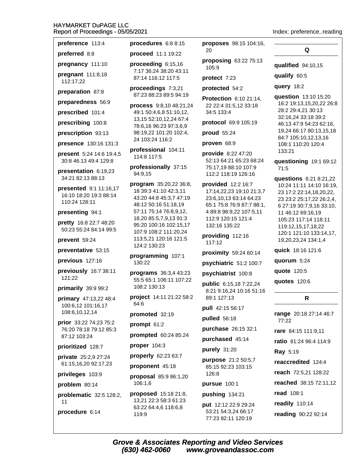preference 113:4

preferred 8:8

pregnancy 111:10

pregnant 111:8,18 112:17,22

preparation 87:8

preparedness 56:9

prescribed 101:4

prescribing 100:8

prescription 93:13

presence 130:16 131:3

present 5:24 14:6 19:4,5 30:8 46:13 49:4 129:8

presentation 6:19.23 34:21 82:13 88:13

**presented** 9:1 11:16.17 16:10 18:20 19:3 88:14 110:24 128:11

presenting 94:1

pretty 16:8 22:7 48:20 50:23 55:24 84:14 99:5

prevent 59:24

preventative 53:15

previous 127:16

previously 16:7 38:11 121:22

#### primarily 39:9 99:2

primary 47:13,22 48:4 100:6,12 101:16,17 108:6,10,12,14

prior 33:22 74:23 75:2 76:20 78:18 79:12 85:3 87:12 103:24

prioritized 128:7

**private** 25:2,9 27:24 61:15,16,20 92:17,23

privileges 103:9

problem 80:14

problematic 32:5 128:2,  $11$ 

procedure 6:14

procedures 6:8 8:15

proceed 11:1 19:22

proceeding  $6:15.16$ 7:17 36:24 38:20 43:11 87:14 116:12 117:5

proceedings 7:3,21 87:23 88:23 89:5 94:19

process 9:8.10 48:21.24 49:1 50:4,6,8 51:10,12, 13,15 52:10,12,24 67:4 78:6,16 96:23 97:3,6,9 98:19,22 101:20 102:4, 24 103:24 116:2

professional 104:11 114:8 117:5

professionally 37:15 94:9,15

program 35:20,22 36:8, 18 39:3 41:10 42:3,11 43:20 44:8 45:3.7 47:19 48:12 50:16 51:18,19 57:11 75:14 76:8,9,12, 18,20 85:5,7,9,13 91:3 95:20 100:16 102:15,17 107:9 108:2 111:20,24 113:5,21 120:16 121:5 124:2 130:23

programming 107:1 130:22

programs 36:3,4 43:23 55:5 65:1 106:11 107:22 108:2 130:13

project 14:11 21:22 58:2 64:6

promoted 32:19

prompt  $61:2$ 

prompted 60:24 85:24

proper  $104:3$ 

properly 62:23 63:7

proponent 45:18

proposal 85:9 86:1,20 106:1,6

**proposed** 15:18 21:8, 13.21 22:3 58:3 61:23 63:22 64:4,6 118:6,8 119:9

proposes 98:15 104:16, 20

proposing 63:22 75:13 105:9

protect 7:23

protected 54:2

**Protection 6:10 21:14.** 22 22:4 31:5,12 33:18 34:5 133:4

protocol 69:9 105:19

proud 55:24

proven 68:9

provide 8:22 47:20 52:13 64:21 65:23 68:24 75:17,19 88:10 107:9 112:2 118:19 126:16

provided 12:2 16:7 17:14,22,23 19:10 21:3,7 23:6,10,13 63:14 64:23 65:1 75:8 76:9 87:7 88:1, 4 89:8 98:9,22 107:5,11 112:9 120:15 121:4 132:16 135:22

providing 112:16 117:12

proximity 59:24 60:14

psychiatric 51:2 100:7

psychiatrist 100:8

public 6:15,18 7:22,24 8:21 9:16,24 10:16 51:16 89:1 127:13

pull 42:15 56:17

pulled 56:18

purchase 26:15 32:1

purchased 45:14

purely 31:20

purpose 21:2 50:5,7 85:15 92:23 103:15 126:8

pursue 100:1

pushing 134:21

put 12:12 22:9 29:24 53:21 54:3.24 66:17 77:23 92:11 120:19

Index: preference..reading

Q

qualified 94:10,15

qualify 60:5

query 18:2

question 13:10 15:20 16:2 19:13,15,20,22 26:8 28:2 29:4,21 30:13 32:16,24 33:18 39:2 46:13 47:9 54:23 62:16, 19,24 66:17 80:13,15,18 84:7 105:10,12,13,16 108:1 110:20 120:4 133:21

questioning 19:1 69:12  $71:5$ 

**questions** 6:21 8:21,22 10:24 11:11 14:10 16:19, 23 17:2 22:14,18,20,22, 23 23:2 25:17,22 26:2,4, 6 27:19 30:7,9,16 33:10, 11 46:12 69:16,19 105:23 117:14 118:11 119:12,15,17,18,22 120:1 121:10 133:14,17, 19,20,23,24 134:1,4

quick 18:16 121:6

quorum 5:24

quote 120:5

quotes 120:6

### R

range 20:18 27:14 46:7 77:22

rare 84:15 111:9,11

ratio 81:24 96:4 114:9

**Rav** 5:19

reaccredited 124:4

reach 72:5,21 128:22

reached 38:15 72:11,12

read 108:1

readily 110:14

reading 90:22 92:14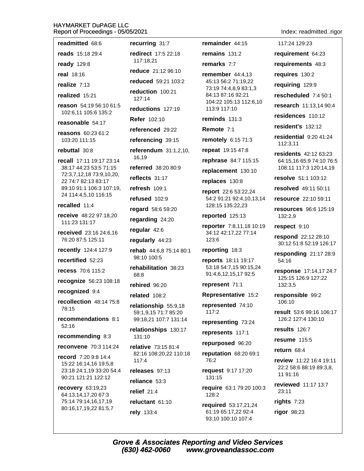readmitted 68:6 recurring 31:7 reads 15:18 29:4 redirect 17:5 22:18 117:18.21 **ready** 129:8 reduce 21:12 96:10 real 18:16 reduced 59:21 103:2 realize  $7:13$ reduction 100:21 realized 15:21  $127:14$ reason 54:19 56:10 61:5 reductions 127:19 102:6.11 105:6 135:2 **Refer 102:10** reasonable 54:17 referenced 29:22 reasons 60:23 61:2 103:20 111:15 referencing 39:15 rebuttal 30:8 referendum 31:1,2,10, 16.19 recall 17:11 19:17 23:14 referred 38:20 80:9 38:17 44:23 53:5 71:15 72:3,7,12,18 73:9,10,20, reflects 31:17 22 74:7 82:13 83:17 89:10 91:1 106:3 107:19. refresh 109:1 24 114:4.5.10 116:15 refused 102:9 recalled 11:4 regard 58:6 59:20 receive 48:22 97:18.20 regarding 24:20 111:23 131:17 regular 42:6 received 23:16 24:6.16 76:20 87:5 125:11 regularly 44:23 recently 124:4 127:9 rehab 44:6,8 75:14 80:1 98:10 100:5 recertified 52:23 rehabilitation 38:23 recess 70:6 115:2 68:8 recognize 56:23 108:18 rehired 96:20 recognized 9:4 related 108:2 recollection 48:14 75:8 relationship 55:9,18 78:15 59:1.9.15 71:7 85:20 recommendations 8:1 99:18,21 107:7 131:14  $52:16$ relationships 130:17 recommending 8:3  $131:10$ relative 73:15 81:4 reconvene 70:3 114:24 82:16 108:20,22 110:18 record 7:20 9:8 14:4  $117:4$ 15:22 16:14,16 19:5,8 23:18 24:1,19 33:20 54:4 releases 97:13 90:21 121:21 122:12 reliance 53:3 recovery 63:19,23 relief  $21:4$ 64:13,14,17,20 67:3 75:14 79:14,16,17,19 reluctant 61:10 80:16,17,19,22 81:5,7

rely 133:4

remainder 44:15 remains  $131:2$ remarks 7:7 remember  $44:4.13$ 45:13 56:2 71:19,22 73:19 74:4,8,9 83:1,3 84:13 87:16 92:21 104:22 105:13 112:6,10 113:9 117:10

reminds  $131:3$ 

Remote 7:1

remotely 6:15 71:3

repeat 19:15 47:8

rephrase 84:7 115:15

replacement 130:10

replaces 130:8

report 22:6 53:22,24 54:2 91:21 92:4,10,13,14 128:15 135:22,23

reported 125:13

reporter 7:8,11,18 10:19 34:12 42:17,22 77:14 123:6

#### reporting 18:3

reports 18:11 19:17 53:18 54:7,15 90:15,24 91:4,6,12,15,17 92:5

represent 71:1

Representative 15:2

represented 74:10 117:2

representing 73:24

represents 117:1

repurposed 96:20

reputation 68:20 69:1 76:2

request 9:17 17:20  $131:15$ 

require 63:1 79:20 100:3 128:2

required 53:17,21,24 61:19 65:17,22 92:4 93:10 100:10 107:4

Index: readmitted..rigor

117:24 129:23 requirement 64:23 requirements 48:3 requires 130:2 requiring 129:9 rescheduled 7:4 50:1 research 11:13.14 90:4 residences 110:12 resident's 132:12 residential  $9:2041:24$ 112:3,11 residents 42:12 63:23 64:15,16 65:9 74:10 76:5 108:11 117:3 120:14,19 resolve 51:1 103:12 resolved 49:11 50:11 resource 22:10 59:11 resources 96:6 125:19 132:2,9 respect 9:10 respond 22:12 28:10 30:12 51:8 52:19 126:17 responding  $21:1728:9$ 54:16 response 17:14,17 24:7 125:15 126:9 127:22 132:3.5 responsible 99:2 106:10 result 53:6 99:16 106:17 126:2 127:4 130:10 results 126:7 **resume** 115:5

return 68:4

11 91:16

rights  $7:23$ 

rigor 98:23

 $23:11$ 

review 11:22 16:4 19:11

22:2 58:6 88:19 89:3.8.

reviewed 11:17 13:7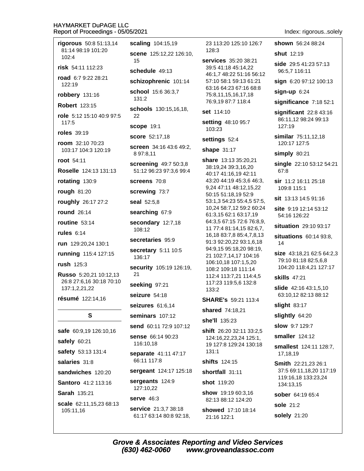| rigorous 50:8 51:13,14                    | scaling 104:15,19                               | 23 113:20 125:10 126:7                                                  | shown 56:24 88:24                              |
|-------------------------------------------|-------------------------------------------------|-------------------------------------------------------------------------|------------------------------------------------|
| 81:14 98:19 101:20<br>102:4               | scene 125:12,22 126:10,                         | 128:3                                                                   | <b>shut</b> 12:19                              |
| risk 54:11 112:23                         | 15<br>schedule 49:13                            | services 35:20 38:21<br>39:5 41:18 45:14,22<br>46:1,7 48:22 51:16 56:12 | side 29:5 41:23 57:13<br>96:5,7 116:11         |
| road 6:7 9:22 28:21<br>122:19             | schizophrenic 101:14                            | 57:10 58:1 59:13 61:21<br>63:16 64:23 67:16 68:8                        | sign 6:20 97:12 100:13                         |
| robbery 131:16                            | school 15:6 36:3,7                              | 75:8,11,15,16,17,18                                                     | $sign-up 6:24$                                 |
| <b>Robert 123:15</b>                      | 131:2                                           | 76:9,19 87:7 118:4                                                      | significance 7:18 52:1                         |
| role 5:12 15:10 40:9 97:5                 | schools 130:15,16,18,<br>22                     | set 114:10                                                              | significant 22:8 43:16                         |
| 117:5                                     | scope 19:1                                      | setting 48:10 95:7<br>103:23                                            | 86:11,12 98:24 99:13<br>127:19                 |
| roles 39:19                               | <b>score</b> 52:17,18                           | settings 52:4                                                           | similar 75:11,12,18                            |
| room 32:10 70:23<br>103:17 104:3 120:19   | screen 34:16 43:6 49:2,<br>8 97:8,11            | shape 31:17                                                             | 120:17 127:5<br>simply 80:21                   |
| root 54:11                                | screening 49:7 50:3,8                           | share 13:13 35:20,21                                                    | single 22:10 53:12 54:21                       |
| Roselle 124:13 131:13                     | 51:12 96:23 97:3,6 99:4                         | 38:19,24 39:3,16,20<br>40:17 41:16,19 42:11                             | 67:8                                           |
| rotating 130:9                            | screens 70:8                                    | 43:20 44:19 45:3,6 46:3,<br>9,24 47:11 48:12,15,22                      | sir 11:2 16:11 25:18<br>109:8 115:1            |
| <b>rough 81:20</b>                        | screwing 73:7                                   | 50:15 51:18,19 52:9                                                     |                                                |
| roughly 26:17 27:2                        | seal 52:5,8                                     | 53:1,3 54:23 55:4,5 57:5,                                               | sit 13:13 14:5 91:16                           |
| <b>round</b> 26:14                        | searching 67:9                                  | 10,24 58:7,12 59:2 60:24<br>61:3,15 62:1 63:17,19                       | site 9:19 12:14 53:12<br>54:16 126:22          |
| routine $53:14$                           | secondary 12:7,18                               | 64:3,5 67:15 72:6 76:8,9,                                               | situation 29:10 93:17                          |
| rules $6:14$                              | 108:12                                          | 11 77:4 81:14,15 82:6,7,<br>16,18 83:7,8 85:4,7,8,13                    | situations 60:14 93:8,                         |
| run 129:20,24 130:1                       | secretaries 95:9                                | 91:3 92:20,22 93:1,6,18                                                 | 14                                             |
| running 115:4 127:15                      | secretary 5:11 10:5<br>136:17                   | 94:9,15 95:18,20 98:19,<br>21 102:7,14,17 104:16                        | size 43:18,21 62:5 64:2,3                      |
| rush $125:3$                              |                                                 | 106:10,18 107:1,5,20                                                    | 79:10 81:18 82:5,6,8                           |
| Russo 5:20,21 10:12,13                    | security 105:19 126:19,<br>21                   | 108:2 109:18 111:14<br>112:4 113:7,21 114:4,5                           | 104:20 118:4,21 127:17<br><b>skills</b> 47:21  |
| 26:8 27:6,16 30:18 70:10<br>137:1,2,21,22 | seeking 97:21                                   | 117:23 119:5,6 132:8                                                    | <b>slide</b> 42:16 43:1,5,10                   |
|                                           | seizure 54:18                                   | 133:2                                                                   | 63:10,12 82:13 88:12                           |
| résumé 122:14,16                          | seizures 61:6,14                                | <b>SHARE's</b> 59:21 113:4<br>shared 74:18,21                           | slight 83:17                                   |
| S                                         | seminars 107:12                                 |                                                                         | slightly 64:20                                 |
|                                           | send 60:11 72:9 107:12                          | she'll 135:23                                                           | <b>slow</b> 9:7 129:7                          |
| safe 60:9,19 126:10,16                    | <b>sense</b> 66:14 90:23                        | shift 26:20 32:11 33:2,5<br>124:16,22,23,24 125:1,                      | smaller 124:12                                 |
| safely 60:21                              | 116:10,18                                       | 19 127:8 129:24 130:18                                                  | smallest 124:11 128:7,                         |
| safety 53:13 131:4                        | separate 41:11 47:17                            | 131:1                                                                   | 17,18,19                                       |
| salaries 31:8                             | 66:11 117:8                                     | <b>shifts</b> 124:15                                                    | Smith 22:21,23 26:1                            |
| sandwiches 120:20                         | sergeant 124:17 125:18                          | shortfall 31:11                                                         | 37:5 69:11,18,20 117:19<br>119:16,18 133:23,24 |
| Santoro 41:2 113:16                       | sergeants 124:9<br>127:10,22                    | <b>shot</b> 119:20                                                      | 134:13,15                                      |
| Sarah 135:21                              | <b>serve</b> 46:3                               | show 19:19 60:3,16                                                      | sober 64:19 65:4                               |
| scale 62:11,15,23 68:13                   |                                                 | 82:13 88:12 124:20                                                      | <b>sole 21:2</b>                               |
| 105:11,16                                 | service 21:3,7 38:18<br>61:17 63:14 80:8 92:18, | showed 17:10 18:14<br>21:16 122:1                                       | solely 21:20                                   |

Index: rigorous..solely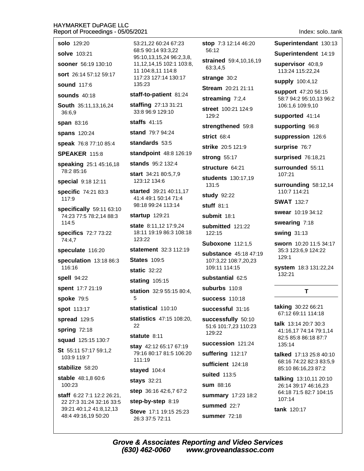Index: solo..tank

Superintendant 130:13

Superintendent 14:19

supervisor 40:8,9

113:24 115:22,24

support 47:20 56:15

106:1.6 109:9.10

supported 41:14

supporting 96:8

surprise 76:7

110:7 114:21

swearing 7:18

swing 31:13

 $129:1$ 

132:21

135:14

swear 10:19 34:12

**SWAT** 132:7

107:21

suppression 126:6

surprised 76:18,21

surrounded 55:11

surrounding 58:12,14

sworn 10:20 11:5 34:17

system 18:3 131:22,24

T

taking 30:22 66:21

67:12 69:11 114:18

talk 13:14 20:7 30:3

41:16,17 74:14 79:1,14

82:5 85:8 86:18 87:7

talked 17:13 25:8 40:10

85:10 86:16,23 87:2

talking 13:10,11 20:10

26:14 39:17 46:16,23

64:18 71:5 82:7 104:15

68:16 74:22 82:3 83:5.9

35:3 123:6,9 124:22

58:7 94:2 95:10,13 96:2

supply 100:4,12

| <b>solo</b> 129:20 |  |
|--------------------|--|
|--------------------|--|

solve 103:21

sooner 56:19 130:10

sort 26:14 57:12 59:17

**sound** 117:6

sounds  $40:18$ 

South 35:11,13,16,24 36:6.9

span 83:16

spans 120:24

speak 76:8 77:10 85:4

**SPEAKER 115:8** 

speaking 25:1 45:16,18 78:2 85:16

special 9:18 12:11

specific 74:21 83:3 117:9

specifically 59:11 63:10 74:23 77:5 78:2,14 88:3 114:5

specifics 72:7 73:22 74:4.7

speculate 116:20

speculation 13:18 86:3  $116.16$ 

spell 94:22

spent 17:7 21:19

spoke 79:5

**spot** 113:17

spread 129:5

spring 72:18

squad 125:15 130:7

St 55:11 57:17 59:1.2 103:9 119:7

stabilize 58:20

**stable** 48:1.8 60:6 100:23

staff 6:22 7:1 12:2 26:21. 22 27:3 31:24 32:16 33:5 39:21 40:1,2 41:8,12,13 48:4 49:16,19 50:20

53:21.22 60:24 67:23 68:5 90:14 93:3.22 95:10,13,15,24 96:2,3,8, 11, 12, 14, 15 102: 1 103: 8, 11 104:8.11 114:8 117:23 127:14 130:17 135:23

## staff-to-patient 81:24

staffing 27:13 31:21 33:8 96:9 129:10

**staffs** 41:15

stand 79:7 94:24

standards 53:5

standpoint 48:8 126:19

stands 95:2 132:4

start 34:21 80:5,7,9 123:12 134:6

started 39:21 40:11.17 41:4 49:1 50:14 71:4 98:18 99:24 113:14

startup 129:21

state 8:11,12 17:9,24 18:11 19:19 86:3 108:18  $123.22$ 

statement 32:3 112:19

**States 109:5** 

static 32:22

stating  $105:15$ 

station 32:9 55:15 80:4, 5

statistical 110:10

statistics 47:15 108:20. 22

statute 8:11

stay 42:12 65:17 67:19 79:16 80:17 81:5 106:20 111:19

stayed 104:4

stays 32:21

step 36:16 42:6,7 67:2

step-by-step 8:19

Steve 17:1 19:15 25:23 26:3 37:5 72:11

stop 7:3 12:14 46:20 56:12

strained 59:4,10,16,19 63:3,4,5

strange 30:2

Stream 20:21 21:11

streaming 7:2,4

street 100:21 124:9  $129:2$ 

strengthened 59:8

strict 68:4

strike 20:5 121:9

strong 55:17

structure 64:21

students 130:17,19 131:5

**study** 92:22

stuff  $81:1$ 

submit 18:1

submitted 121:22 122:15

**Suboxone 112:1,5** 

substance 45:18 47:19 107:3,22 108:7,20,23 109:11 114:15

substantial 62:5

suburbs 110:8

**success** 110:18

successful 31:16

successfully 50:10 51:6 101:7,23 110:23 129:22

succession 121:24

suffering 112:17

sufficient 124:18

suited 113:5

sum 88:16

summary 17:23 18:2

summed 22:7

**summer 72:18** 

tank 120:17

 $107:14$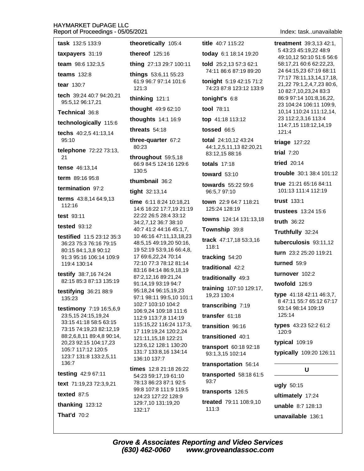| <b>task</b> $132:5$ $133:9$                                                                                                                                                                                        | theoretically 105:4                                                                                                                                                                                              |
|--------------------------------------------------------------------------------------------------------------------------------------------------------------------------------------------------------------------|------------------------------------------------------------------------------------------------------------------------------------------------------------------------------------------------------------------|
| taxpayers 31:19                                                                                                                                                                                                    | thereof 125:16                                                                                                                                                                                                   |
| team 98:6 132:3,5                                                                                                                                                                                                  | thing 27:13 29:7 100:11                                                                                                                                                                                          |
| teams $132:8$                                                                                                                                                                                                      | things 53:6,11 55:23                                                                                                                                                                                             |
| tear 130:7                                                                                                                                                                                                         | 61:9 96:7 97:14 101:6<br>121:3                                                                                                                                                                                   |
| tech 39:24 40:7 94:20,21<br>95:5,12 96:17,21                                                                                                                                                                       | thinking 121:1                                                                                                                                                                                                   |
| Technical 36:8                                                                                                                                                                                                     | thought 49:9 62:10                                                                                                                                                                                               |
| technologically 115:6                                                                                                                                                                                              | thoughts 14:1 16:9                                                                                                                                                                                               |
| techs 40:2,5 41:13,14<br>95:10                                                                                                                                                                                     | threats $54:18$<br>three-quarter 67:2                                                                                                                                                                            |
| telephone 72:22 73:13,                                                                                                                                                                                             | 80:23                                                                                                                                                                                                            |
| 21                                                                                                                                                                                                                 | throughout 59:5,18                                                                                                                                                                                               |
| tense 46:13,14                                                                                                                                                                                                     | 66:9 84:5 124:16 129:6<br>130:5                                                                                                                                                                                  |
| <b>term</b> $89:1695:8$                                                                                                                                                                                            | thumbnail 36:2                                                                                                                                                                                                   |
| termination 97:2                                                                                                                                                                                                   | tight 32:13,14                                                                                                                                                                                                   |
| terms 43:8,14 64:9,13<br>112:16                                                                                                                                                                                    | time 6:11 8:24 10:18,21<br>14:6 16:22 17:7,19 21:19                                                                                                                                                              |
| test $93:11$                                                                                                                                                                                                       | 22:22 26:5 28:4 33:12                                                                                                                                                                                            |
| tested $93:12$                                                                                                                                                                                                     | 34:2,7,12 36:7 38:10<br>40:7 41:2 44:16 45:1,7,                                                                                                                                                                  |
| testified 11:5 23:12 35:3<br>36:23 75:3 76:16 79:15<br>80:15 84:1,3,8 90:12<br>91:3 95:16 106:14 109:9<br>119:4 130:14                                                                                             | 10 46:16 47:11,13,18,23<br>48:5,15 49:19,20 50:16,<br>19 52:19 53:9,16 66:4,8,<br>17 69:6,22,24 70:14<br>72:10 77:3 78:12 81:14                                                                                  |
| testify 38:7,16 74:24<br>82:15 85:3 87:13 135:19                                                                                                                                                                   | 83:16 84:14 86:9,18,19<br>87:2,12,16 89:21,24<br>91:14,19 93:19 94:7                                                                                                                                             |
| testifying 36:21 88:9<br>135:23                                                                                                                                                                                    | 95:18,24 96:15,19,23<br>97:1 98:11 99:5,10 101:1                                                                                                                                                                 |
| testimony 7:19 16:5,6,9<br>23:5,15 24:15,19,24<br>33:15 41:18 58:5 63:15<br>73:15 74:19,23 82:12,19<br>88:2,6,8,11 89:4,8 90:14,<br>20,23 92:15 104:17,23<br>105:7 117:12 120:5<br>123:7 131:8 133:2,5,11<br>136:7 | 102:7 103:10 104:2<br>106:9,24 109:18 111:6<br>112:9 113:7,8 114:19<br>115:15,22 116:24 117:3,<br>17 119:19,24 120:2,24<br>121:11,15,18 122:21<br>123:6,12 128:1 130:20<br>131:7 133:8,16 134:14<br>136:10 137:7 |
| testing 42:9 67:11                                                                                                                                                                                                 | <b>times</b> $12:821:1826:22$                                                                                                                                                                                    |
| text 71:19,23 72:3,9,21                                                                                                                                                                                            | 54:23 59:17,19 61:10<br>78:13 86:23 87:1 92:5                                                                                                                                                                    |
| texted $87:5$                                                                                                                                                                                                      | 99:8 107:8 111:9 119:5<br>124:23 127:22 128:9                                                                                                                                                                    |
| thanking $123:12$                                                                                                                                                                                                  | 129:7,10 131:19,20                                                                                                                                                                                               |
| That'd $70:2$                                                                                                                                                                                                      | 132:17                                                                                                                                                                                                           |

title 40:7 115:22

today 6:1 18:14 19:20

told 25:2,13 57:3 62:1 74:11 86:6 87:19 89:20

tonight 5:19 42:15 71:2 74:23 87:8 123:12 133:9

tonight's 6:8

tool 78:11

top 41:18 113:12

tossed 66:5

total 24:10,12 43:24 44:1,2,5,11,13 82:20,21 83:12,15 88:16

totals  $17:18$ 

toward 53:10

towards 55:22 59:6 96:5.7 97:10

town 22:9 64:7 118:21 125:24 128:19

towns 124:14 131:13,18

Township 39:8

track 47:17,18 53:3,16 118:1

tracking 54:20

traditional 42:2

traditionally 49:3

training 107:10 129:17, 19,23 130:4

transcribing 7:19

transfer 61:18

transition 96:16

transitioned 40:1

transport 60:18 92:18 93:1,3,15 102:14

transportation 56:14

transported 58:18 61:5 93:7

transports 126:5

treated 79:11 108:9,10  $111:3$ 

Index: task..unavailable

treatment 39:3,13 42:1, 5 43:23 45:19.22 48:9 49:10.12 50:10 51:6 56:6 58:17,21 60:6 62:22,23, 24 64:15,23 67:19 68:11 77:17 78:11,13,14,17,18, 21,22 79:1,2,4,7,23 80:6, 10 82:7,10,23,24 83:3 86:9 97:14 101:8,16,22, 23 104:24 106:11 109:9, 10,14 110:24 111:12,14, 23 112:2,3,16 113:4 114:7,15 118:12,14,19  $121:4$ triage  $127:22$ trial  $7:20$ **tried** 20:14

trouble 30:1 38:4 101:12

true 21:21 65:16 84:11 101:13 111:4 112:19

trust 133:1

trustees 13:24 15:6

truth 36:22

Truthfully 32:24

tuberculosis 93:11,12

turn 23:2 25:20 119:21

turned 59:9

turnover 102:2

twofold 126:9

**type** 41:18 42:11 46:3,7, 8 47:11 55:7 65:12 67:17 93:14 98:14 109:19 125:14

types 43:23 52:2 61:2 120:9

typical 109:19

typically 109:20 126:11

U

ugly 50:15 ultimately 17:24 unable 8:7 128:13 unavailable 136:1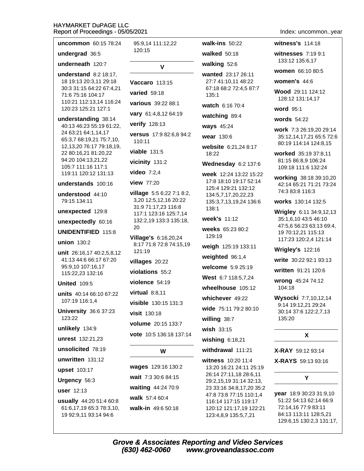| <b>uncommon</b> 60:15 78:24                                                                                                                                                                                                     | 95:9,14 111:12,22                                                                                                                  |
|---------------------------------------------------------------------------------------------------------------------------------------------------------------------------------------------------------------------------------|------------------------------------------------------------------------------------------------------------------------------------|
| undergrad 36:5                                                                                                                                                                                                                  | 120:15                                                                                                                             |
| underneath 120:7                                                                                                                                                                                                                | v                                                                                                                                  |
| understand 8:2 18:17,<br>18 19:13 20:3,11 29:18<br>30:3 31:15 64:22 67:4,21<br>71:6 75:16 104:17<br>110:21 112:13,14 116:24<br>120:23 125:21 127:1                                                                              | <b>Vaccaro</b> 113:15<br><b>varied</b> 59:18<br>various 39:22 88:1<br>vary 61:4,8,12 64:19                                         |
| understanding 38:14<br>40:13 46:23 55:19 61:22,<br>24 63:21 64:1,14,17<br>65:3,7 68:19,21 75:7,10,<br>12, 13, 20 76: 17 79: 18, 19,<br>22 80:16,21 81:20,22<br>94:20 104:13,21,22<br>105:7 111:16 117:1<br>119:11 120:12 131:13 | verify 128:13<br>versus 17:9 82:6,8 94:2<br>110:11<br>viable 131:5<br>vicinity 131:2<br>video $7:2,4$                              |
| understands 100:16                                                                                                                                                                                                              | <b>view</b> 77:20                                                                                                                  |
| understood 44:10<br>79:15 134:11<br>unexpected 129:8<br>unexpectedly 60:16<br><b>UNIDENTIFIED 115:8</b>                                                                                                                         | village 5:5 6:22 7:1 8:2,<br>3,20 12:5,12,16 20:22<br>31:9 71:17,23 116:8<br>117:1 123:16 125:7,14<br>132:2,19 133:3 135:18,<br>20 |
| union 130:2<br>unit 26:16,17 40:2,5,8,12<br>41:13 44:6 66:17 67:20<br>95:9,10 107:16,17<br>115:22,23 132:16                                                                                                                     | Village's 6:16,20,24<br>8:17 71:8 72:8 74:15,19<br>121:19<br>villages 20:22<br>violations 55:2                                     |
| <b>United 109:5</b>                                                                                                                                                                                                             | violence 54:19                                                                                                                     |
| units 40:14 66:10 67:22<br>107:19 116:1,4<br><b>University 36:6 37:23</b><br>123:22<br>unlikely 134:9                                                                                                                           | virtual $8:8,11$<br>visible 130:15 131:3<br>visit 130:18<br>volume 20:15 133:7<br>vote 10:5 136:18 137:14                          |
| <b>unrest</b> 132:21,23                                                                                                                                                                                                         |                                                                                                                                    |
| unsolicited 78:19                                                                                                                                                                                                               | W                                                                                                                                  |
| unwritten 131:12<br>upset 103:17<br>Urgency 56:3<br>user $12:13$<br>usually 44:20 51:4 60:8<br>61:6,17,19 65:3 78:3,10,<br>19 92:9,11 93:14 94:6                                                                                | wages 129:16 130:2<br>wait 7:3 30:6 84:15<br>waiting 44:24 70:9<br>walk 57:4 60:4<br>walk-in 49:6 50:18                            |

walk-ins  $50:22$ walked  $50:18$ walking 52:6 wanted 23:17 26:11 27:7 41:10,11 48:22 67:18 68:2 72:4,5 87:7  $135:1$ watch 6:16 70:4 watching 89:4 ways 45:24 wear 130:6 website 6:21,24 8:17 18:22 Wednesday 6:2 137:6 week 12:24 13:22 15:22 17:8 18:10 19:17 52:14 125:4 129:21 132:12 134:5,7,17,20,22,23 135:3,7,13,19,24 136:6 138:1 week's 11:12 weeks 65:23 80:2 129:19 weigh 125:19 133:11 weighted 96:1,4 welcome 5:9 25:19 West 6:7 118:5,7,24 wheelhouse 105:12 whichever 49:22 wide 75:11 79:2 80:10 willing 38:7 wish 33:15 wishing 6:18,21 withdrawal 111:21

witness 10:20 11:4 13:20 16:21 24:11 25:19 26:14 27:11,18 28:6,11 29:2,15,19 31:14 32:13, 23 33:16 34:8.17.20 35:2 47:8 73:8 77:15 110:1,4 116:14 117:15 119:17 120:12 121:17,19 122:21 123:4,8,9 135:5,7,21

Index: uncommon..year

witness's 114:18

witnesses 7:19 9:1 133:12 135:6,17

women 66:10 80:5

women's  $44:6$ 

Wood 29:11 124:12 128:12 131:14,17

word 95:1

words 54:22

work 7:3 26:19,20 29:14 35:12,14,17,21 65:5 72:6 80:19 114:14 124:8,15

worked 35:19 37:8,11 81:15 86:8,9 106:24 109:18 111:6 132:24

working 38:18 39:10,20 42:14 65:21 71:21 73:24 74:3 83:8 116:3

works 130:14 132:5

Wrigley 6:11 34:9,12,13 35:1,6,10 43:5 46:10 47:5,6 56:23 63:13 69:4, 19 70:12,21 115:13 117:23 120:2,4 121:14

**Wrigley's 122:16** 

write 30:22 92:1 93:13

written 91:21 120:6

wrong 45:24 74:12 104:18

Wysocki 7:7,10,12,14 9:14 19:12,21 29:24 30:14 37:6 122:2,7,13 135:20

#### X

**X-RAY** 59:12 93:14

**X-RAYS** 59:13 93:16

#### Υ

year 18:9 30:23 31:9,10 51:22 54:13 62:14 66:9 72:14,16 77:9 83:11 84:13 113:11 128:5,21 129:6,15 130:2,3 131:17,